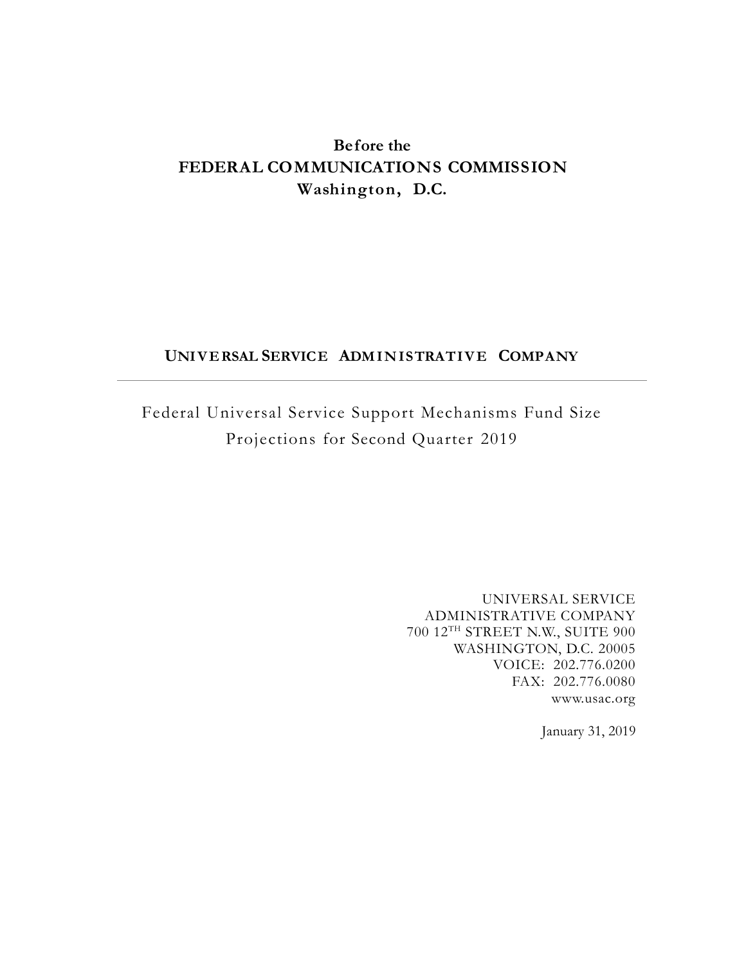# **Before the FEDERAL COMMUNICATIONS COMMISSION Washington, D.C.**

# **UNIVERSAL SERVICE ADMINISTRATIVE COMPANY**

Federal Universal Service Support Mechanisms Fund Size Projections for Second Quarter 2019

> UNIVERSAL SERVICE ADMINISTRATIVE COMPANY 700 12TH STREET N.W., SUITE 900 WASHINGTON, D.C. 20005 VOICE: 202.776.0200 FAX: 202.776.0080 www.usac.org

> > January 31, 2019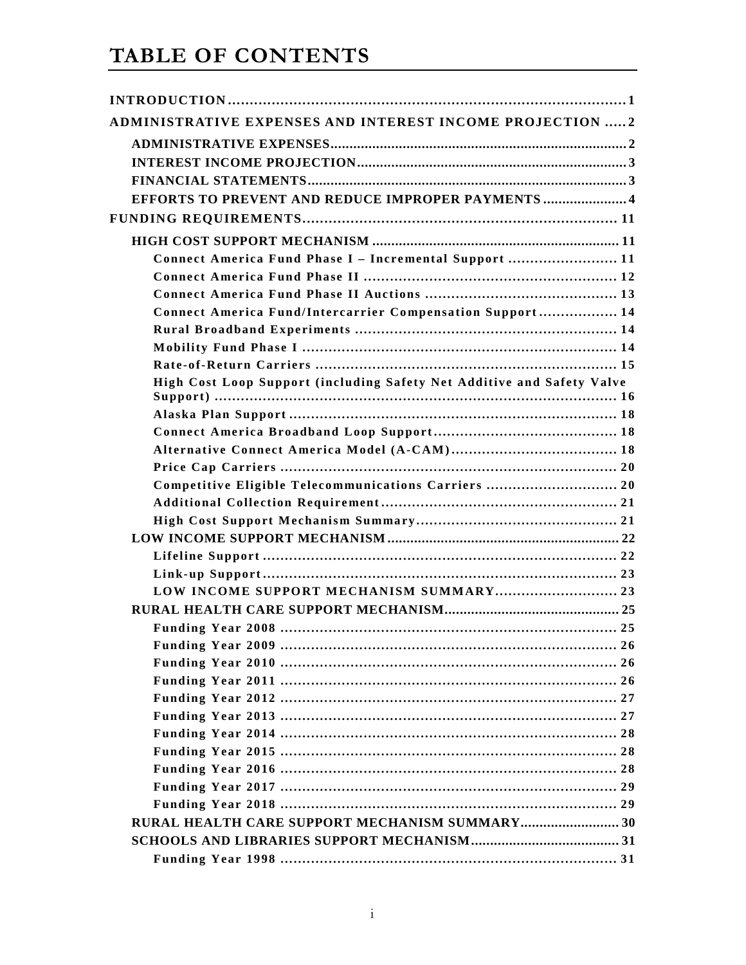# **TABLE OF CONTENTS**

| <b>ADMINISTRATIVE EXPENSES AND INTEREST INCOME PROJECTION  2</b>       |
|------------------------------------------------------------------------|
|                                                                        |
|                                                                        |
|                                                                        |
| EFFORTS TO PREVENT AND REDUCE IMPROPER PAYMENTS  4                     |
|                                                                        |
|                                                                        |
| Connect America Fund Phase I - Incremental Support  11                 |
|                                                                        |
|                                                                        |
| Connect America Fund/Intercarrier Compensation Support 14              |
|                                                                        |
|                                                                        |
|                                                                        |
| High Cost Loop Support (including Safety Net Additive and Safety Valve |
|                                                                        |
|                                                                        |
|                                                                        |
|                                                                        |
| Competitive Eligible Telecommunications Carriers  20                   |
|                                                                        |
|                                                                        |
|                                                                        |
|                                                                        |
|                                                                        |
| LOW INCOME SUPPORT MECHANISM SUMMARY 23                                |
|                                                                        |
|                                                                        |
|                                                                        |
|                                                                        |
|                                                                        |
|                                                                        |
|                                                                        |
|                                                                        |
|                                                                        |
|                                                                        |
|                                                                        |
|                                                                        |
| RURAL HEALTH CARE SUPPORT MECHANISM SUMMARY 30                         |
|                                                                        |
|                                                                        |
|                                                                        |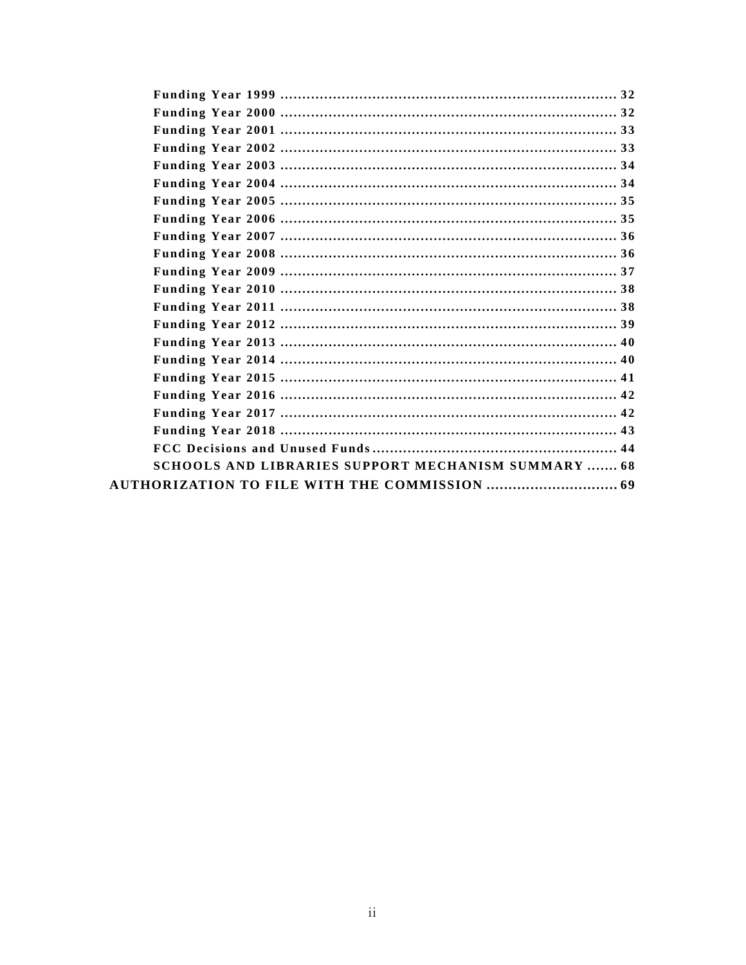| SCHOOLS AND LIBRARIES SUPPORT MECHANISM SUMMARY  68 |  |
|-----------------------------------------------------|--|
|                                                     |  |
|                                                     |  |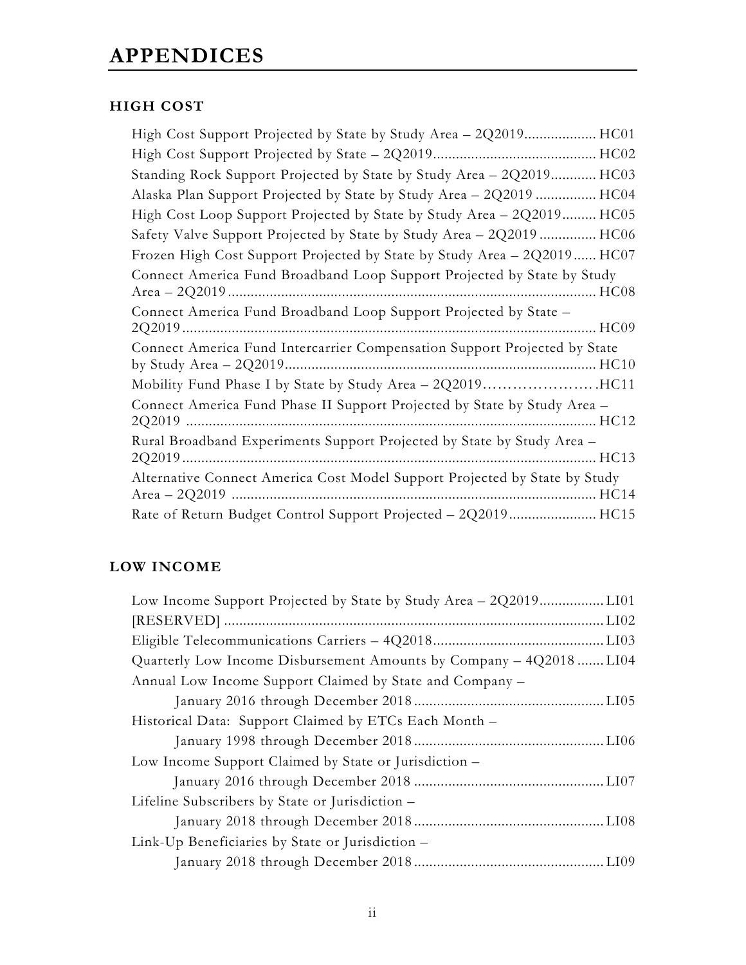# **HIGH COST**

| High Cost Support Projected by State by Study Area - 2Q2019 HC01           |
|----------------------------------------------------------------------------|
|                                                                            |
| Standing Rock Support Projected by State by Study Area - 2Q2019 HC03       |
| Alaska Plan Support Projected by State by Study Area - 2Q2019  HC04        |
| High Cost Loop Support Projected by State by Study Area - 2Q2019 HC05      |
| Safety Valve Support Projected by State by Study Area - 2Q2019 HC06        |
| Frozen High Cost Support Projected by State by Study Area - 2Q2019 HC07    |
| Connect America Fund Broadband Loop Support Projected by State by Study    |
| Connect America Fund Broadband Loop Support Projected by State -           |
| Connect America Fund Intercarrier Compensation Support Projected by State  |
|                                                                            |
| Connect America Fund Phase II Support Projected by State by Study Area -   |
| Rural Broadband Experiments Support Projected by State by Study Area -     |
| Alternative Connect America Cost Model Support Projected by State by Study |
| Rate of Return Budget Control Support Projected - 2Q2019 HC15              |

# **LOW INCOME**

| Quarterly Low Income Disbursement Amounts by Company – 4Q2018 LI04 |  |
|--------------------------------------------------------------------|--|
| Annual Low Income Support Claimed by State and Company –           |  |
|                                                                    |  |
| Historical Data: Support Claimed by ETCs Each Month –              |  |
|                                                                    |  |
| Low Income Support Claimed by State or Jurisdiction –              |  |
|                                                                    |  |
| Lifeline Subscribers by State or Jurisdiction –                    |  |
|                                                                    |  |
| Link-Up Beneficiaries by State or Jurisdiction –                   |  |
|                                                                    |  |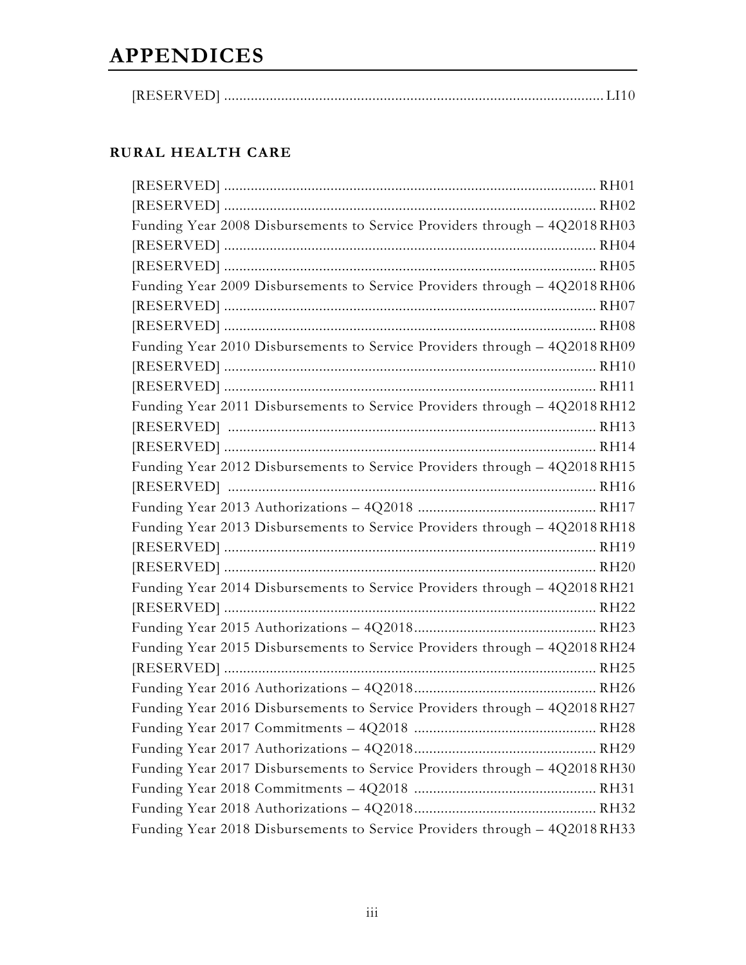# **RURAL HEALTH CARE**

| Funding Year 2008 Disbursements to Service Providers through - 4Q2018RH03 |  |
|---------------------------------------------------------------------------|--|
|                                                                           |  |
|                                                                           |  |
| Funding Year 2009 Disbursements to Service Providers through - 4Q2018RH06 |  |
|                                                                           |  |
|                                                                           |  |
| Funding Year 2010 Disbursements to Service Providers through - 4Q2018RH09 |  |
|                                                                           |  |
|                                                                           |  |
| Funding Year 2011 Disbursements to Service Providers through - 4Q2018RH12 |  |
|                                                                           |  |
|                                                                           |  |
| Funding Year 2012 Disbursements to Service Providers through - 4Q2018RH15 |  |
|                                                                           |  |
|                                                                           |  |
| Funding Year 2013 Disbursements to Service Providers through - 4Q2018RH18 |  |
|                                                                           |  |
|                                                                           |  |
| Funding Year 2014 Disbursements to Service Providers through - 4Q2018RH21 |  |
|                                                                           |  |
|                                                                           |  |
| Funding Year 2015 Disbursements to Service Providers through - 4Q2018RH24 |  |
|                                                                           |  |
|                                                                           |  |
| Funding Year 2016 Disbursements to Service Providers through - 4Q2018RH27 |  |
|                                                                           |  |
|                                                                           |  |
| Funding Year 2017 Disbursements to Service Providers through - 4Q2018RH30 |  |
|                                                                           |  |
|                                                                           |  |
| Funding Year 2018 Disbursements to Service Providers through - 4Q2018RH33 |  |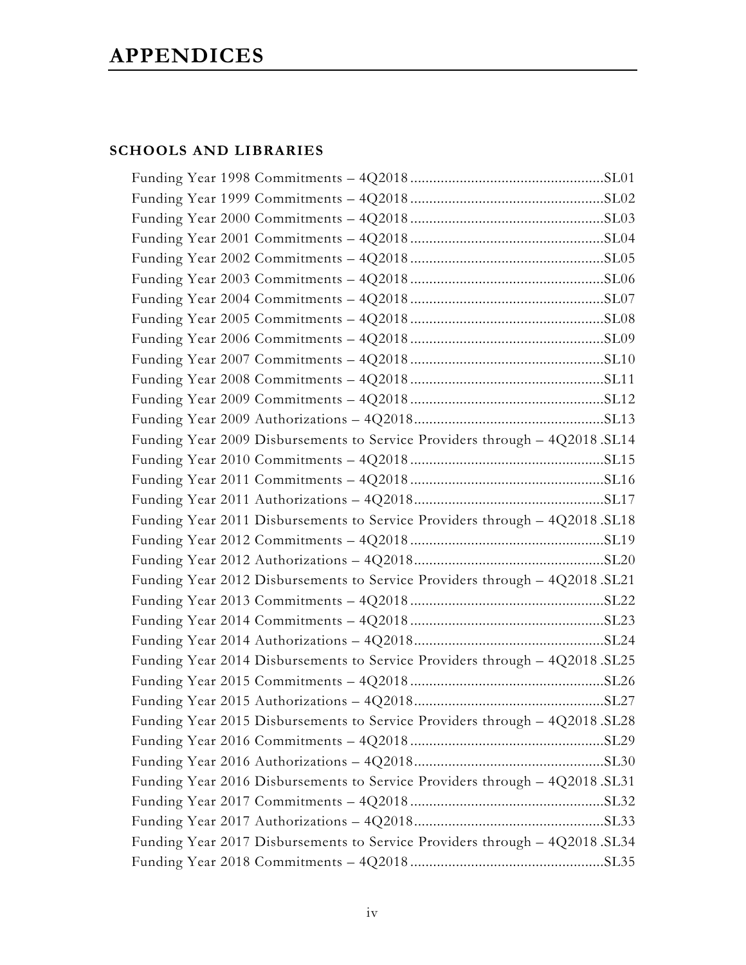# **SCHOOLS AND LIBRARIES**

| Funding Year 2009 Disbursements to Service Providers through - 4Q2018.SL14 |  |
|----------------------------------------------------------------------------|--|
|                                                                            |  |
|                                                                            |  |
|                                                                            |  |
| Funding Year 2011 Disbursements to Service Providers through - 4Q2018.SL18 |  |
|                                                                            |  |
|                                                                            |  |
| Funding Year 2012 Disbursements to Service Providers through - 4Q2018.SL21 |  |
|                                                                            |  |
|                                                                            |  |
|                                                                            |  |
| Funding Year 2014 Disbursements to Service Providers through - 4Q2018.SL25 |  |
|                                                                            |  |
|                                                                            |  |
| Funding Year 2015 Disbursements to Service Providers through - 4Q2018.SL28 |  |
|                                                                            |  |
|                                                                            |  |
| Funding Year 2016 Disbursements to Service Providers through - 4Q2018.SL31 |  |
|                                                                            |  |
|                                                                            |  |
| Funding Year 2017 Disbursements to Service Providers through - 4Q2018.SL34 |  |
|                                                                            |  |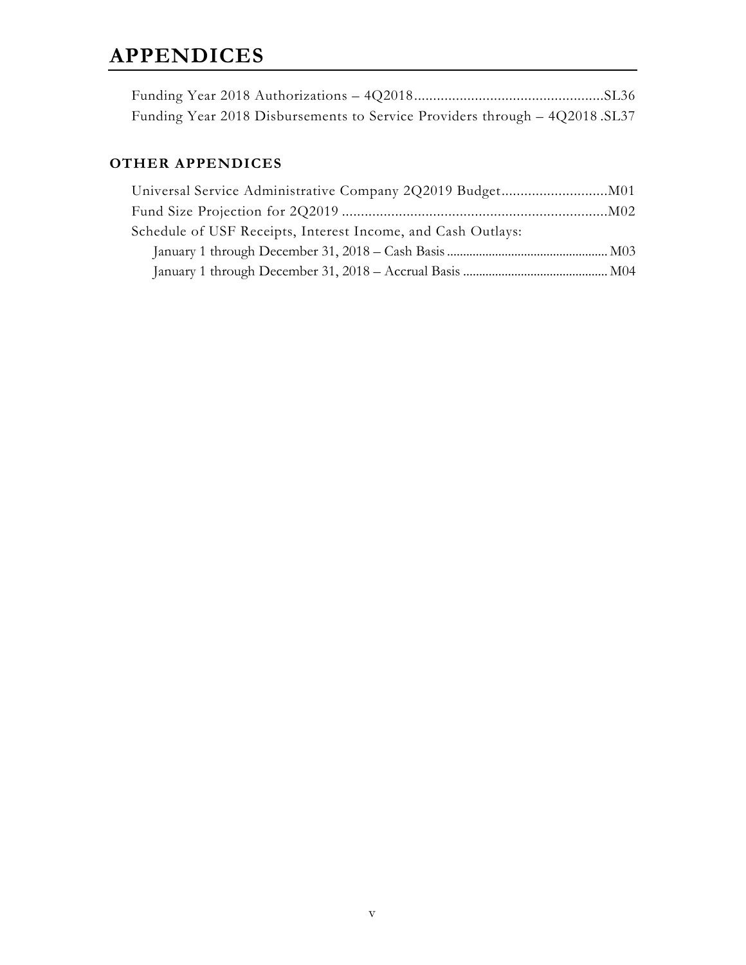|  | Funding Year 2018 Disbursements to Service Providers through – 4Q2018 SL37 |  |
|--|----------------------------------------------------------------------------|--|

# **OTHER APPENDICES**

| Schedule of USF Receipts, Interest Income, and Cash Outlays: |  |
|--------------------------------------------------------------|--|
|                                                              |  |
|                                                              |  |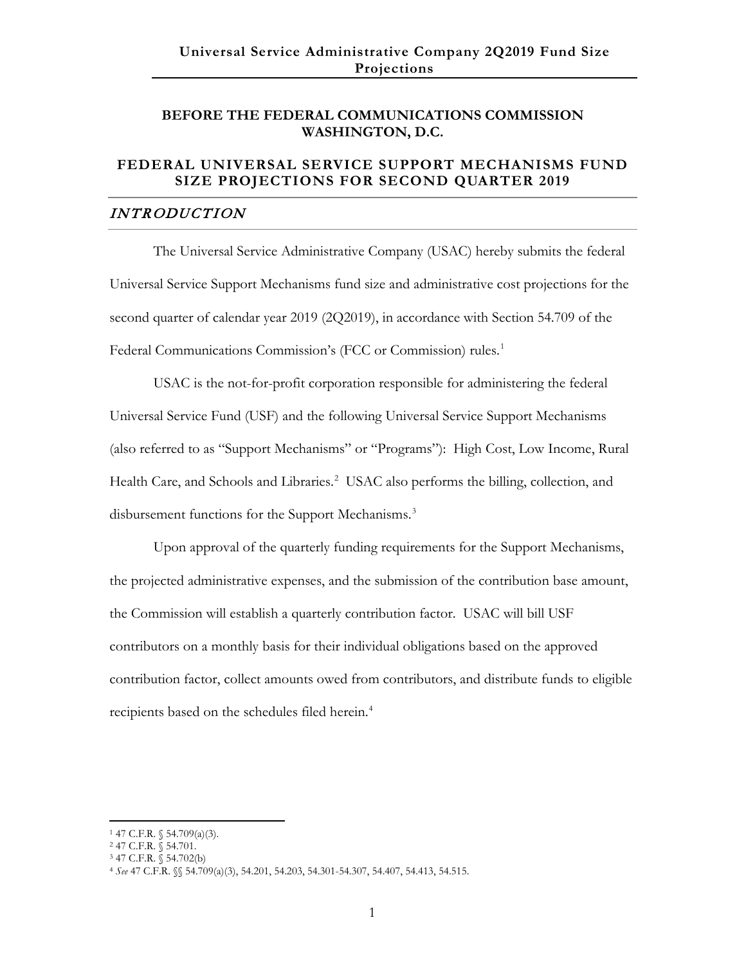## **BEFORE THE FEDERAL COMMUNICATIONS COMMISSION WASHINGTON, D.C.**

# **FEDERAL UNIVERSAL SERVICE SUPPORT MECHANISMS FUND SIZE PROJECTIONS FOR SECOND QUARTER 2019**

#### INTRODUCTION

The Universal Service Administrative Company (USAC) hereby submits the federal Universal Service Support Mechanisms fund size and administrative cost projections for the second quarter of calendar year 2019 (2Q2019), in accordance with Section 54.709 of the Federal Communications Commission's (FCC or Commission) rules.<sup>[1](#page-7-0)</sup>

USAC is the not-for-profit corporation responsible for administering the federal Universal Service Fund (USF) and the following Universal Service Support Mechanisms (also referred to as "Support Mechanisms" or "Programs"): High Cost, Low Income, Rural Health Care, and Schools and Libraries.<sup>[2](#page-7-1)</sup> USAC also performs the billing, collection, and disbursement functions for the Support Mechanisms.<sup>[3](#page-7-2)</sup>

Upon approval of the quarterly funding requirements for the Support Mechanisms, the projected administrative expenses, and the submission of the contribution base amount, the Commission will establish a quarterly contribution factor. USAC will bill USF contributors on a monthly basis for their individual obligations based on the approved contribution factor, collect amounts owed from contributors, and distribute funds to eligible recipients based on the schedules filed herein.<sup>[4](#page-7-3)</sup>

 $147$  C.F.R. § 54.709(a)(3).

<span id="page-7-1"></span><span id="page-7-0"></span><sup>2</sup> 47 C.F.R. § 54.701.

<span id="page-7-2"></span><sup>3</sup> 47 C.F.R. § 54.702(b)

<span id="page-7-3"></span><sup>4</sup> *See* 47 C.F.R. §§ 54.709(a)(3), 54.201, 54.203, 54.301-54.307, 54.407, 54.413, 54.515.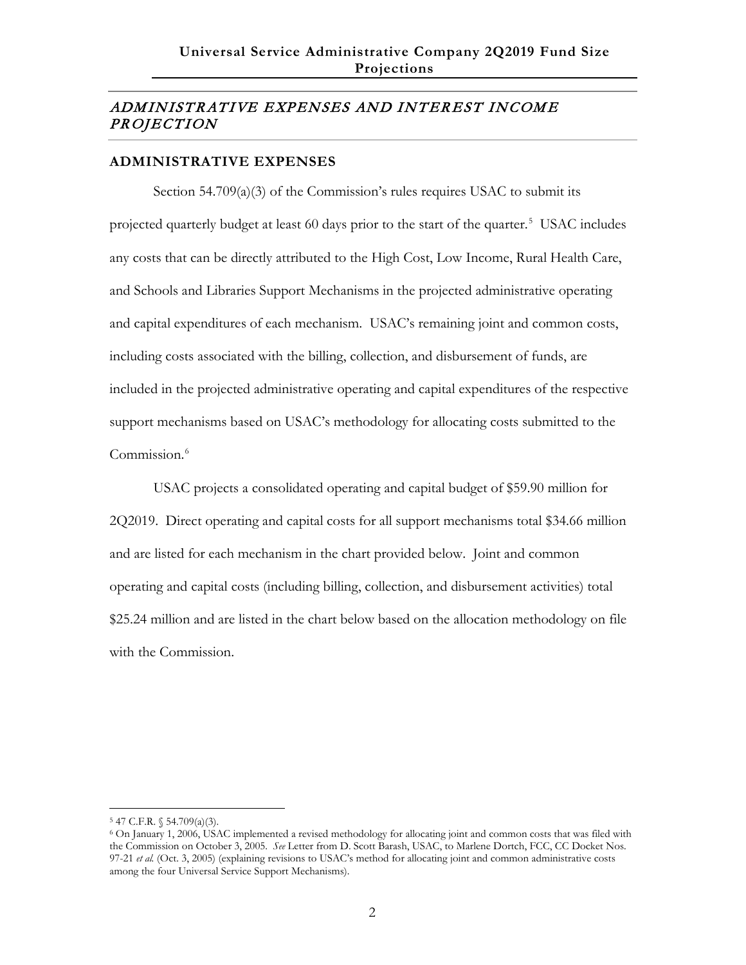# ADMINISTRATIVE EXPENSES AND INTEREST INCOME PROJECTION

# **ADMINISTRATIVE EXPENSES**

Section 54.709 $(a)(3)$  of the Commission's rules requires USAC to submit its projected quarterly budget at least 60 days prior to the start of the quarter.<sup>[5](#page-8-0)</sup> USAC includes any costs that can be directly attributed to the High Cost, Low Income, Rural Health Care, and Schools and Libraries Support Mechanisms in the projected administrative operating and capital expenditures of each mechanism. USAC's remaining joint and common costs, including costs associated with the billing, collection, and disbursement of funds, are included in the projected administrative operating and capital expenditures of the respective support mechanisms based on USAC's methodology for allocating costs submitted to the Commission.<sup>[6](#page-8-1)</sup>

USAC projects a consolidated operating and capital budget of \$59.90 million for 2Q2019. Direct operating and capital costs for all support mechanisms total \$34.66 million and are listed for each mechanism in the chart provided below. Joint and common operating and capital costs (including billing, collection, and disbursement activities) total \$25.24 million and are listed in the chart below based on the allocation methodology on file with the Commission.

<span id="page-8-0"></span><sup>5</sup> 47 C.F.R. § 54.709(a)(3).

<span id="page-8-1"></span><sup>6</sup> On January 1, 2006, USAC implemented a revised methodology for allocating joint and common costs that was filed with the Commission on October 3, 2005. *See* Letter from D. Scott Barash, USAC, to Marlene Dortch, FCC, CC Docket Nos. 97-21 *et al.* (Oct. 3, 2005) (explaining revisions to USAC's method for allocating joint and common administrative costs among the four Universal Service Support Mechanisms).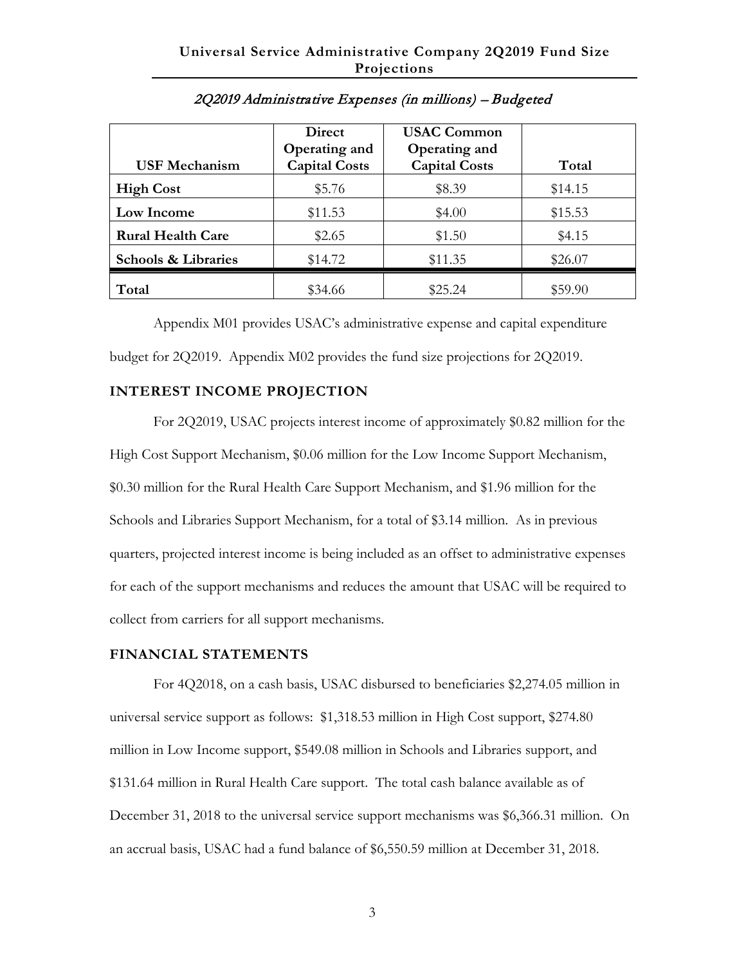| <b>USF Mechanism</b>           | <b>Direct</b><br>Operating and<br><b>Capital Costs</b> | <b>USAC Common</b><br>Operating and<br><b>Capital Costs</b> | Total   |
|--------------------------------|--------------------------------------------------------|-------------------------------------------------------------|---------|
| <b>High Cost</b>               | \$5.76                                                 | \$8.39                                                      | \$14.15 |
| Low Income                     | \$11.53                                                | \$4.00                                                      | \$15.53 |
| <b>Rural Health Care</b>       | \$2.65                                                 | \$1.50                                                      | \$4.15  |
| <b>Schools &amp; Libraries</b> | \$14.72                                                | \$11.35                                                     | \$26.07 |
| Total                          | \$34.66                                                | \$25.24                                                     | \$59.90 |

# 2Q2019 Administrative Expenses (in millions) – Budgeted

Appendix M01 provides USAC's administrative expense and capital expenditure budget for 2Q2019. Appendix M02 provides the fund size projections for 2Q2019.

# **INTEREST INCOME PROJECTION**

For 2Q2019, USAC projects interest income of approximately \$0.82 million for the High Cost Support Mechanism, \$0.06 million for the Low Income Support Mechanism, \$0.30 million for the Rural Health Care Support Mechanism, and \$1.96 million for the Schools and Libraries Support Mechanism, for a total of \$3.14 million. As in previous quarters, projected interest income is being included as an offset to administrative expenses for each of the support mechanisms and reduces the amount that USAC will be required to collect from carriers for all support mechanisms.

#### **FINANCIAL STATEMENTS**

For 4Q2018, on a cash basis, USAC disbursed to beneficiaries \$2,274.05 million in universal service support as follows: \$1,318.53 million in High Cost support, \$274.80 million in Low Income support, \$549.08 million in Schools and Libraries support, and \$131.64 million in Rural Health Care support. The total cash balance available as of December 31, 2018 to the universal service support mechanisms was \$6,366.31 million. On an accrual basis, USAC had a fund balance of \$6,550.59 million at December 31, 2018.

3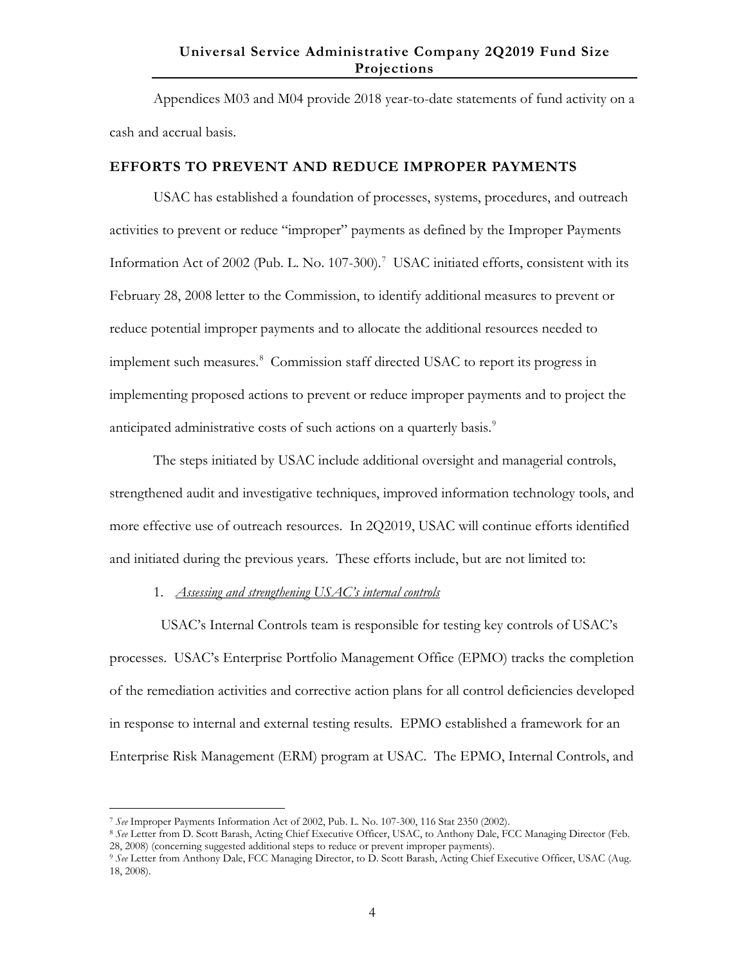Appendices M03 and M04 provide 2018 year-to-date statements of fund activity on a cash and accrual basis.

#### **EFFORTS TO PREVENT AND REDUCE IMPROPER PAYMENTS**

USAC has established a foundation of processes, systems, procedures, and outreach activities to prevent or reduce "improper" payments as defined by the Improper Payments Information Act of 2002 (Pub. L. No. 10[7](#page-10-0)-300).<sup>7</sup> USAC initiated efforts, consistent with its February 28, 2008 letter to the Commission, to identify additional measures to prevent or reduce potential improper payments and to allocate the additional resources needed to implement such measures.<sup>[8](#page-10-1)</sup> Commission staff directed USAC to report its progress in implementing proposed actions to prevent or reduce improper payments and to project the anticipated administrative costs of such actions on a quarterly basis.<sup>[9](#page-10-2)</sup>

The steps initiated by USAC include additional oversight and managerial controls, strengthened audit and investigative techniques, improved information technology tools, and more effective use of outreach resources. In 2Q2019, USAC will continue efforts identified and initiated during the previous years. These efforts include, but are not limited to:

#### 1. *Assessing and strengthening USAC's internal controls*

 USAC's Internal Controls team is responsible for testing key controls of USAC's processes. USAC's Enterprise Portfolio Management Office (EPMO) tracks the completion of the remediation activities and corrective action plans for all control deficiencies developed in response to internal and external testing results. EPMO established a framework for an Enterprise Risk Management (ERM) program at USAC. The EPMO, Internal Controls, and

<sup>7</sup> *See* Improper Payments Information Act of 2002, Pub. L. No. 107-300, 116 Stat 2350 (2002).

<span id="page-10-1"></span><span id="page-10-0"></span><sup>8</sup> *See* Letter from D. Scott Barash, Acting Chief Executive Officer, USAC, to Anthony Dale, FCC Managing Director (Feb. 28, 2008) (concerning suggested additional steps to reduce or prevent improper payments).

<span id="page-10-2"></span><sup>9</sup> *See* Letter from Anthony Dale, FCC Managing Director, to D. Scott Barash, Acting Chief Executive Officer, USAC (Aug. 18, 2008).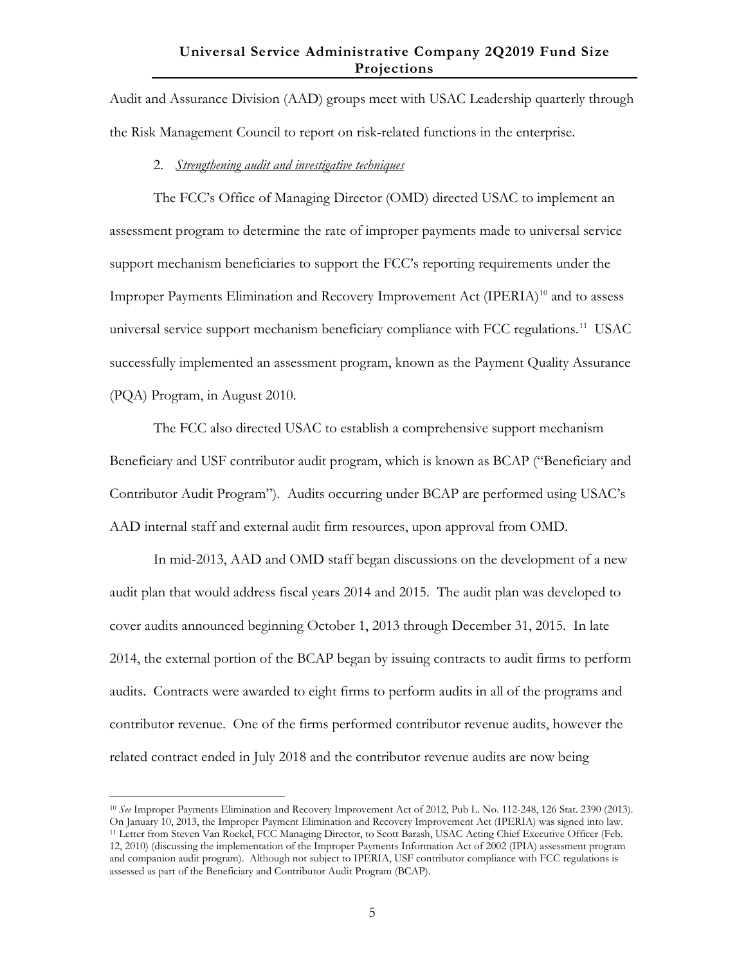Audit and Assurance Division (AAD) groups meet with USAC Leadership quarterly through the Risk Management Council to report on risk-related functions in the enterprise.

#### 2. *Strengthening audit and investigative techniques*

The FCC's Office of Managing Director (OMD) directed USAC to implement an assessment program to determine the rate of improper payments made to universal service support mechanism beneficiaries to support the FCC's reporting requirements under the Improper Payments Elimination and Recovery Improvement Act  $(IPERIA)^{10}$  $(IPERIA)^{10}$  $(IPERIA)^{10}$  and to assess universal service support mechanism beneficiary compliance with FCC regulations.<sup>[11](#page-11-1)</sup> USAC successfully implemented an assessment program, known as the Payment Quality Assurance (PQA) Program, in August 2010.

The FCC also directed USAC to establish a comprehensive support mechanism Beneficiary and USF contributor audit program, which is known as BCAP ("Beneficiary and Contributor Audit Program"). Audits occurring under BCAP are performed using USAC's AAD internal staff and external audit firm resources, upon approval from OMD.

In mid-2013, AAD and OMD staff began discussions on the development of a new audit plan that would address fiscal years 2014 and 2015. The audit plan was developed to cover audits announced beginning October 1, 2013 through December 31, 2015. In late 2014, the external portion of the BCAP began by issuing contracts to audit firms to perform audits. Contracts were awarded to eight firms to perform audits in all of the programs and contributor revenue. One of the firms performed contributor revenue audits, however the related contract ended in July 2018 and the contributor revenue audits are now being

<span id="page-11-1"></span><span id="page-11-0"></span><sup>10</sup> *See* Improper Payments Elimination and Recovery Improvement Act of 2012, Pub L. No. 112-248, 126 Stat. 2390 (2013). On January 10, 2013, the Improper Payment Elimination and Recovery Improvement Act (IPERIA) was signed into law. <sup>11</sup> Letter from Steven Van Roekel, FCC Managing Director, to Scott Barash, USAC Acting Chief Executive Officer (Feb. 12, 2010) (discussing the implementation of the Improper Payments Information Act of 2002 (IPIA) assessment program and companion audit program). Although not subject to IPERIA, USF contributor compliance with FCC regulations is assessed as part of the Beneficiary and Contributor Audit Program (BCAP).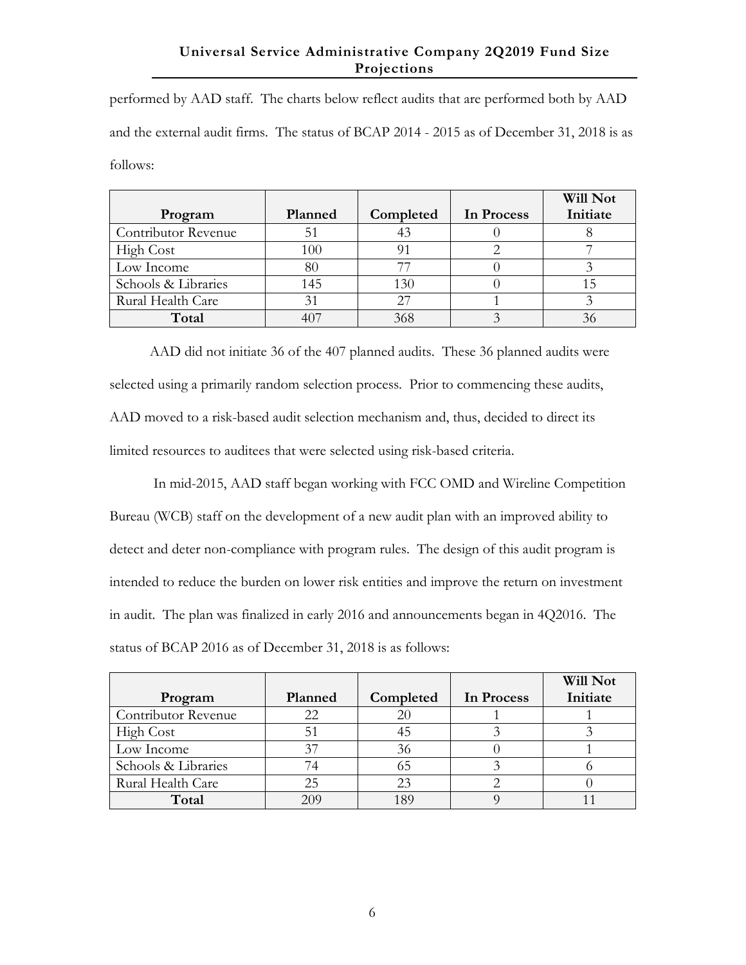performed by AAD staff. The charts below reflect audits that are performed both by AAD and the external audit firms. The status of BCAP 2014 - 2015 as of December 31, 2018 is as follows:

|                     |         |           |            | Will Not |
|---------------------|---------|-----------|------------|----------|
| Program             | Planned | Completed | In Process | Initiate |
| Contributor Revenue | 51      | 43        |            |          |
| <b>High Cost</b>    | 100     |           |            |          |
| Low Income          | 80      |           |            |          |
| Schools & Libraries | 145     | 130       |            |          |
| Rural Health Care   | 31      | 27        |            |          |
| Total               | 407     | 368       |            | 36       |

 AAD did not initiate 36 of the 407 planned audits. These 36 planned audits were selected using a primarily random selection process. Prior to commencing these audits, AAD moved to a risk-based audit selection mechanism and, thus, decided to direct its limited resources to auditees that were selected using risk-based criteria.

In mid-2015, AAD staff began working with FCC OMD and Wireline Competition Bureau (WCB) staff on the development of a new audit plan with an improved ability to detect and deter non-compliance with program rules. The design of this audit program is intended to reduce the burden on lower risk entities and improve the return on investment in audit. The plan was finalized in early 2016 and announcements began in 4Q2016. The status of BCAP 2016 as of December 31, 2018 is as follows:

|                            |         |           |            | Will Not |
|----------------------------|---------|-----------|------------|----------|
| Program                    | Planned | Completed | In Process | Initiate |
| <b>Contributor Revenue</b> | 22      | 20        |            |          |
| <b>High Cost</b>           | 51      | 45        |            |          |
| Low Income                 | 27      | 36        |            |          |
| Schools & Libraries        |         | 65        |            |          |
| Rural Health Care          | 25      | 23        |            |          |
| Total                      | 209     | 189       |            |          |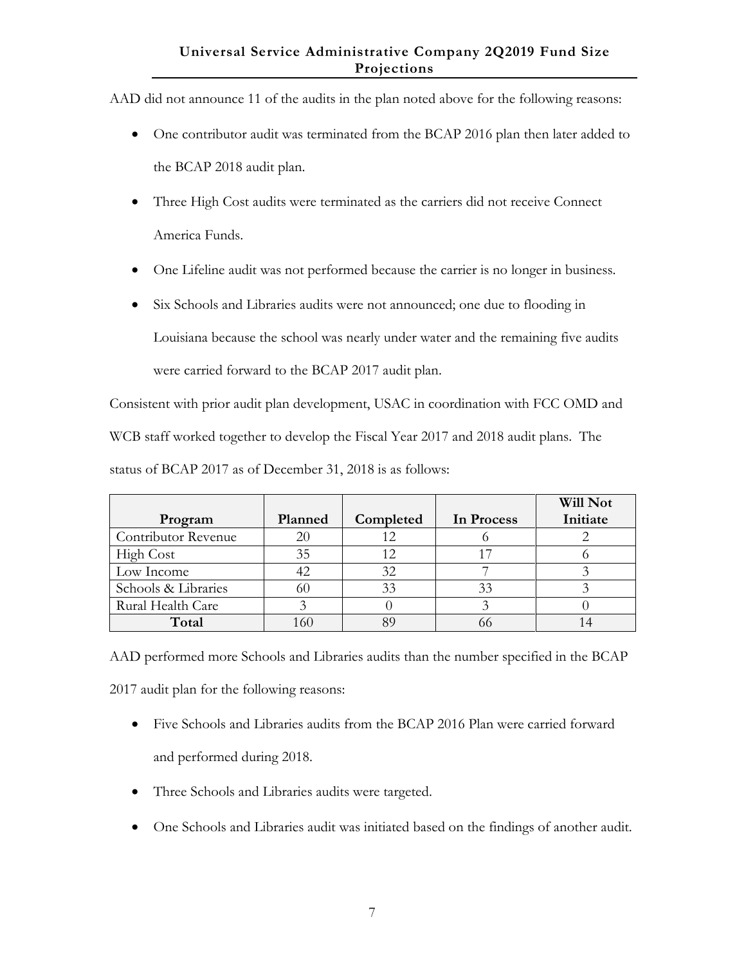AAD did not announce 11 of the audits in the plan noted above for the following reasons:

- One contributor audit was terminated from the BCAP 2016 plan then later added to the BCAP 2018 audit plan.
- Three High Cost audits were terminated as the carriers did not receive Connect America Funds.
- One Lifeline audit was not performed because the carrier is no longer in business.
- Six Schools and Libraries audits were not announced; one due to flooding in Louisiana because the school was nearly under water and the remaining five audits were carried forward to the BCAP 2017 audit plan.

Consistent with prior audit plan development, USAC in coordination with FCC OMD and WCB staff worked together to develop the Fiscal Year 2017 and 2018 audit plans. The status of BCAP 2017 as of December 31, 2018 is as follows:

|                     |         |           |            | Will Not |
|---------------------|---------|-----------|------------|----------|
| Program             | Planned | Completed | In Process | Initiate |
| Contributor Revenue | 20      | 12        |            |          |
| <b>High Cost</b>    | 35      | 12        |            |          |
| Low Income          | 42.     | 32        |            |          |
| Schools & Libraries |         | 33        |            |          |
| Rural Health Care   |         |           |            |          |
| Total               | 160     | ЯC        |            |          |

AAD performed more Schools and Libraries audits than the number specified in the BCAP 2017 audit plan for the following reasons:

- Five Schools and Libraries audits from the BCAP 2016 Plan were carried forward and performed during 2018.
- Three Schools and Libraries audits were targeted.
- One Schools and Libraries audit was initiated based on the findings of another audit.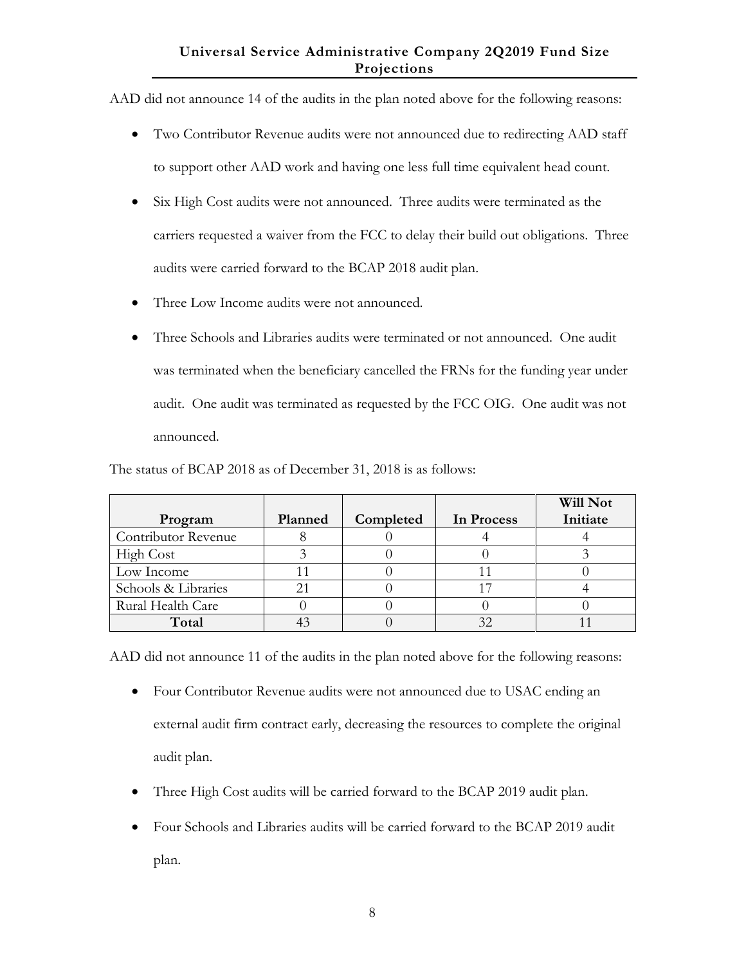AAD did not announce 14 of the audits in the plan noted above for the following reasons:

- Two Contributor Revenue audits were not announced due to redirecting AAD staff to support other AAD work and having one less full time equivalent head count.
- Six High Cost audits were not announced. Three audits were terminated as the carriers requested a waiver from the FCC to delay their build out obligations. Three audits were carried forward to the BCAP 2018 audit plan.
- Three Low Income audits were not announced.
- Three Schools and Libraries audits were terminated or not announced. One audit was terminated when the beneficiary cancelled the FRNs for the funding year under audit. One audit was terminated as requested by the FCC OIG. One audit was not announced.

|                            |         |           |            | Will Not |
|----------------------------|---------|-----------|------------|----------|
| Program                    | Planned | Completed | In Process | Initiate |
| <b>Contributor Revenue</b> |         |           |            |          |
| High Cost                  |         |           |            |          |
| Low Income                 |         |           |            |          |
| Schools & Libraries        |         |           |            |          |
| Rural Health Care          |         |           |            |          |
| Total                      |         |           |            |          |

The status of BCAP 2018 as of December 31, 2018 is as follows:

AAD did not announce 11 of the audits in the plan noted above for the following reasons:

- Four Contributor Revenue audits were not announced due to USAC ending an external audit firm contract early, decreasing the resources to complete the original audit plan.
- Three High Cost audits will be carried forward to the BCAP 2019 audit plan.
- Four Schools and Libraries audits will be carried forward to the BCAP 2019 audit plan.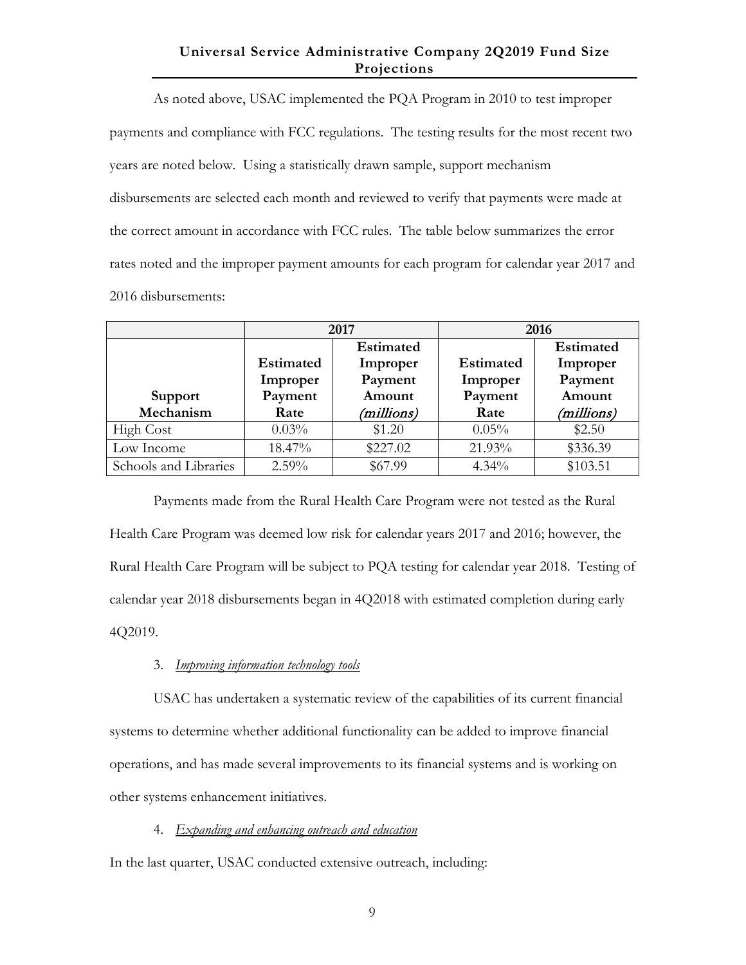As noted above, USAC implemented the PQA Program in 2010 to test improper payments and compliance with FCC regulations. The testing results for the most recent two years are noted below. Using a statistically drawn sample, support mechanism disbursements are selected each month and reviewed to verify that payments were made at the correct amount in accordance with FCC rules. The table below summarizes the error rates noted and the improper payment amounts for each program for calendar year 2017 and 2016 disbursements:

|                       | 2017             |                  |           | 2016       |
|-----------------------|------------------|------------------|-----------|------------|
|                       |                  | <b>Estimated</b> |           | Estimated  |
|                       | <b>Estimated</b> | Improper         | Estimated | Improper   |
|                       | Improper         | Payment          | Improper  | Payment    |
| Support               | Payment          | Amount           | Payment   | Amount     |
| Mechanism             | Rate             | (millions)       | Rate      | (millions) |
| <b>High Cost</b>      | $0.03\%$         | \$1.20           | $0.05\%$  | \$2.50     |
| Low Income            | 18.47%           | \$227.02         | 21.93%    | \$336.39   |
| Schools and Libraries | $2.59\%$         | \$67.99          | $4.34\%$  | \$103.51   |

Payments made from the Rural Health Care Program were not tested as the Rural Health Care Program was deemed low risk for calendar years 2017 and 2016; however, the Rural Health Care Program will be subject to PQA testing for calendar year 2018. Testing of calendar year 2018 disbursements began in 4Q2018 with estimated completion during early 4Q2019.

# 3. *Improving information technology tools*

USAC has undertaken a systematic review of the capabilities of its current financial systems to determine whether additional functionality can be added to improve financial operations, and has made several improvements to its financial systems and is working on other systems enhancement initiatives.

#### 4. *Expanding and enhancing outreach and education*

In the last quarter, USAC conducted extensive outreach, including: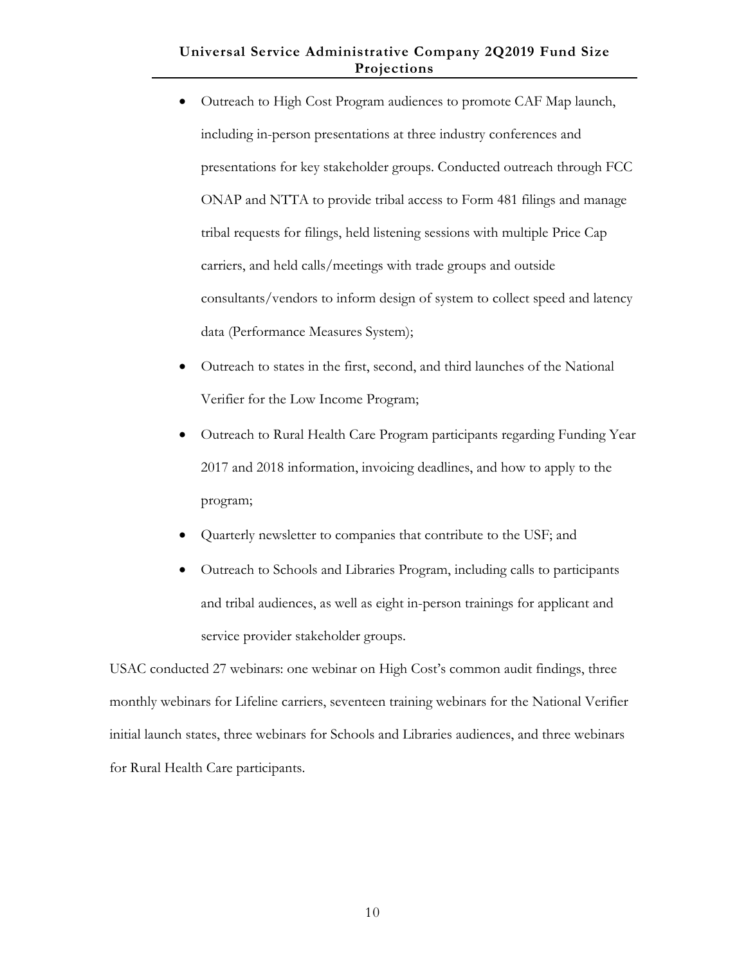- Outreach to High Cost Program audiences to promote CAF Map launch, including in-person presentations at three industry conferences and presentations for key stakeholder groups. Conducted outreach through FCC ONAP and NTTA to provide tribal access to Form 481 filings and manage tribal requests for filings, held listening sessions with multiple Price Cap carriers, and held calls/meetings with trade groups and outside consultants/vendors to inform design of system to collect speed and latency data (Performance Measures System);
- Outreach to states in the first, second, and third launches of the National Verifier for the Low Income Program;
- Outreach to Rural Health Care Program participants regarding Funding Year 2017 and 2018 information, invoicing deadlines, and how to apply to the program;
- Quarterly newsletter to companies that contribute to the USF; and
- Outreach to Schools and Libraries Program, including calls to participants and tribal audiences, as well as eight in-person trainings for applicant and service provider stakeholder groups.

USAC conducted 27 webinars: one webinar on High Cost's common audit findings, three monthly webinars for Lifeline carriers, seventeen training webinars for the National Verifier initial launch states, three webinars for Schools and Libraries audiences, and three webinars for Rural Health Care participants.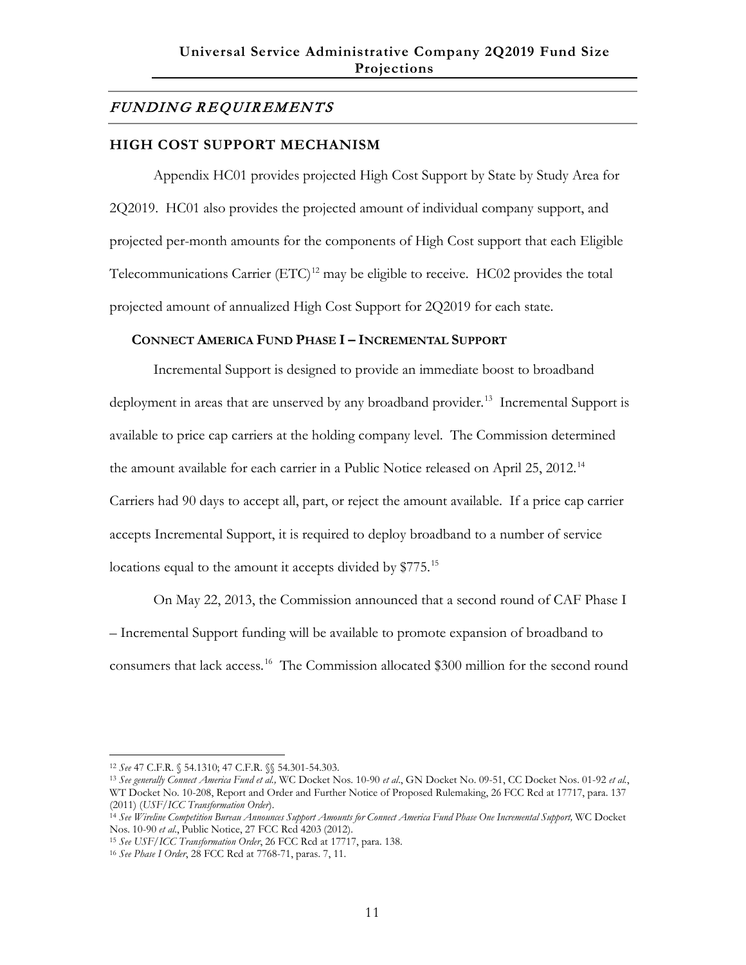# FUNDING REQUIREMENTS

#### **HIGH COST SUPPORT MECHANISM**

Appendix HC01 provides projected High Cost Support by State by Study Area for 2Q2019. HC01 also provides the projected amount of individual company support, and projected per-month amounts for the components of High Cost support that each Eligible Telecommunications Carrier (ETC)<sup>[12](#page-17-0)</sup> may be eligible to receive. HC02 provides the total projected amount of annualized High Cost Support for 2Q2019 for each state.

#### **CONNECT AMERICA FUND PHASE I – INCREMENTAL SUPPORT**

Incremental Support is designed to provide an immediate boost to broadband deployment in areas that are unserved by any broadband provider.<sup>[13](#page-17-1)</sup> Incremental Support is available to price cap carriers at the holding company level. The Commission determined the amount available for each carrier in a Public Notice released on April 25, 2012.<sup>[14](#page-17-2)</sup> Carriers had 90 days to accept all, part, or reject the amount available. If a price cap carrier accepts Incremental Support, it is required to deploy broadband to a number of service locations equal to the amount it accepts divided by \$775.<sup>[15](#page-17-3)</sup>

On May 22, 2013, the Commission announced that a second round of CAF Phase I – Incremental Support funding will be available to promote expansion of broadband to consumers that lack access.<sup>16</sup> The Commission allocated \$300 million for the second round

 $\overline{a}$ <sup>12</sup> *See* 47 C.F.R. § 54.1310; 47 C.F.R. §§ 54.301-54.303.

<span id="page-17-1"></span><span id="page-17-0"></span><sup>13</sup> *See generally Connect America Fund et al.,* WC Docket Nos. 10-90 *et al*., GN Docket No. 09-51, CC Docket Nos. 01-92 *et al.*, WT Docket No. 10-208, Report and Order and Further Notice of Proposed Rulemaking, 26 FCC Rcd at 17717, para. 137 (2011) (*USF/ICC Transformation Order*).

<span id="page-17-2"></span><sup>14</sup> *See Wireline Competition Bureau Announces Support Amounts for Connect America Fund Phase One Incremental Support,* WC Docket Nos. 10-90 *et al*., Public Notice, 27 FCC Rcd 4203 (2012).

<span id="page-17-3"></span><sup>15</sup> *See USF/ICC Transformation Order*, 26 FCC Rcd at 17717, para. 138.

<span id="page-17-4"></span><sup>16</sup> *See Phase I Order*, 28 FCC Rcd at 7768-71, paras. 7, 11.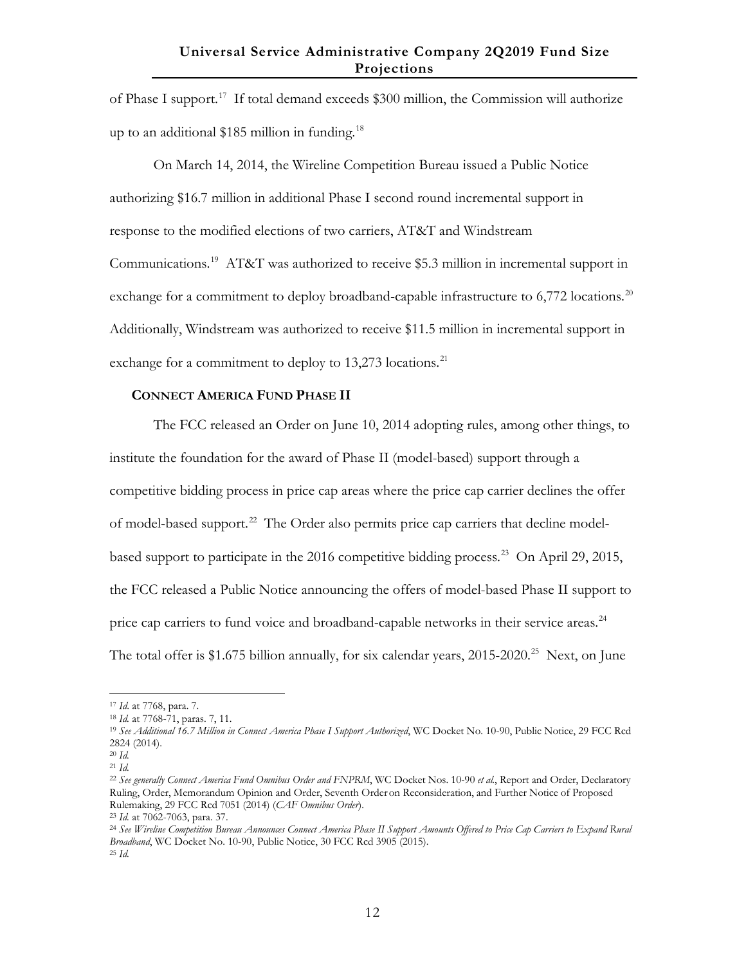of Phase I support.[17](#page-18-0) If total demand exceeds \$300 million, the Commission will authorize up to an additional  $$185$  $$185$  $$185$  million in funding.<sup>18</sup>

On March 14, 2014, the Wireline Competition Bureau issued a Public Notice authorizing \$16.7 million in additional Phase I second round incremental support in response to the modified elections of two carriers, AT&T and Windstream Communications.[19](#page-18-2) AT&T was authorized to receive \$5.3 million in incremental support in exchange for a commitment to deploy broadband-capable infrastructure to  $6,772$  locations.<sup>20</sup> Additionally, Windstream was authorized to receive \$11.5 million in incremental support in exchange for a commitment to deploy to 13,273 locations.<sup>21</sup>

#### **CONNECT AMERICA FUND PHASE II**

The FCC released an Order on June 10, 2014 adopting rules, among other things, to institute the foundation for the award of Phase II (model-based) support through a competitive bidding process in price cap areas where the price cap carrier declines the offer of model-based support.<sup>[22](#page-18-5)</sup> The Order also permits price cap carriers that decline model-based support to participate in the 2016 competitive bidding process.<sup>[23](#page-18-6)</sup> On April 29, 2015, the FCC released a Public Notice announcing the offers of model-based Phase II support to price cap carriers to fund voice and broadband-capable networks in their service areas.<sup>[24](#page-18-7)</sup> The total offer is \$1.675 billion annually, for six calendar years, 2015-2020.<sup>25</sup> Next, on June

<sup>17</sup> *Id*. at 7768, para. 7.

<span id="page-18-1"></span><span id="page-18-0"></span><sup>18</sup> *Id.* at 7768-71, paras. 7, 11.

<span id="page-18-2"></span><sup>19</sup> *See Additional 16.7 Million in Connect America Phase I Support Authorized*, WC Docket No. 10-90, Public Notice, 29 FCC Rcd 2824 (2014).

<span id="page-18-3"></span><sup>20</sup> *Id.*

<sup>21</sup> *Id.*

<span id="page-18-5"></span><span id="page-18-4"></span><sup>22</sup> *See generally Connect America Fund Omnibus Order and FNPRM*, WC Docket Nos. 10-90 *et al.*, Report and Order, Declaratory Ruling, Order, Memorandum Opinion and Order, Seventh Orderon Reconsideration, and Further Notice of Proposed Rulemaking, 29 FCC Rcd 7051 (2014) (*CAF Omnibus Order*). <sup>23</sup> *Id.* at 7062-7063, para. 37.

<span id="page-18-7"></span><span id="page-18-6"></span><sup>24</sup> *See Wireline Competition Bureau Announces Connect America Phase II Support Amounts Offered to Price Cap Carriers to Expand Rural Broadband*, WC Docket No. 10-90, Public Notice, 30 FCC Rcd 3905 (2015).

<span id="page-18-8"></span><sup>25</sup> *Id.*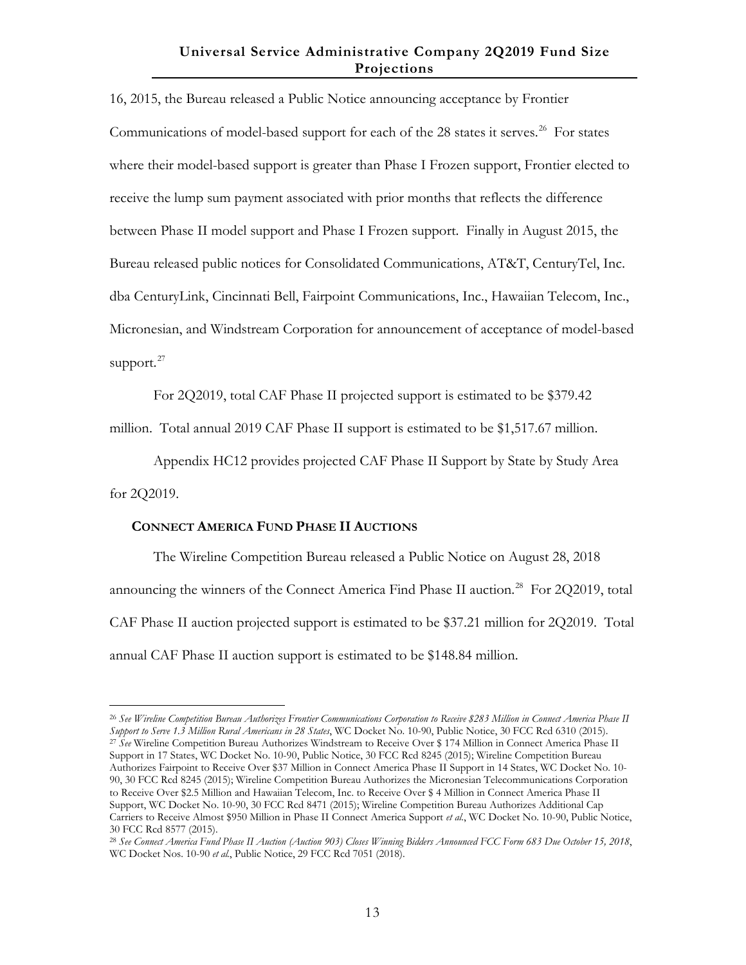16, 2015, the Bureau released a Public Notice announcing acceptance by Frontier Communications of model-based support for each of the 28 states it serves.<sup>26</sup> For states where their model-based support is greater than Phase I Frozen support, Frontier elected to receive the lump sum payment associated with prior months that reflects the difference between Phase II model support and Phase I Frozen support. Finally in August 2015, the Bureau released public notices for Consolidated Communications, AT&T, CenturyTel, Inc. dba CenturyLink, Cincinnati Bell, Fairpoint Communications, Inc., Hawaiian Telecom, Inc., Micronesian, and Windstream Corporation for announcement of acceptance of model-based support.<sup>27</sup>

For 2Q2019, total CAF Phase II projected support is estimated to be \$379.42

million. Total annual 2019 CAF Phase II support is estimated to be \$1,517.67 million.

Appendix HC12 provides projected CAF Phase II Support by State by Study Area

for 2Q2019.

 $\overline{a}$ 

#### **CONNECT AMERICA FUND PHASE II AUCTIONS**

The Wireline Competition Bureau released a Public Notice on August 28, 2018 announcing the winners of the Connect America Find Phase II auction. [28](#page-19-2) For 2Q2019, total CAF Phase II auction projected support is estimated to be \$37.21 million for 2Q2019. Total annual CAF Phase II auction support is estimated to be \$148.84 million.

<span id="page-19-1"></span><span id="page-19-0"></span><sup>26</sup> *See Wireline Competition Bureau Authorizes Frontier Communications Corporation to Receive \$283 Million in Connect America Phase II Support to Serve 1.3 Million Rural Americans in 28 States*, WC Docket No. 10-90, Public Notice, 30 FCC Rcd 6310 (2015). <sup>27</sup> *See* Wireline Competition Bureau Authorizes Windstream to Receive Over \$ 174 Million in Connect America Phase II Support in 17 States, WC Docket No. 10-90, Public Notice, 30 FCC Rcd 8245 (2015); Wireline Competition Bureau Authorizes Fairpoint to Receive Over \$37 Million in Connect America Phase II Support in 14 States, WC Docket No. 10- 90, 30 FCC Rcd 8245 (2015); Wireline Competition Bureau Authorizes the Micronesian Telecommunications Corporation to Receive Over \$2.5 Million and Hawaiian Telecom, Inc. to Receive Over \$ 4 Million in Connect America Phase II Support, WC Docket No. 10-90, 30 FCC Rcd 8471 (2015); Wireline Competition Bureau Authorizes Additional Cap Carriers to Receive Almost \$950 Million in Phase II Connect America Support *et al.*, WC Docket No. 10-90, Public Notice, 30 FCC Rcd 8577 (2015).

<span id="page-19-2"></span><sup>28</sup> *See Connect America Fund Phase II Auction (Auction 903) Closes Winning Bidders Announced FCC Form 683 Due October 15, 2018*, WC Docket Nos. 10-90 *et al.*, Public Notice, 29 FCC Rcd 7051 (2018).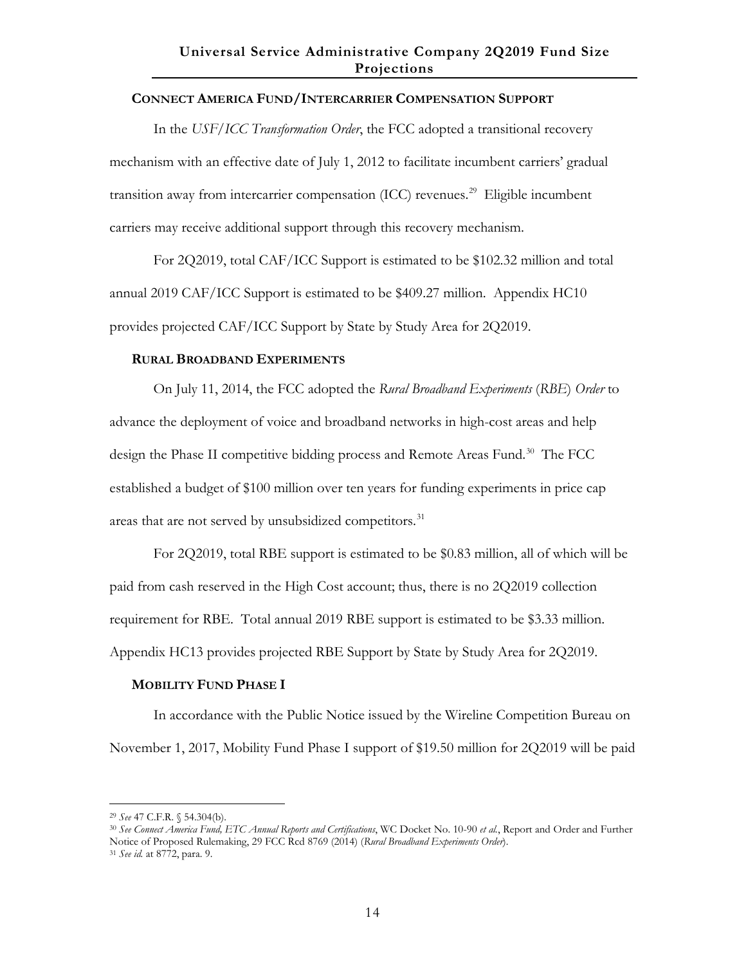#### **CONNECT AMERICA FUND/INTERCARRIER COMPENSATION SUPPORT**

In the *USF/ICC Transformation Order*, the FCC adopted a transitional recovery mechanism with an effective date of July 1, 2012 to facilitate incumbent carriers' gradual transition away from intercarrier compensation  $(ICC)$  revenues.<sup>29</sup> Eligible incumbent carriers may receive additional support through this recovery mechanism.

For 2Q2019, total CAF/ICC Support is estimated to be \$102.32 million and total annual 2019 CAF/ICC Support is estimated to be \$409.27 million. Appendix HC10 provides projected CAF/ICC Support by State by Study Area for 2Q2019.

#### **RURAL BROADBAND EXPERIMENTS**

On July 11, 2014, the FCC adopted the *Rural Broadband Experiments* (*RBE*) *Order* to advance the deployment of voice and broadband networks in high-cost areas and help design the Phase II competitive bidding process and Remote Areas Fund.<sup>30</sup> The FCC established a budget of \$100 million over ten years for funding experiments in price cap areas that are not served by unsubsidized competitors.<sup>31</sup>

For 2Q2019, total RBE support is estimated to be \$0.83 million, all of which will be paid from cash reserved in the High Cost account; thus, there is no 2Q2019 collection requirement for RBE. Total annual 2019 RBE support is estimated to be \$3.33 million. Appendix HC13 provides projected RBE Support by State by Study Area for 2Q2019.

#### **MOBILITY FUND PHASE I**

In accordance with the Public Notice issued by the Wireline Competition Bureau on November 1, 2017, Mobility Fund Phase I support of \$19.50 million for 2Q2019 will be paid

 $\overline{a}$ <sup>29</sup> *See* 47 C.F.R. § 54.304(b).

<span id="page-20-1"></span><span id="page-20-0"></span><sup>30</sup> *See Connect America Fund, ETC Annual Reports and Certifications*, WC Docket No. 10-90 *et al.*, Report and Order and Further Notice of Proposed Rulemaking, 29 FCC Rcd 8769 (2014) (*Rural Broadband Experiments Order*).

<span id="page-20-2"></span><sup>31</sup> *See id.* at 8772, para. 9.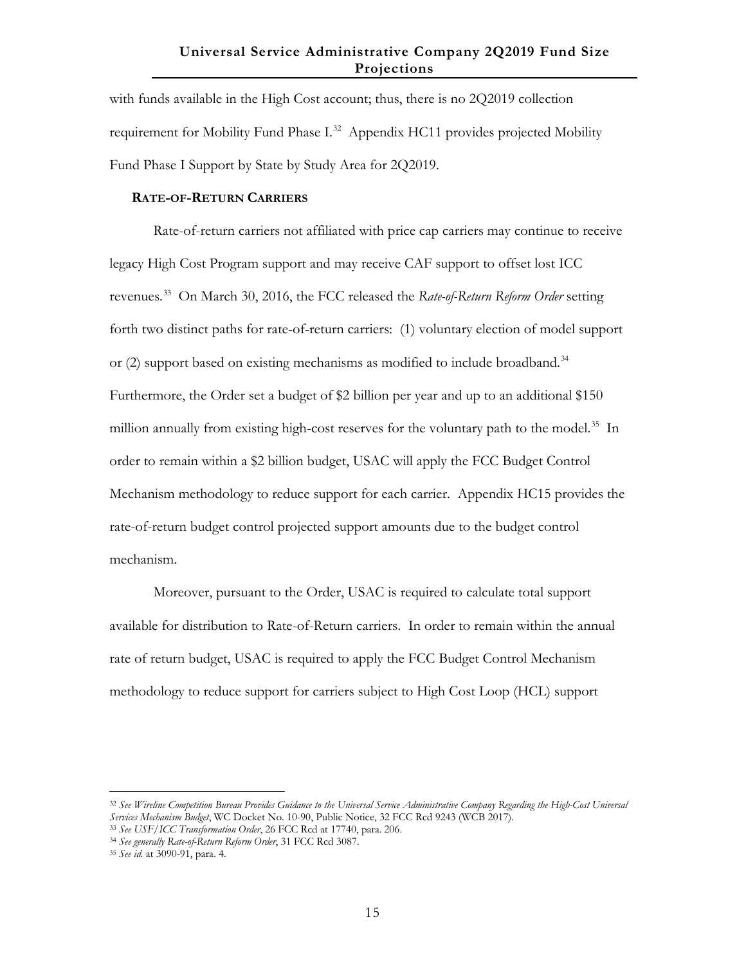with funds available in the High Cost account; thus, there is no 2Q2019 collection requirement for Mobility Fund Phase I.<sup>[32](#page-21-0)</sup> Appendix HC11 provides projected Mobility Fund Phase I Support by State by Study Area for 2Q2019.

#### **RATE-OF-RETURN CARRIERS**

Rate-of-return carriers not affiliated with price cap carriers may continue to receive legacy High Cost Program support and may receive CAF support to offset lost ICC revenues.[33](#page-21-1) On March 30, 2016, the FCC released the *Rate-of-Return Reform Order* setting forth two distinct paths for rate-of-return carriers: (1) voluntary election of model support or  $(2)$  support based on existing mechanisms as modified to include broadband.<sup>[34](#page-21-2)</sup> Furthermore, the Order set a budget of \$2 billion per year and up to an additional \$150 million annually from existing high-cost reserves for the voluntary path to the model.<sup>[35](#page-21-3)</sup> In order to remain within a \$2 billion budget, USAC will apply the FCC Budget Control Mechanism methodology to reduce support for each carrier. Appendix HC15 provides the rate-of-return budget control projected support amounts due to the budget control mechanism.

Moreover, pursuant to the Order, USAC is required to calculate total support available for distribution to Rate-of-Return carriers. In order to remain within the annual rate of return budget, USAC is required to apply the FCC Budget Control Mechanism methodology to reduce support for carriers subject to High Cost Loop (HCL) support

<span id="page-21-1"></span><span id="page-21-0"></span><sup>32</sup> *See Wireline Competition Bureau Provides Guidance to the Universal Service Administrative Company Regarding the High-Cost Universal Services Mechanism Budget*, WC Docket No. 10-90, Public Notice, 32 FCC Rcd 9243 (WCB 2017).

<span id="page-21-2"></span><sup>33</sup> *See USF/ICC Transformation Order*, 26 FCC Rcd at 17740, para. 206.

<span id="page-21-3"></span><sup>34</sup> *See generally Rate-of-Return Reform Order*, 31 FCC Rcd 3087.

<sup>35</sup> *See id.* at 3090-91, para. 4.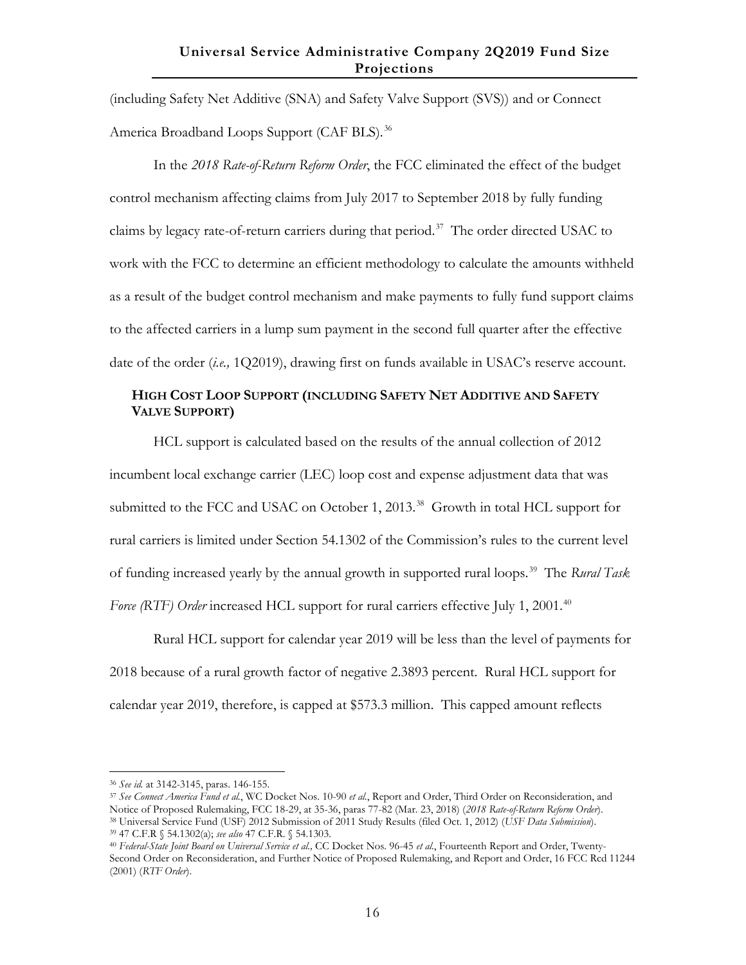(including Safety Net Additive (SNA) and Safety Valve Support (SVS)) and or Connect America Broadband Loops Support (CAF BLS).<sup>[36](#page-22-0)</sup>

In the *2018 Rate-of-Return Reform Order*, the FCC eliminated the effect of the budget control mechanism affecting claims from July 2017 to September 2018 by fully funding claims by legacy rate-of-return carriers during that period. [37](#page-22-1) The order directed USAC to work with the FCC to determine an efficient methodology to calculate the amounts withheld as a result of the budget control mechanism and make payments to fully fund support claims to the affected carriers in a lump sum payment in the second full quarter after the effective date of the order (*i.e.,* 1Q2019), drawing first on funds available in USAC's reserve account.

## **HIGH COST LOOP SUPPORT (INCLUDING SAFETY NET ADDITIVE AND SAFETY VALVE SUPPORT)**

HCL support is calculated based on the results of the annual collection of 2012 incumbent local exchange carrier (LEC) loop cost and expense adjustment data that was submitted to the FCC and USAC on October 1, 2013.<sup>[38](#page-22-2)</sup> Growth in total HCL support for rural carriers is limited under Section 54.1302 of the Commission's rules to the current level of funding increased yearly by the annual growth in supported rural loops.[39](#page-22-3) The *Rural Task Force (RTF) Order* increased HCL support for rural carriers effective July 1, 2001.<sup>[40](#page-22-4)</sup>

Rural HCL support for calendar year 2019 will be less than the level of payments for 2018 because of a rural growth factor of negative 2.3893 percent. Rural HCL support for calendar year 2019, therefore, is capped at \$573.3 million. This capped amount reflects

<sup>36</sup> *See id.* at 3142-3145, paras. 146-155.

<span id="page-22-1"></span><sup>37</sup> *See Connect America Fund et al.*, WC Docket Nos. 10-90 *et al.*, Report and Order, Third Order on Reconsideration, and Notice of Proposed Rulemaking, FCC 18-29, at 35-36, paras 77-82 (Mar. 23, 2018) (*2018 Rate-of-Return Reform Order*). <sup>38</sup> Universal Service Fund (USF) 2012 Submission of 2011 Study Results (filed Oct. 1, 2012) (*USF Data Submission*). <sup>39</sup> 47 C.F.R § 54.1302(a); *see also* 47 C.F.R. § 54.1303.

<span id="page-22-4"></span><span id="page-22-3"></span><span id="page-22-2"></span><span id="page-22-0"></span><sup>40</sup> *Federal-State Joint Board on Universal Service et al.,* CC Docket Nos. 96-45 *et al.*, Fourteenth Report and Order, Twenty-Second Order on Reconsideration, and Further Notice of Proposed Rulemaking, and Report and Order, 16 FCC Rcd 11244 (2001) (*RTF Order*).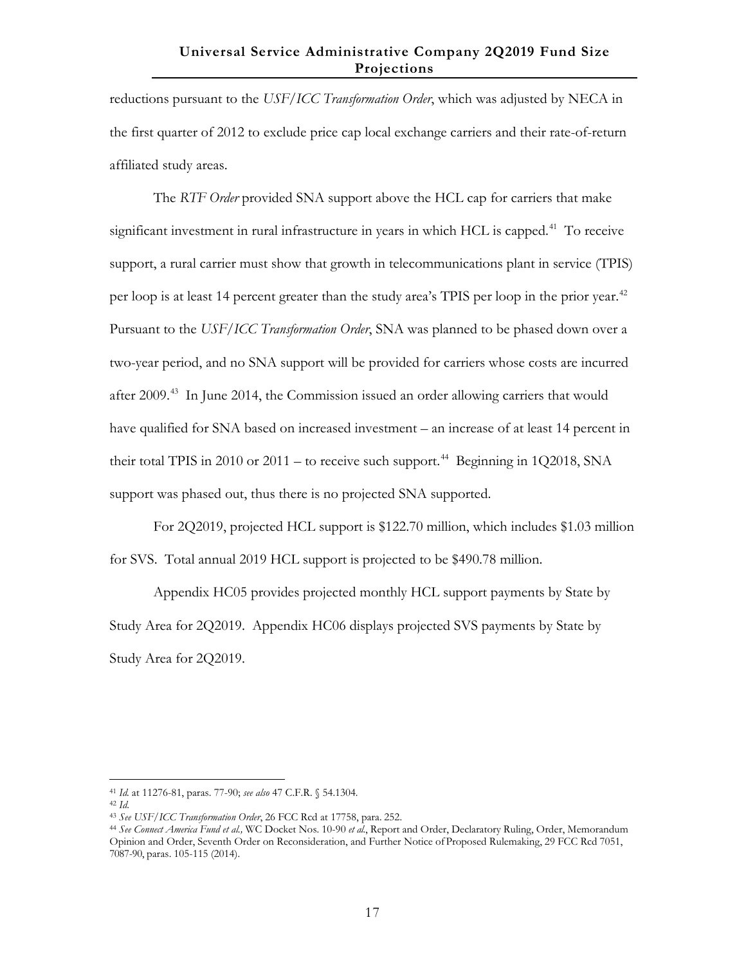reductions pursuant to the *USF/ICC Transformation Order*, which was adjusted by NECA in the first quarter of 2012 to exclude price cap local exchange carriers and their rate-of-return affiliated study areas.

The *RTF Order* provided SNA support above the HCL cap for carriers that make significant investment in rural infrastructure in years in which HCL is capped.<sup>[41](#page-23-0)</sup> To receive support, a rural carrier must show that growth in telecommunications plant in service (TPIS) per loop is at least 14 percent greater than the study area's TPIS per loop in the prior year.<sup>[42](#page-23-1)</sup> Pursuant to the *USF/ICC Transformation Order*, SNA was planned to be phased down over a two-year period, and no SNA support will be provided for carriers whose costs are incurred after 2009.<sup>[43](#page-23-2)</sup> In June 2014, the Commission issued an order allowing carriers that would have qualified for SNA based on increased investment – an increase of at least 14 percent in their total TPIS in 2010 or 2011 – to receive such support.<sup>[44](#page-23-3)</sup> Beginning in 1Q2018, SNA support was phased out, thus there is no projected SNA supported.

For 2Q2019, projected HCL support is \$122.70 million, which includes \$1.03 million for SVS. Total annual 2019 HCL support is projected to be \$490.78 million.

Appendix HC05 provides projected monthly HCL support payments by State by Study Area for 2Q2019. Appendix HC06 displays projected SVS payments by State by Study Area for 2Q2019.

<span id="page-23-0"></span><sup>41</sup> *Id.* at 11276-81, paras. 77-90; *see also* 47 C.F.R. § 54.1304*.*

<span id="page-23-1"></span><sup>42</sup> *Id*. 43 *See USF/ICC Transformation Order*, <sup>26</sup> FCC Rcd at 17758, para. 252.

<span id="page-23-3"></span><span id="page-23-2"></span><sup>44</sup> *See Connect America Fund et al.,* WC Docket Nos. 10-90 *et al.*, Report and Order, Declaratory Ruling, Order, Memorandum Opinion and Order, Seventh Order on Reconsideration, and Further Notice ofProposed Rulemaking, 29 FCC Rcd 7051, 7087-90, paras. 105-115 (2014).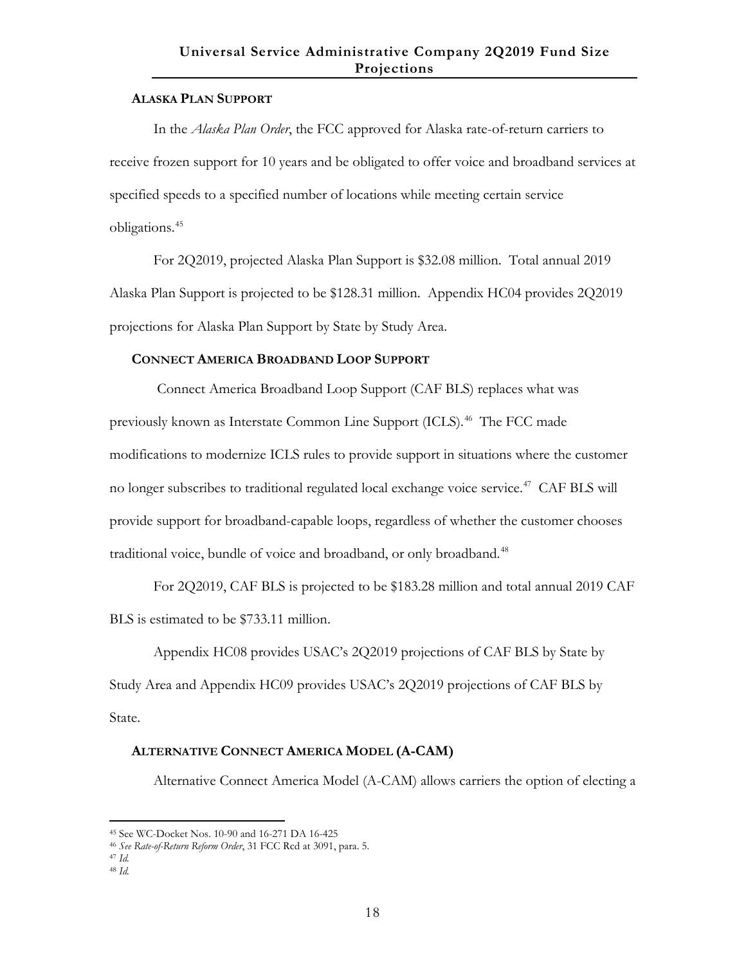#### **ALASKA PLAN SUPPORT**

In the *Alaska Plan Order*, the FCC approved for Alaska rate-of-return carriers to receive frozen support for 10 years and be obligated to offer voice and broadband services at specified speeds to a specified number of locations while meeting certain service obligations.[45](#page-24-0)

For 2Q2019, projected Alaska Plan Support is \$32.08 million. Total annual 2019 Alaska Plan Support is projected to be \$128.31 million. Appendix HC04 provides 2Q2019 projections for Alaska Plan Support by State by Study Area.

# **CONNECT AMERICA BROADBAND LOOP SUPPORT**

Connect America Broadband Loop Support (CAF BLS) replaces what was previously known as Interstate Common Line Support (ICLS). [46](#page-24-1) The FCC made modifications to modernize ICLS rules to provide support in situations where the customer no longer subscribes to traditional regulated local exchange voice service.<sup>[47](#page-24-2)</sup> CAF BLS will provide support for broadband-capable loops, regardless of whether the customer chooses traditional voice, bundle of voice and broadband, or only broadband.<sup>[48](#page-24-3)</sup>

For 2Q2019, CAF BLS is projected to be \$183.28 million and total annual 2019 CAF BLS is estimated to be \$733.11 million.

Appendix HC08 provides USAC's 2Q2019 projections of CAF BLS by State by Study Area and Appendix HC09 provides USAC's 2Q2019 projections of CAF BLS by State.

# **ALTERNATIVE CONNECT AMERICA MODEL (A-CAM)**

Alternative Connect America Model (A-CAM) allows carriers the option of electing a

<span id="page-24-0"></span> $\overline{a}$ <sup>45</sup> See WC-Docket Nos. 10-90 and 16-271 DA 16-425

<sup>46</sup> *See Rate-of-Return Reform Order*, 31 FCC Rcd at 3091, para. 5.

<span id="page-24-3"></span><span id="page-24-2"></span><span id="page-24-1"></span><sup>47</sup> *Id.*

<sup>48</sup> *Id.*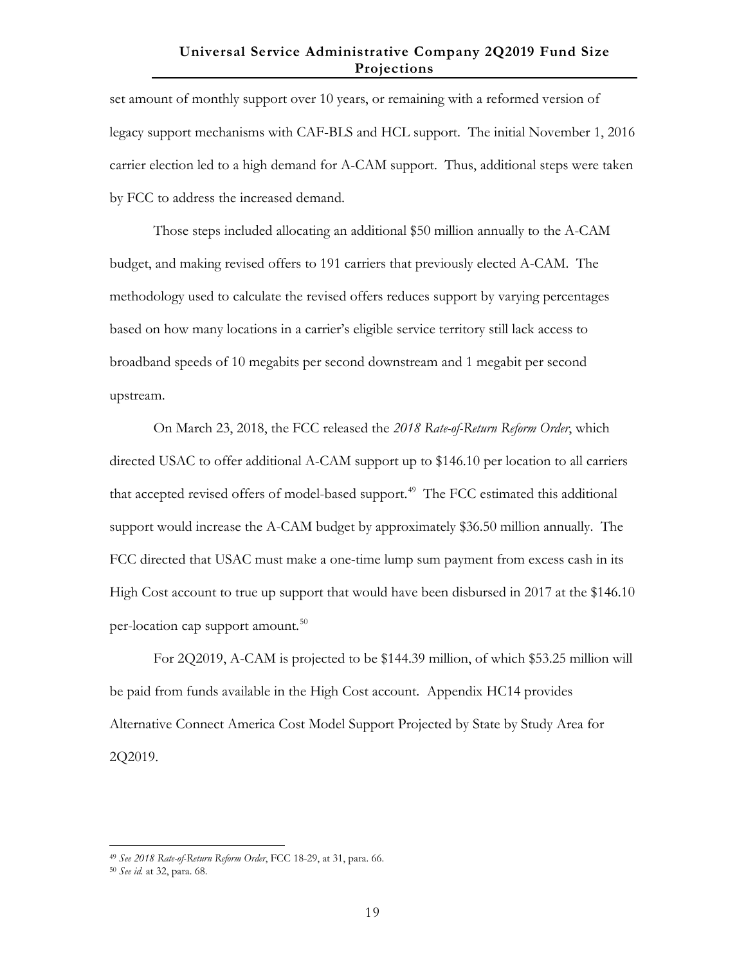set amount of monthly support over 10 years, or remaining with a reformed version of legacy support mechanisms with CAF-BLS and HCL support. The initial November 1, 2016 carrier election led to a high demand for A-CAM support. Thus, additional steps were taken by FCC to address the increased demand.

Those steps included allocating an additional \$50 million annually to the A-CAM budget, and making revised offers to 191 carriers that previously elected A-CAM. The methodology used to calculate the revised offers reduces support by varying percentages based on how many locations in a carrier's eligible service territory still lack access to broadband speeds of 10 megabits per second downstream and 1 megabit per second upstream.

On March 23, 2018, the FCC released the *2018 Rate-of-Return Reform Order*, which directed USAC to offer additional A-CAM support up to \$146.10 per location to all carriers that accepted revised offers of model-based support.<sup>49</sup> The FCC estimated this additional support would increase the A-CAM budget by approximately \$36.50 million annually. The FCC directed that USAC must make a one-time lump sum payment from excess cash in its High Cost account to true up support that would have been disbursed in 2017 at the \$146.10 per-location cap support amount.<sup>[50](#page-25-1)</sup>

For 2Q2019, A-CAM is projected to be \$144.39 million, of which \$53.25 million will be paid from funds available in the High Cost account. Appendix HC14 provides Alternative Connect America Cost Model Support Projected by State by Study Area for 2Q2019.

<span id="page-25-0"></span><sup>49</sup> *See 2018 Rate-of-Return Reform Order*, FCC 18-29, at 31, para. 66.

<span id="page-25-1"></span><sup>50</sup> *See id.* at 32, para. 68.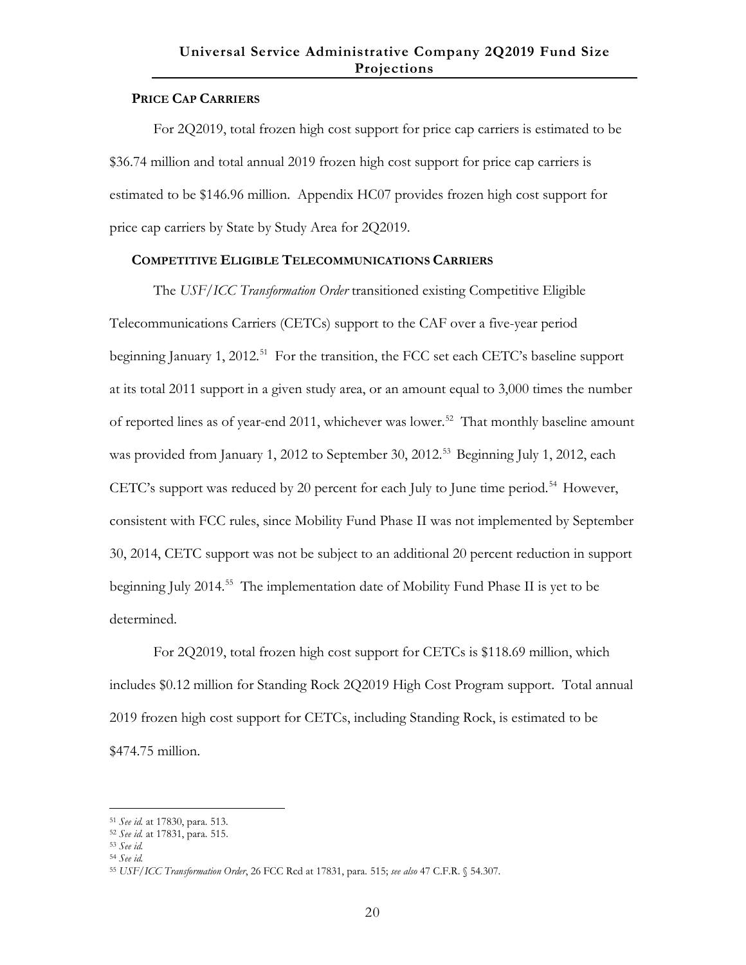#### **PRICE CAP CARRIERS**

For 2Q2019, total frozen high cost support for price cap carriers is estimated to be \$36.74 million and total annual 2019 frozen high cost support for price cap carriers is estimated to be \$146.96 million. Appendix HC07 provides frozen high cost support for price cap carriers by State by Study Area for 2Q2019.

#### **COMPETITIVE ELIGIBLE TELECOMMUNICATIONS CARRIERS**

The *USF/ICC Transformation Order* transitioned existing Competitive Eligible Telecommunications Carriers (CETCs) support to the CAF over a five-year period beginning January 1, 2012.<sup>51</sup> For the transition, the FCC set each CETC's baseline support at its total 2011 support in a given study area, or an amount equal to 3,000 times the number of reported lines as of year-end 2011, whichever was lower.<sup>[52](#page-26-1)</sup> That monthly baseline amount was provided from January 1, 2012 to September 30, 2012. [53](#page-26-2) Beginning July 1, 2012, each CETC's support was reduced by 20 percent for each July to June time period.<sup>[54](#page-26-3)</sup> However, consistent with FCC rules, since Mobility Fund Phase II was not implemented by September 30, 2014, CETC support was not be subject to an additional 20 percent reduction in support beginning July 2014.[55](#page-26-4) The implementation date of Mobility Fund Phase II is yet to be determined.

For 2Q2019, total frozen high cost support for CETCs is \$118.69 million, which includes \$0.12 million for Standing Rock 2Q2019 High Cost Program support. Total annual 2019 frozen high cost support for CETCs, including Standing Rock, is estimated to be \$474.75 million.

<span id="page-26-0"></span><sup>51</sup> *See id.* at 17830, para. 513.

<span id="page-26-1"></span><sup>52</sup> *See id.* at 17831, para. 515.

<span id="page-26-3"></span><span id="page-26-2"></span><sup>53</sup> *See id.*

<sup>54</sup> *See id.*

<span id="page-26-4"></span><sup>55</sup> *USF/ICC Transformation Order*, 26 FCC Rcd at 17831, para. 515; *see also* 47 C.F.R. § 54.307.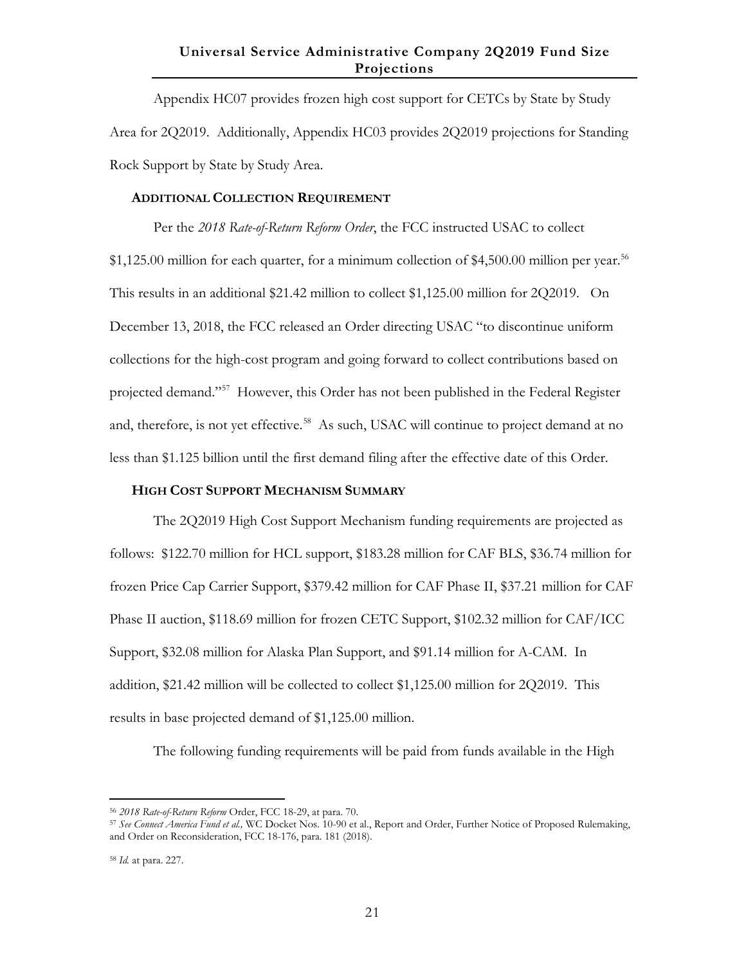Appendix HC07 provides frozen high cost support for CETCs by State by Study Area for 2Q2019. Additionally, Appendix HC03 provides 2Q2019 projections for Standing Rock Support by State by Study Area.

#### **ADDITIONAL COLLECTION REQUIREMENT**

Per the *2018 Rate-of-Return Reform Order*, the FCC instructed USAC to collect  $$1,125.00$  million for each quarter, for a minimum collection of \$4,500.00 million per year.<sup>[56](#page-27-0)</sup> This results in an additional \$21.42 million to collect \$1,125.00 million for 2Q2019. On December 13, 2018, the FCC released an Order directing USAC "to discontinue uniform collections for the high-cost program and going forward to collect contributions based on projected demand."[57](#page-27-1) However, this Order has not been published in the Federal Register and, therefore, is not yet effective.<sup>[58](#page-27-2)</sup> As such, USAC will continue to project demand at no less than \$1.125 billion until the first demand filing after the effective date of this Order.

#### **HIGH COST SUPPORT MECHANISM SUMMARY**

The 2Q2019 High Cost Support Mechanism funding requirements are projected as follows: \$122.70 million for HCL support, \$183.28 million for CAF BLS, \$36.74 million for frozen Price Cap Carrier Support, \$379.42 million for CAF Phase II, \$37.21 million for CAF Phase II auction, \$118.69 million for frozen CETC Support, \$102.32 million for CAF/ICC Support, \$32.08 million for Alaska Plan Support, and \$91.14 million for A-CAM. In addition, \$21.42 million will be collected to collect \$1,125.00 million for 2Q2019. This results in base projected demand of \$1,125.00 million.

The following funding requirements will be paid from funds available in the High

<span id="page-27-0"></span><sup>56</sup> *2018 Rate-of-Return Reform* Order, FCC 18-29, at para. 70.

<span id="page-27-1"></span><sup>57</sup> *See Connect America Fund et al.,* WC Docket Nos. 10-90 et al., Report and Order, Further Notice of Proposed Rulemaking, and Order on Reconsideration, FCC 18-176, para. 181 (2018).

<span id="page-27-2"></span><sup>58</sup> *Id.* at para. 227.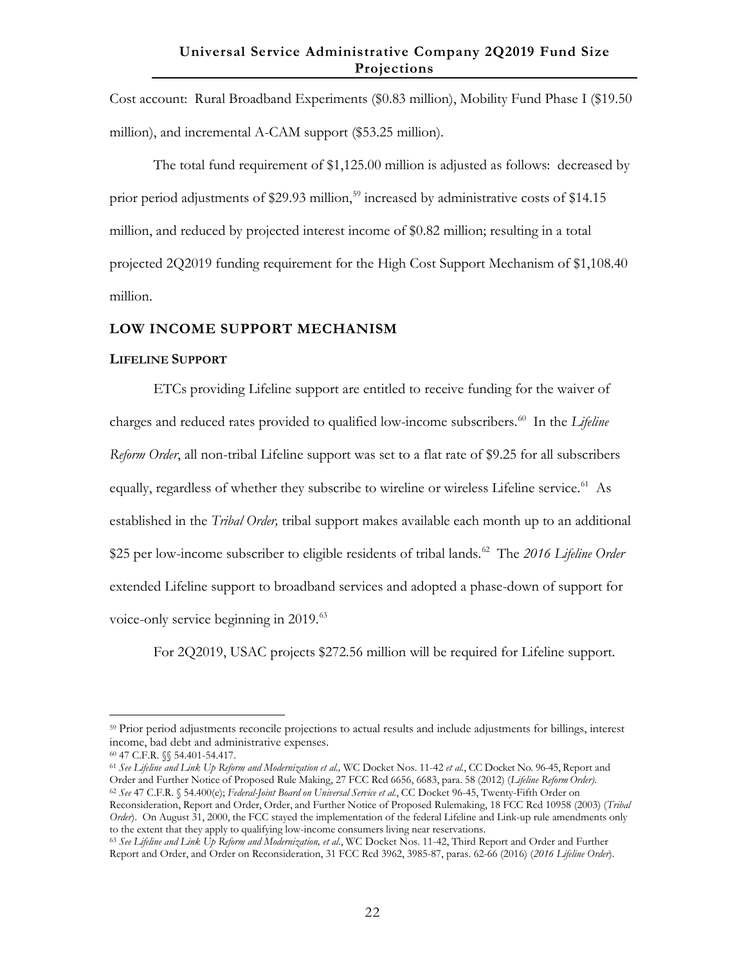Cost account: Rural Broadband Experiments (\$0.83 million), Mobility Fund Phase I (\$19.50 million), and incremental A-CAM support (\$53.25 million).

The total fund requirement of \$1,125.00 million is adjusted as follows: decreased by prior period adjustments of \$29.93 million,<sup>[59](#page-28-0)</sup> increased by administrative costs of \$14.15 million, and reduced by projected interest income of \$0.82 million; resulting in a total projected 2Q2019 funding requirement for the High Cost Support Mechanism of \$1,108.40 million.

#### **LOW INCOME SUPPORT MECHANISM**

#### **LIFELINE SUPPORT**

ETCs providing Lifeline support are entitled to receive funding for the waiver of charges and reduced rates provided to qualified low-income subscribers.<sup>60</sup> In the *Lifeline Reform Order*, all non-tribal Lifeline support was set to a flat rate of \$9.25 for all subscribers equally, regardless of whether they subscribe to wireline or wireless Lifeline service.<sup>[61](#page-28-2)</sup> As established in the *Tribal Order,* tribal support makes available each month up to an additional \$25 per low-income subscriber to eligible residents of tribal lands.<sup>[62](#page-28-3)</sup> The 2016 Lifeline Order extended Lifeline support to broadband services and adopted a phase-down of support for voice-only service beginning in 2019.<sup>63</sup>

For 2Q2019, USAC projects \$272.56 million will be required for Lifeline support.

 $\overline{a}$ 

<span id="page-28-2"></span><sup>61</sup> *See Lifeline and Link Up Reform and Modernization et al.,* WC Docket Nos. 11-42 *et al.*, CC Docket No. 96-45, Report and Order and Further Notice of Proposed Rule Making, 27 FCC Rcd 6656, 6683, para. 58 (2012) (*Lifeline Reform Order)*.

<span id="page-28-0"></span><sup>59</sup> Prior period adjustments reconcile projections to actual results and include adjustments for billings, interest income, bad debt and administrative expenses.

<span id="page-28-1"></span><sup>60</sup> 47 C.F.R. §§ 54.401-54.417.

<span id="page-28-3"></span><sup>62</sup> *See* 47 C.F.R. § 54.400(e); *Federal-Joint Board on Universal Service et al*., CC Docket 96-45, Twenty-Fifth Order on Reconsideration, Report and Order, Order, and Further Notice of Proposed Rulemaking, 18 FCC Rcd 10958 (2003) (*Tribal Order*). On August 31, 2000, the FCC stayed the implementation of the federal Lifeline and Link-up rule amendments only to the extent that they apply to qualifying low-income consumers living near reservations.<br><sup>63</sup> See Lifeline and Link Up Reform and Modernization, et al., WC Docket Nos. 11-42, Third Report and Order and Further

<span id="page-28-4"></span>Report and Order, and Order on Reconsideration, 31 FCC Rcd 3962, 3985-87, paras. 62-66 (2016) (*2016 Lifeline Order*).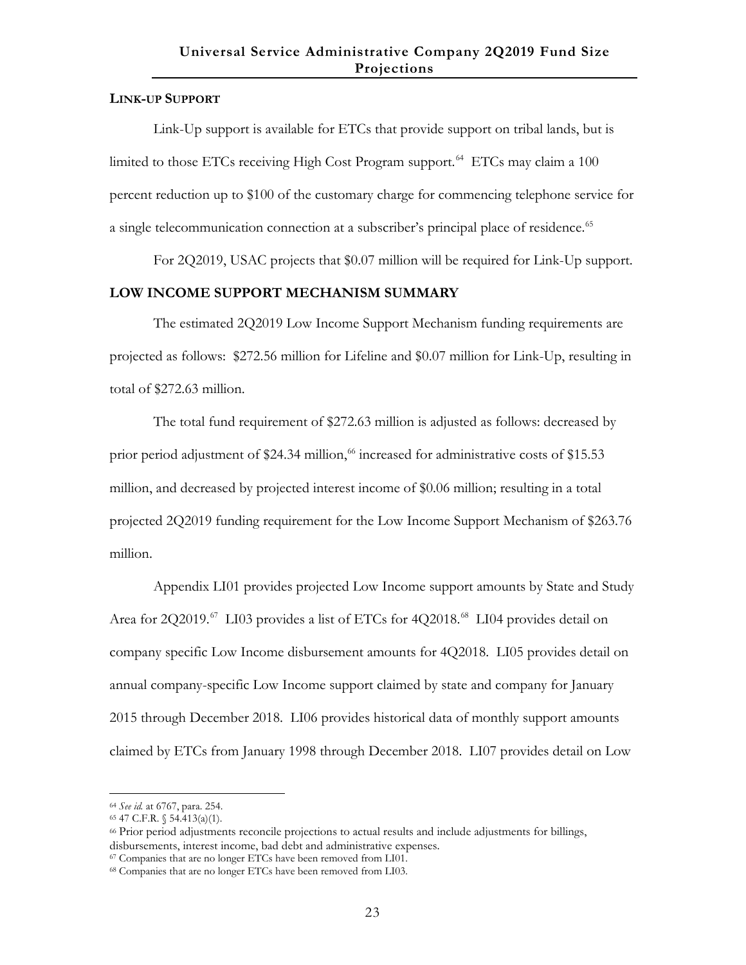#### **LINK-UP SUPPORT**

Link-Up support is available for ETCs that provide support on tribal lands, but is limited to those ETCs receiving High Cost Program support.<sup>64</sup> ETCs may claim a 100 percent reduction up to \$100 of the customary charge for commencing telephone service for a single telecommunication connection at a subscriber's principal place of residence.<sup>[65](#page-29-1)</sup>

For 2Q2019, USAC projects that \$0.07 million will be required for Link-Up support.

# **LOW INCOME SUPPORT MECHANISM SUMMARY**

The estimated 2Q2019 Low Income Support Mechanism funding requirements are projected as follows: \$272.56 million for Lifeline and \$0.07 million for Link-Up, resulting in total of \$272.63 million.

The total fund requirement of \$272.63 million is adjusted as follows: decreased by prior period adjustment of \$24.34 million,<sup>[66](#page-29-2)</sup> increased for administrative costs of \$15.53 million, and decreased by projected interest income of \$0.06 million; resulting in a total projected 2Q2019 funding requirement for the Low Income Support Mechanism of \$263.76 million.

Appendix LI01 provides projected Low Income support amounts by State and Study Area for 2Q2019.<sup>[67](#page-29-3)</sup> LI03 provides a list of ETCs for 4Q2018.<sup>68</sup> LI04 provides detail on company specific Low Income disbursement amounts for 4Q2018. LI05 provides detail on annual company-specific Low Income support claimed by state and company for January 2015 through December 2018. LI06 provides historical data of monthly support amounts claimed by ETCs from January 1998 through December 2018. LI07 provides detail on Low

<span id="page-29-0"></span><sup>64</sup> *See id.* at 6767, para. 254.

<span id="page-29-1"></span><sup>65</sup> 47 C.F.R. § 54.413(a)(1).

<span id="page-29-2"></span><sup>66</sup> Prior period adjustments reconcile projections to actual results and include adjustments for billings, disbursements, interest income, bad debt and administrative expenses.

<span id="page-29-3"></span><sup>67</sup> Companies that are no longer ETCs have been removed from LI01.

<span id="page-29-4"></span><sup>68</sup> Companies that are no longer ETCs have been removed from LI03.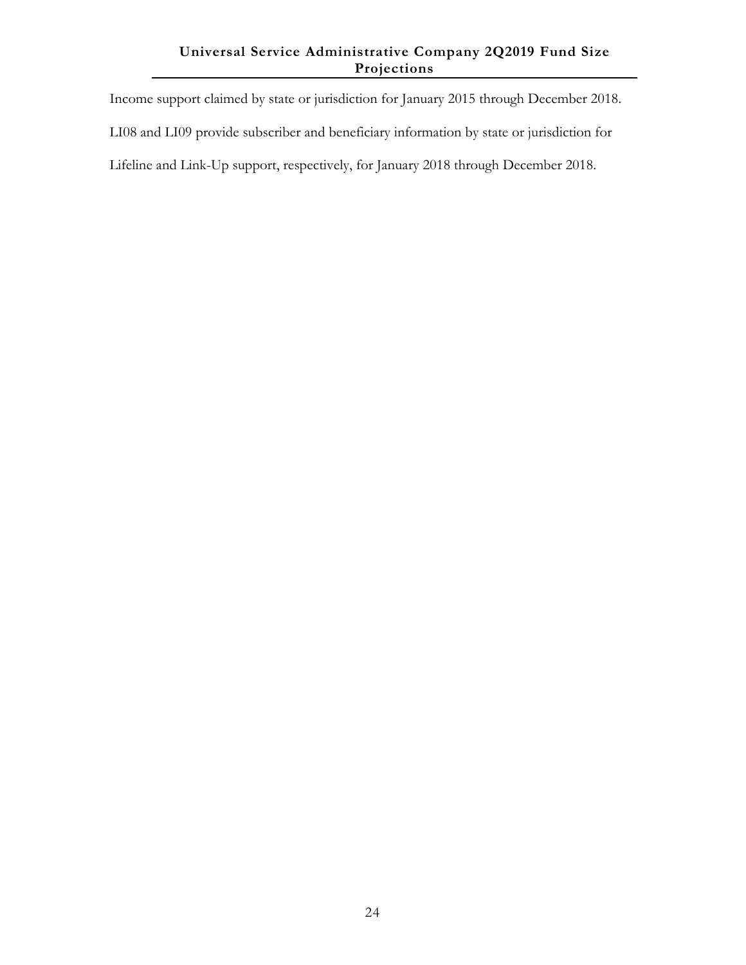Income support claimed by state or jurisdiction for January 2015 through December 2018. LI08 and LI09 provide subscriber and beneficiary information by state or jurisdiction for Lifeline and Link-Up support, respectively, for January 2018 through December 2018.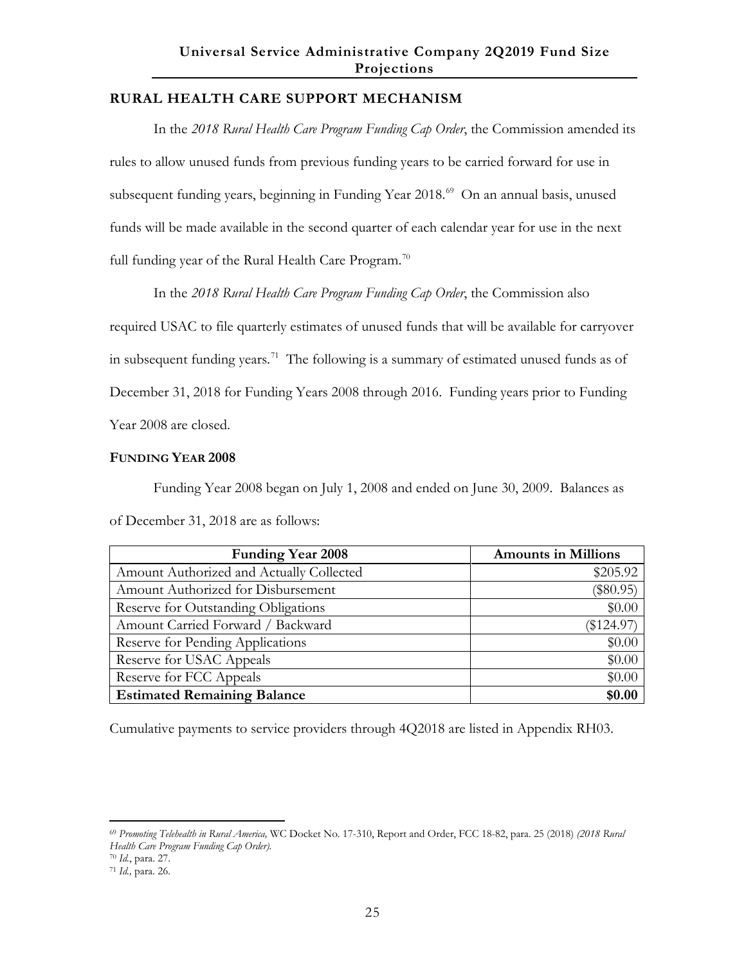# **RURAL HEALTH CARE SUPPORT MECHANISM**

In the *2018 Rural Health Care Program Funding Cap Order*, the Commission amended its rules to allow unused funds from previous funding years to be carried forward for use in subsequent funding years, beginning in Funding Year 2018.<sup>69</sup> On an annual basis, unused funds will be made available in the second quarter of each calendar year for use in the next full funding year of the Rural Health Care Program.<sup>70</sup>

In the *2018 Rural Health Care Program Funding Cap Order*, the Commission also

required USAC to file quarterly estimates of unused funds that will be available for carryover in subsequent funding years.<sup>71</sup> The following is a summary of estimated unused funds as of December 31, 2018 for Funding Years 2008 through 2016. Funding years prior to Funding Year 2008 are closed.

#### **FUNDING YEAR 2008**

Funding Year 2008 began on July 1, 2008 and ended on June 30, 2009. Balances as of December 31, 2018 are as follows:

| <b>Funding Year 2008</b>                 | <b>Amounts in Millions</b> |
|------------------------------------------|----------------------------|
| Amount Authorized and Actually Collected | \$205.92                   |
| Amount Authorized for Disbursement       | $(\$80.95)$                |
| Reserve for Outstanding Obligations      | \$0.00                     |
| Amount Carried Forward / Backward        | $(\$124.97)$               |
| Reserve for Pending Applications         | \$0.00                     |
| Reserve for USAC Appeals                 | \$0.00                     |
| Reserve for FCC Appeals                  | \$0.00                     |
| <b>Estimated Remaining Balance</b>       | \$0.00                     |

Cumulative payments to service providers through 4Q2018 are listed in Appendix RH03.

<span id="page-31-0"></span> $\overline{a}$ <sup>69</sup> *Promoting Telehealth in Rural America,* WC Docket No. 17-310, Report and Order, FCC 18-82, para. 25 (2018) *(2018 Rural Health Care Program Funding Cap Order).*

<span id="page-31-2"></span><span id="page-31-1"></span><sup>70</sup> *Id.*, para. 27.

<sup>71</sup> *Id.,* para. 26.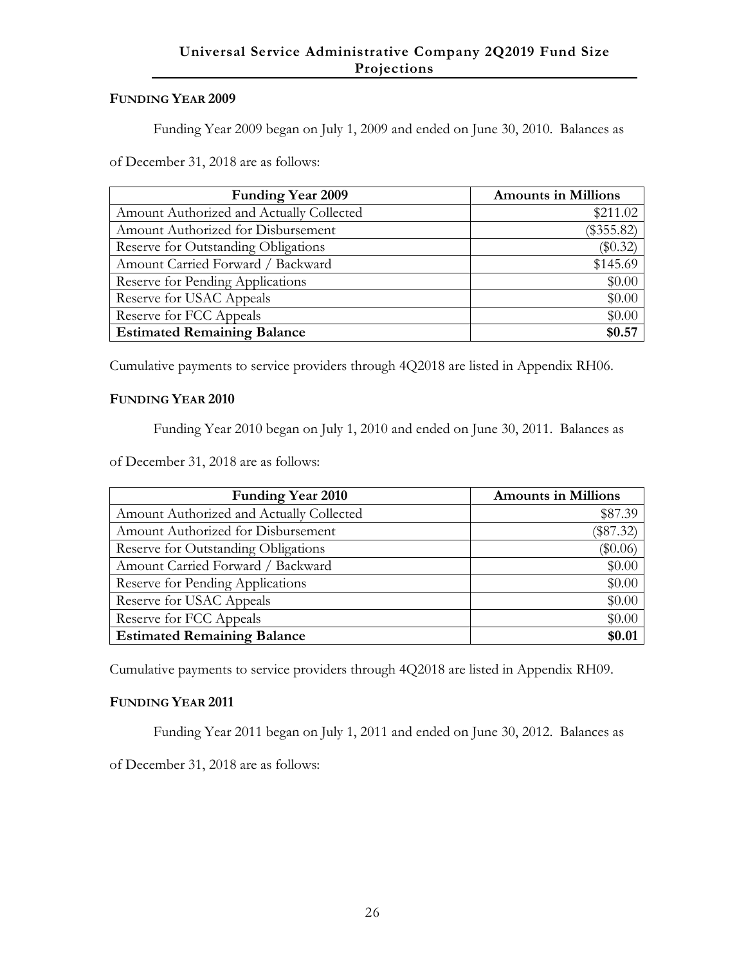# **FUNDING YEAR 2009**

Funding Year 2009 began on July 1, 2009 and ended on June 30, 2010. Balances as

of December 31, 2018 are as follows:

| <b>Funding Year 2009</b>                 | <b>Amounts in Millions</b> |
|------------------------------------------|----------------------------|
| Amount Authorized and Actually Collected | \$211.02                   |
| Amount Authorized for Disbursement       | $(\$355.82)$               |
| Reserve for Outstanding Obligations      | $(\$0.32)$                 |
| Amount Carried Forward / Backward        | \$145.69                   |
| Reserve for Pending Applications         | \$0.00                     |
| Reserve for USAC Appeals                 | \$0.00                     |
| Reserve for FCC Appeals                  | \$0.00                     |
| <b>Estimated Remaining Balance</b>       | \$0.57                     |

Cumulative payments to service providers through 4Q2018 are listed in Appendix RH06.

# **FUNDING YEAR 2010**

Funding Year 2010 began on July 1, 2010 and ended on June 30, 2011. Balances as

of December 31, 2018 are as follows:

| <b>Funding Year 2010</b>                 | <b>Amounts in Millions</b> |
|------------------------------------------|----------------------------|
| Amount Authorized and Actually Collected | \$87.39                    |
| Amount Authorized for Disbursement       | $(\$87.32)$                |
| Reserve for Outstanding Obligations      | $(\$0.06)$                 |
| Amount Carried Forward / Backward        | \$0.00                     |
| Reserve for Pending Applications         | \$0.00                     |
| Reserve for USAC Appeals                 | \$0.00                     |
| Reserve for FCC Appeals                  | \$0.00                     |
| <b>Estimated Remaining Balance</b>       | \$0.01                     |

Cumulative payments to service providers through 4Q2018 are listed in Appendix RH09.

# **FUNDING YEAR 2011**

Funding Year 2011 began on July 1, 2011 and ended on June 30, 2012. Balances as

of December 31, 2018 are as follows: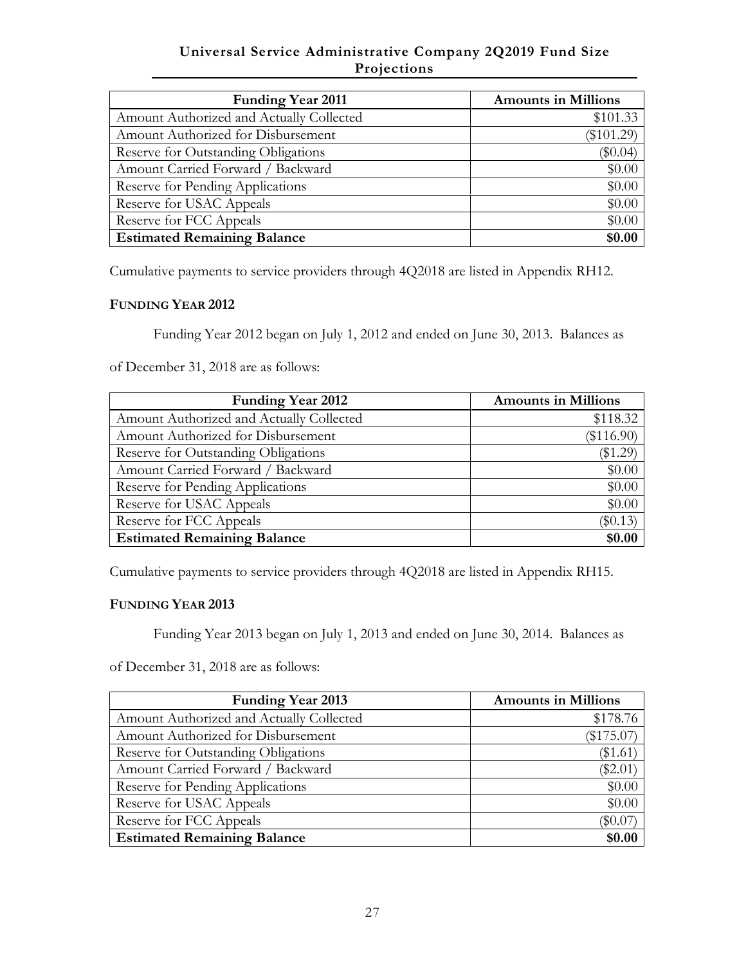| <b>Funding Year 2011</b>                 | <b>Amounts in Millions</b> |
|------------------------------------------|----------------------------|
| Amount Authorized and Actually Collected | \$101.33                   |
| Amount Authorized for Disbursement       | $(\$101.29)$               |
| Reserve for Outstanding Obligations      | $(\$0.04)$                 |
| Amount Carried Forward / Backward        | \$0.00                     |
| Reserve for Pending Applications         | \$0.00                     |
| Reserve for USAC Appeals                 | \$0.00                     |
| Reserve for FCC Appeals                  | \$0.00                     |
| <b>Estimated Remaining Balance</b>       | \$0.00                     |

Cumulative payments to service providers through 4Q2018 are listed in Appendix RH12.

# **FUNDING YEAR 2012**

Funding Year 2012 began on July 1, 2012 and ended on June 30, 2013. Balances as

of December 31, 2018 are as follows:

| <b>Funding Year 2012</b>                 | <b>Amounts in Millions</b> |
|------------------------------------------|----------------------------|
| Amount Authorized and Actually Collected | \$118.32                   |
| Amount Authorized for Disbursement       | $(\$116.90)$               |
| Reserve for Outstanding Obligations      | (\$1.29)                   |
| Amount Carried Forward / Backward        | \$0.00                     |
| Reserve for Pending Applications         | \$0.00                     |
| Reserve for USAC Appeals                 | \$0.00                     |
| Reserve for FCC Appeals                  | $(\$0.13)$                 |
| <b>Estimated Remaining Balance</b>       | \$0.00                     |

Cumulative payments to service providers through 4Q2018 are listed in Appendix RH15.

# **FUNDING YEAR 2013**

Funding Year 2013 began on July 1, 2013 and ended on June 30, 2014. Balances as

of December 31, 2018 are as follows:

| <b>Funding Year 2013</b>                 | <b>Amounts in Millions</b> |
|------------------------------------------|----------------------------|
| Amount Authorized and Actually Collected | \$178.76                   |
| Amount Authorized for Disbursement       | $(\$175.07)$               |
| Reserve for Outstanding Obligations      | (\$1.61)                   |
| Amount Carried Forward / Backward        | $(\$2.01)$                 |
| Reserve for Pending Applications         | \$0.00                     |
| Reserve for USAC Appeals                 | \$0.00                     |
| Reserve for FCC Appeals                  | \$0.07                     |
| <b>Estimated Remaining Balance</b>       | \$0.00                     |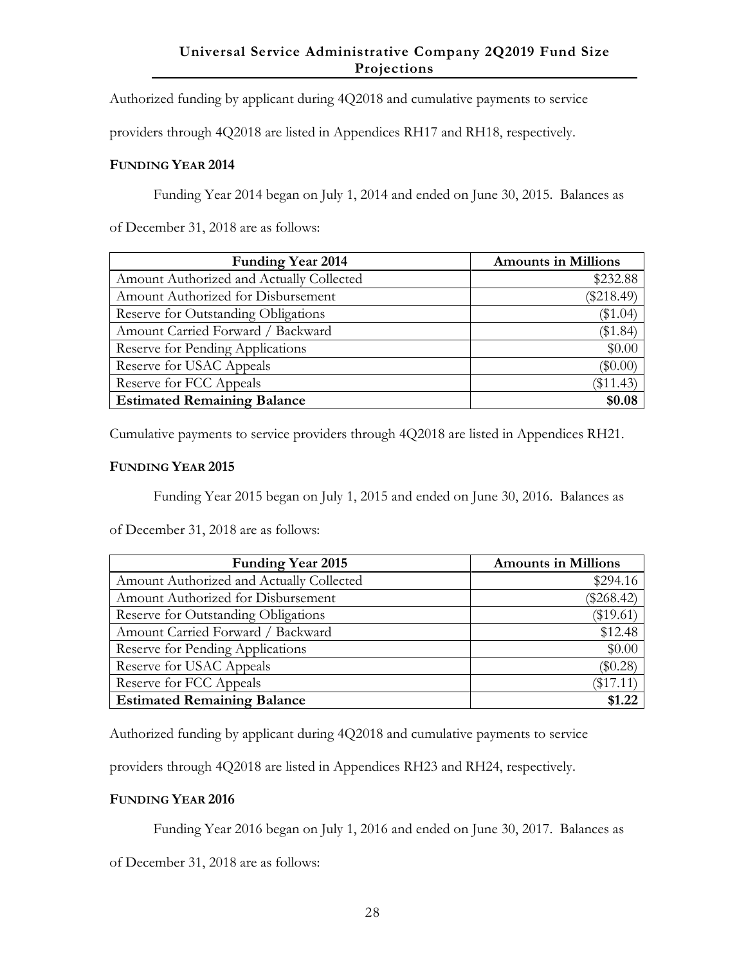Authorized funding by applicant during 4Q2018 and cumulative payments to service

providers through 4Q2018 are listed in Appendices RH17 and RH18, respectively.

## **FUNDING YEAR 2014**

Funding Year 2014 began on July 1, 2014 and ended on June 30, 2015. Balances as

of December 31, 2018 are as follows:

| <b>Funding Year 2014</b>                 | <b>Amounts in Millions</b> |
|------------------------------------------|----------------------------|
| Amount Authorized and Actually Collected | \$232.88                   |
| Amount Authorized for Disbursement       | $(\$218.49)$               |
| Reserve for Outstanding Obligations      | $(\$1.04)$                 |
| Amount Carried Forward / Backward        | (\$1.84)                   |
| Reserve for Pending Applications         | \$0.00                     |
| Reserve for USAC Appeals                 | $(\$0.00)$                 |
| Reserve for FCC Appeals                  | $(\$11.43)$                |
| <b>Estimated Remaining Balance</b>       | \$0.08                     |

Cumulative payments to service providers through 4Q2018 are listed in Appendices RH21.

#### **FUNDING YEAR 2015**

Funding Year 2015 began on July 1, 2015 and ended on June 30, 2016. Balances as

of December 31, 2018 are as follows:

| <b>Funding Year 2015</b>                 | <b>Amounts in Millions</b> |
|------------------------------------------|----------------------------|
| Amount Authorized and Actually Collected | \$294.16                   |
| Amount Authorized for Disbursement       | $(\$268.42)$               |
| Reserve for Outstanding Obligations      | (\$19.61)                  |
| Amount Carried Forward / Backward        | \$12.48                    |
| Reserve for Pending Applications         | \$0.00                     |
| Reserve for USAC Appeals                 | (\$0.28)                   |
| Reserve for FCC Appeals                  | $(\$17.11$                 |
| <b>Estimated Remaining Balance</b>       | \$1.22                     |

Authorized funding by applicant during 4Q2018 and cumulative payments to service

providers through 4Q2018 are listed in Appendices RH23 and RH24, respectively.

## **FUNDING YEAR 2016**

Funding Year 2016 began on July 1, 2016 and ended on June 30, 2017. Balances as

of December 31, 2018 are as follows: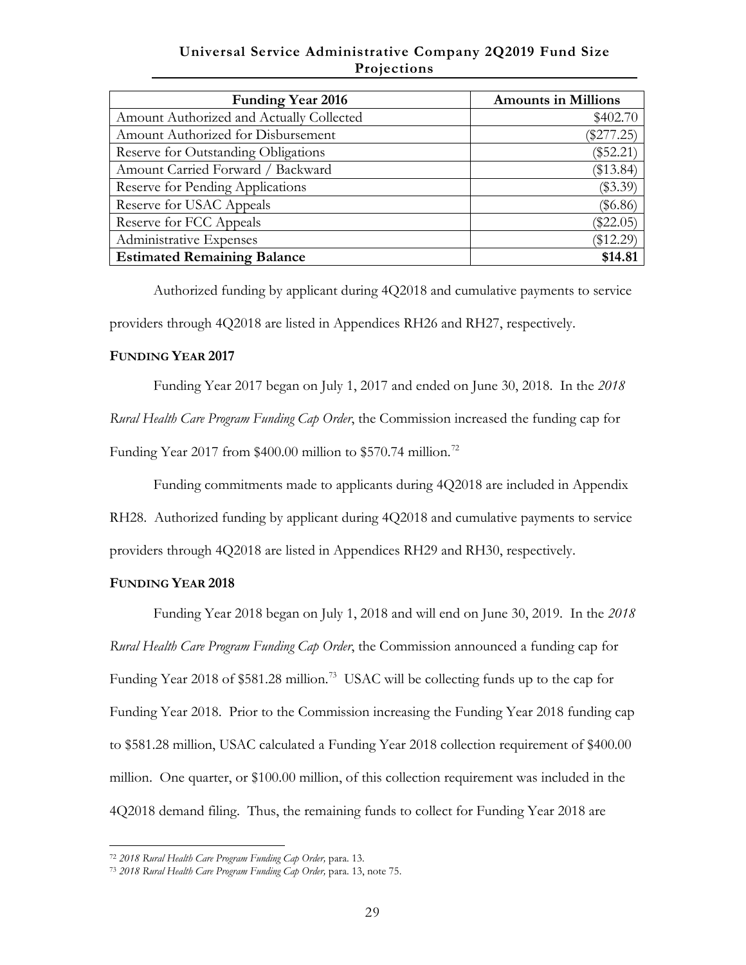| <b>Funding Year 2016</b>                 | <b>Amounts in Millions</b> |
|------------------------------------------|----------------------------|
| Amount Authorized and Actually Collected | \$402.70                   |
| Amount Authorized for Disbursement       | $(\$277.25)$               |
| Reserve for Outstanding Obligations      | $(\$52.21)$                |
| Amount Carried Forward / Backward        | (\$13.84)                  |
| Reserve for Pending Applications         | $(\$3.39)$                 |
| Reserve for USAC Appeals                 | $(\$6.86)$                 |
| Reserve for FCC Appeals                  | \$22.05                    |
| Administrative Expenses                  | $(\$12.29)$                |
| <b>Estimated Remaining Balance</b>       | \$14.81                    |

Authorized funding by applicant during 4Q2018 and cumulative payments to service providers through 4Q2018 are listed in Appendices RH26 and RH27, respectively.

#### **FUNDING YEAR 2017**

Funding Year 2017 began on July 1, 2017 and ended on June 30, 2018. In the *2018 Rural Health Care Program Funding Cap Order*, the Commission increased the funding cap for Funding Year 2017 from  $$400.00$  million to  $$570.74$  million.<sup>[72](#page-35-0)</sup>

Funding commitments made to applicants during 4Q2018 are included in Appendix

RH28. Authorized funding by applicant during 4Q2018 and cumulative payments to service

providers through 4Q2018 are listed in Appendices RH29 and RH30, respectively.

# **FUNDING YEAR 2018**

Funding Year 2018 began on July 1, 2018 and will end on June 30, 2019. In the *2018 Rural Health Care Program Funding Cap Order*, the Commission announced a funding cap for Funding Year 2018 of \$581.28 million.<sup>[73](#page-35-1)</sup> USAC will be collecting funds up to the cap for Funding Year 2018. Prior to the Commission increasing the Funding Year 2018 funding cap to \$581.28 million, USAC calculated a Funding Year 2018 collection requirement of \$400.00 million. One quarter, or \$100.00 million, of this collection requirement was included in the 4Q2018 demand filing. Thus, the remaining funds to collect for Funding Year 2018 are

<span id="page-35-0"></span> $\overline{a}$ <sup>72</sup> *2018 Rural Health Care Program Funding Cap Order,* para. 13.

<span id="page-35-1"></span><sup>73</sup> *2018 Rural Health Care Program Funding Cap Order,* para. 13, note 75.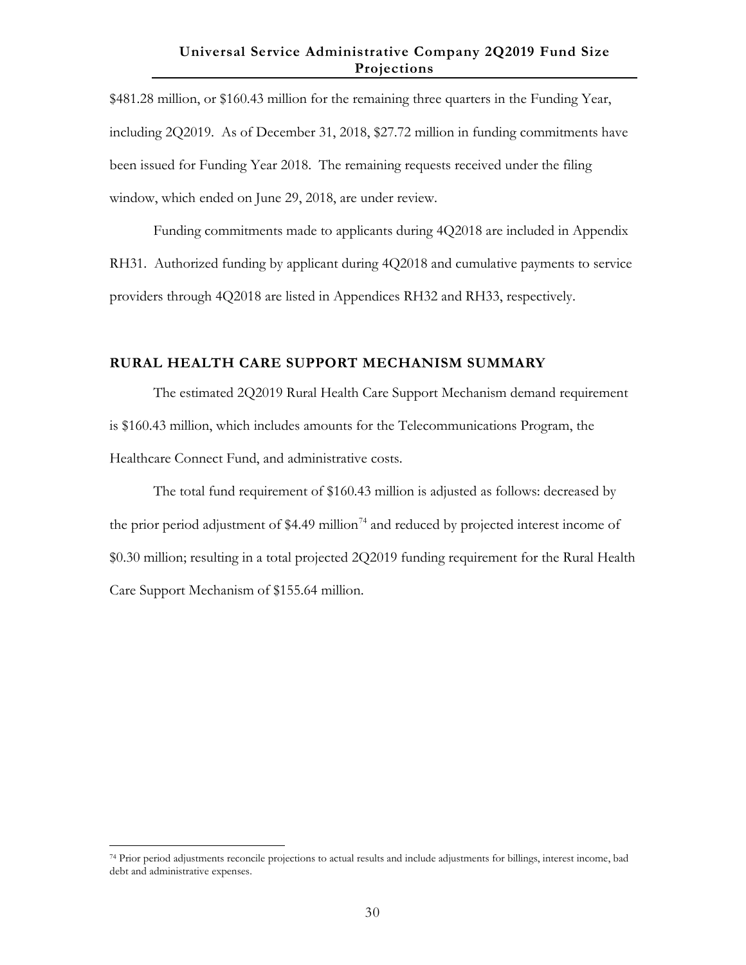\$481.28 million, or \$160.43 million for the remaining three quarters in the Funding Year, including 2Q2019. As of December 31, 2018, \$27.72 million in funding commitments have been issued for Funding Year 2018. The remaining requests received under the filing window, which ended on June 29, 2018, are under review.

Funding commitments made to applicants during 4Q2018 are included in Appendix RH31. Authorized funding by applicant during 4Q2018 and cumulative payments to service providers through 4Q2018 are listed in Appendices RH32 and RH33, respectively.

#### **RURAL HEALTH CARE SUPPORT MECHANISM SUMMARY**

The estimated 2Q2019 Rural Health Care Support Mechanism demand requirement is \$160.43 million, which includes amounts for the Telecommunications Program, the Healthcare Connect Fund, and administrative costs.

The total fund requirement of \$160.43 million is adjusted as follows: decreased by the prior period adjustment of \$4.49 million<sup>[74](#page-36-0)</sup> and reduced by projected interest income of \$0.30 million; resulting in a total projected 2Q2019 funding requirement for the Rural Health Care Support Mechanism of \$155.64 million.

 $\overline{a}$ 

<span id="page-36-0"></span><sup>74</sup> Prior period adjustments reconcile projections to actual results and include adjustments for billings, interest income, bad debt and administrative expenses.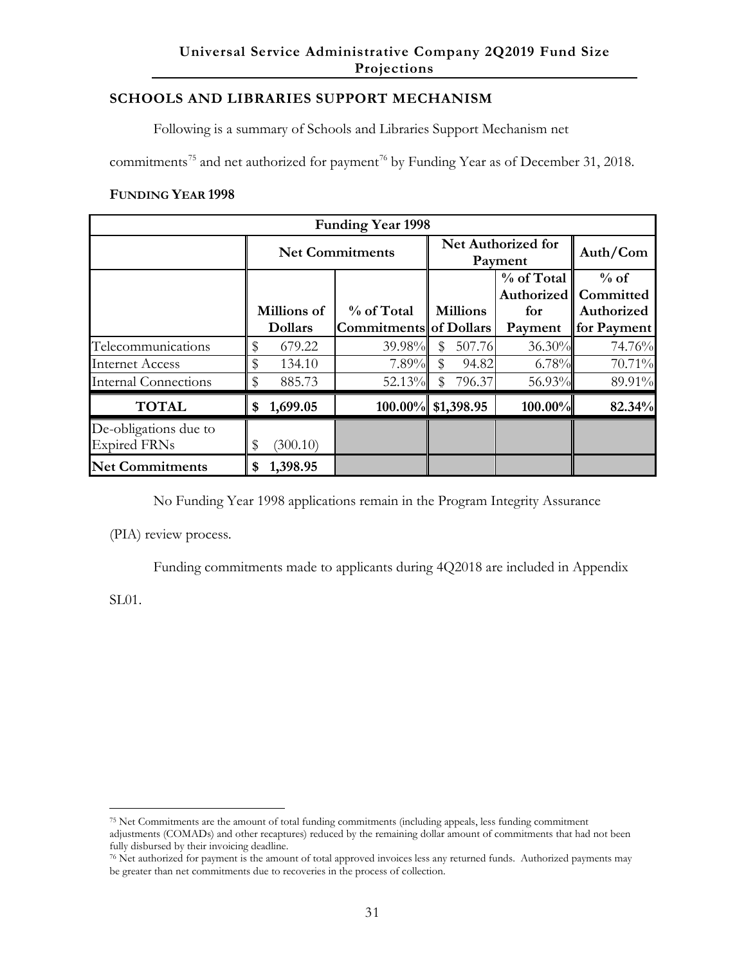## **SCHOOLS AND LIBRARIES SUPPORT MECHANISM**

Following is a summary of Schools and Libraries Support Mechanism net

commitments<sup>[75](#page-37-0)</sup> and net authorized for payment<sup>[76](#page-37-1)</sup> by Funding Year as of December 31, 2018.

#### **FUNDING YEAR 1998**

|                                              |                    | <b>Funding Year 1998</b> |                        |                               |                                  |
|----------------------------------------------|--------------------|--------------------------|------------------------|-------------------------------|----------------------------------|
|                                              |                    | <b>Net Commitments</b>   |                        | Net Authorized for<br>Payment | Auth/Com                         |
|                                              |                    |                          |                        | % of Total                    | $%$ of<br>Authorized   Committed |
|                                              | <b>Millions</b> of | % of Total               | <b>Millions</b>        | for                           | Authorized                       |
|                                              | <b>Dollars</b>     | Commitments of Dollars   |                        | Payment                       | for Payment                      |
| Telecommunications                           | 679.22<br>\$       | $39.98\%$                | 507.76<br>S            | $36.30\%$                     | 74.76%                           |
| <b>Internet Access</b>                       | 134.10             | $7.89\%$                 | $\mathbf{\$}$<br>94.82 | 6.78%                         | 70.71%                           |
| <b>Internal Connections</b>                  | \$<br>885.73       | 52.13%                   | $\mathbb{S}$<br>796.37 | 56.93%                        | 89.91%                           |
| <b>TOTAL</b>                                 | 1,699.05<br>\$     |                          | 100.00% \$1,398.95     | 100.00%                       | 82.34%                           |
| De-obligations due to<br><b>Expired FRNs</b> | (300.10)<br>\$     |                          |                        |                               |                                  |
| <b>Net Commitments</b>                       | 1,398.95<br>\$     |                          |                        |                               |                                  |

No Funding Year 1998 applications remain in the Program Integrity Assurance

(PIA) review process.

Funding commitments made to applicants during 4Q2018 are included in Appendix

SL01.

<span id="page-37-0"></span> $\overline{a}$ <sup>75</sup> Net Commitments are the amount of total funding commitments (including appeals, less funding commitment adjustments (COMADs) and other recaptures) reduced by the remaining dollar amount of commitments that had not been fully disbursed by their invoicing deadline.

<span id="page-37-1"></span><sup>76</sup> Net authorized for payment is the amount of total approved invoices less any returned funds. Authorized payments may be greater than net commitments due to recoveries in the process of collection.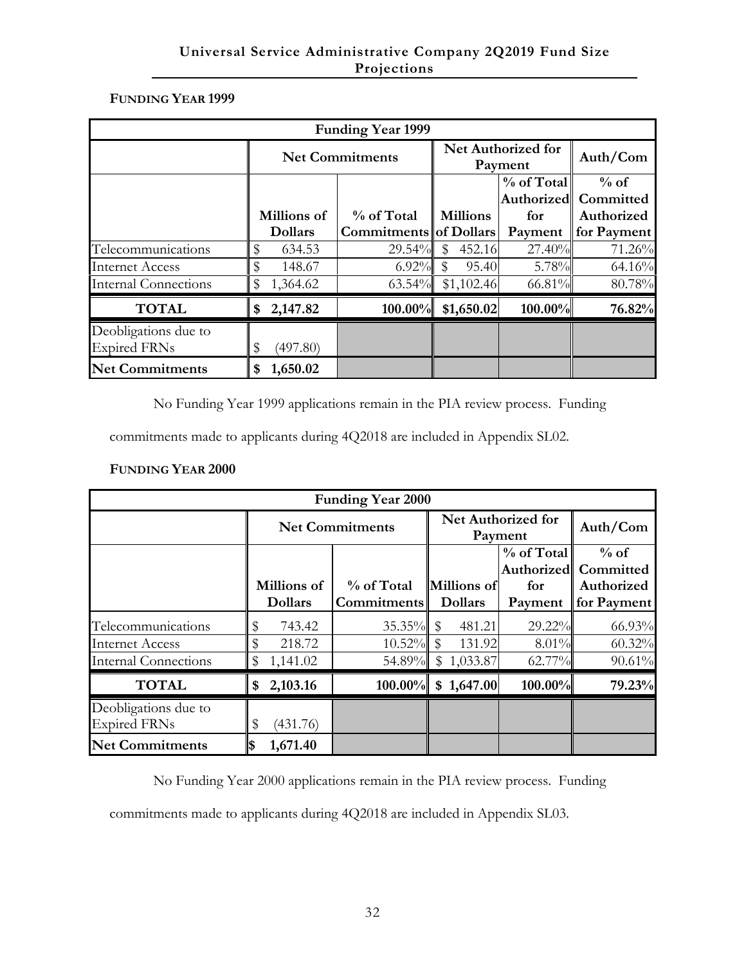## **FUNDING YEAR 1999**

|                             |                | <b>Funding Year 1999</b> |                        |                               |                                |
|-----------------------------|----------------|--------------------------|------------------------|-------------------------------|--------------------------------|
|                             |                | <b>Net Commitments</b>   |                        | Net Authorized for<br>Payment | Auth/Com                       |
|                             |                |                          |                        | $%$ of Total                  | $%$ of<br>Authorized Committed |
|                             | Millions of    | % of Total               | <b>Millions</b>        | for                           | Authorized                     |
|                             | <b>Dollars</b> | Commitments of Dollars   |                        | Payment                       | for Payment                    |
| Telecommunications          | \$<br>634.53   | $29.54\%$                | $\mathbb{S}$<br>452.16 | $27.40\%$                     | 71.26%                         |
| <b>Internet Access</b>      | 148.67         | 6.92% $$$                | 95.40                  | 5.78%                         | 64.16%                         |
| <b>Internal Connections</b> | \$<br>1,364.62 | $63.54\%$                | \$1,102.46             | $66.81\%$                     | 80.78%                         |
| <b>TOTAL</b>                | 2,147.82<br>\$ | $100.00\%$               | \$1,650.02             | $100.00\%$                    | 76.82%                         |
| Deobligations due to        |                |                          |                        |                               |                                |
| <b>Expired FRNs</b>         | (497.80)<br>\$ |                          |                        |                               |                                |
| <b>Net Commitments</b>      | 1,650.02<br>\$ |                          |                        |                               |                                |

No Funding Year 1999 applications remain in the PIA review process. Funding

commitments made to applicants during 4Q2018 are included in Appendix SL02.

## **FUNDING YEAR 2000**

|                             |    |                | <b>Funding Year 2000</b> |  |                        |                               |             |
|-----------------------------|----|----------------|--------------------------|--|------------------------|-------------------------------|-------------|
|                             |    |                | <b>Net Commitments</b>   |  |                        | Net Authorized for<br>Payment | Auth/Com    |
|                             |    |                |                          |  |                        | % of Total                    | $%$ of      |
|                             |    |                |                          |  |                        | Authorized                    | Committed   |
|                             |    | Millions of    | % of Total               |  | Millions of            | for                           | Authorized  |
|                             |    | <b>Dollars</b> | <b>Commitments</b>       |  | <b>Dollars</b>         | Payment                       | for Payment |
| Telecommunications          | \$ | 743.42         | $35.35\%$ \$             |  | 481.21                 | $29.22\%$                     | 66.93%      |
| <b>Internet Access</b>      |    | 218.72         | $10.52\%$ \$             |  | 131.92                 | $8.01\%$                      | $60.32\%$   |
| <b>Internal Connections</b> | \$ | 1,141.02       | 54.89%                   |  | \$1,033.87             | 62.77%                        | 90.61%      |
| <b>TOTAL</b>                | \$ | 2,103.16       |                          |  | $100.00\%$ \$ 1,647.00 | $100.00\%$                    | 79.23%      |
| Deobligations due to        |    |                |                          |  |                        |                               |             |
| <b>Expired FRNs</b>         | \$ | (431.76)       |                          |  |                        |                               |             |
| <b>Net Commitments</b>      | S  | 1,671.40       |                          |  |                        |                               |             |

No Funding Year 2000 applications remain in the PIA review process. Funding

commitments made to applicants during 4Q2018 are included in Appendix SL03.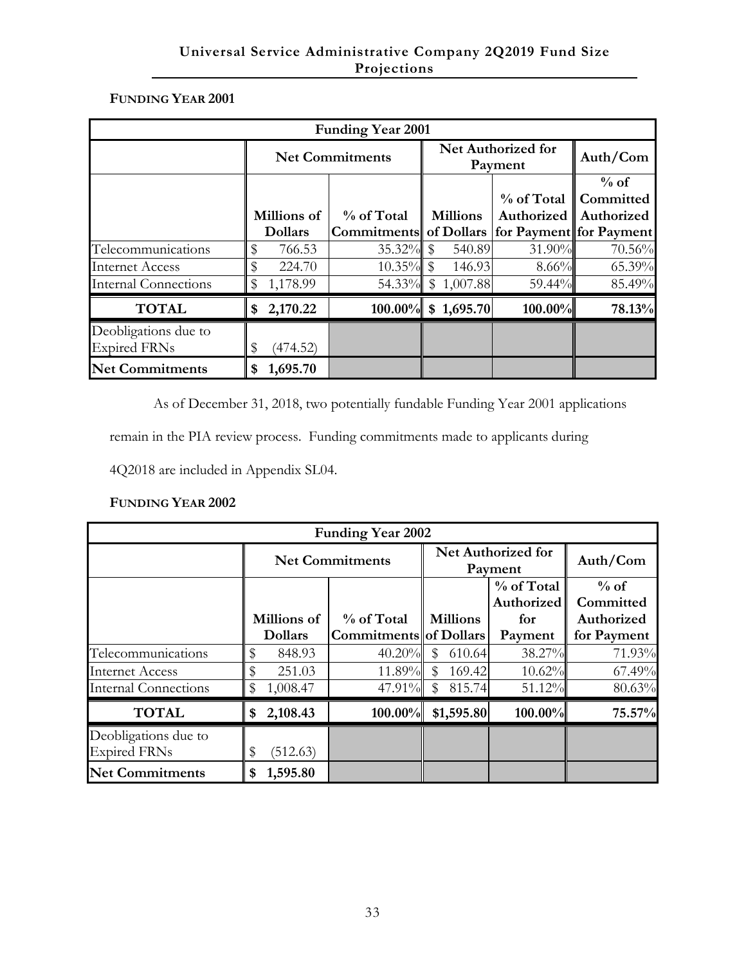# **FUNDING YEAR 2001**

|                                             |    |                               | <b>Funding Year 2001</b>                                     |                               |                         |                     |
|---------------------------------------------|----|-------------------------------|--------------------------------------------------------------|-------------------------------|-------------------------|---------------------|
|                                             |    |                               | <b>Net Commitments</b>                                       | Net Authorized for<br>Payment | Auth/Com                |                     |
|                                             |    |                               |                                                              |                               | % of Total              | $%$ of<br>Committed |
|                                             |    | Millions of<br><b>Dollars</b> | % of Total<br>Commitments of Dollars for Payment for Payment | <b>Millions</b>               | Authorized   Authorized |                     |
| Telecommunications                          | \$ | 766.53                        | $35.32\%$ \$                                                 | 540.89                        | $31.90\%$               | 70.56%              |
| <b>Internet Access</b>                      |    | 224.70                        | $10.35\%$ \$                                                 | 146.93                        | 8.66%                   | 65.39%              |
| <b>Internal Connections</b>                 | S  | 1,178.99                      |                                                              | 54.33% \$1,007.88             | $59.44\%$               | 85.49%              |
| <b>TOTAL</b>                                | S  | 2,170.22                      |                                                              | $100.00\%$ \$ 1,695.70        | $100.00\%$              | 78.13%              |
| Deobligations due to<br><b>Expired FRNs</b> |    | (474.52)                      |                                                              |                               |                         |                     |
| <b>Net Commitments</b>                      | S  | 1,695.70                      |                                                              |                               |                         |                     |

As of December 31, 2018, two potentially fundable Funding Year 2001 applications

remain in the PIA review process. Funding commitments made to applicants during

4Q2018 are included in Appendix SL04.

|                                             |    |                               | <b>Funding Year 2002</b>             |               |                 |                                            |                                                  |
|---------------------------------------------|----|-------------------------------|--------------------------------------|---------------|-----------------|--------------------------------------------|--------------------------------------------------|
|                                             |    |                               | <b>Net Commitments</b>               |               |                 | Net Authorized for<br>Payment              | Auth/Com                                         |
|                                             |    | Millions of<br><b>Dollars</b> | % of Total<br>Commitments of Dollars |               | <b>Millions</b> | % of Total<br>Authorized<br>for<br>Payment | $%$ of<br>Committed<br>Authorized<br>for Payment |
| Telecommunications                          | S  | 848.93                        | $40.20\%$                            | \$            | 610.64          | $38.27\%$                                  | 71.93%                                           |
| <b>Internet Access</b>                      |    | 251.03                        | 11.89%                               | $\mathbf{\$}$ | 169.42          | $10.62\%$                                  | 67.49%                                           |
| <b>Internal Connections</b>                 | \$ | 1,008.47                      | 47.91%                               | $\mathbb{S}$  | 815.74          | 51.12%                                     | 80.63%                                           |
| <b>TOTAL</b>                                |    | 2,108.43                      | $100.00\%$                           |               | \$1,595.80      | $100.00\%$                                 | 75.57%                                           |
| Deobligations due to<br><b>Expired FRNs</b> | S  | (512.63)                      |                                      |               |                 |                                            |                                                  |
| <b>Net Commitments</b>                      | S  | 1,595.80                      |                                      |               |                 |                                            |                                                  |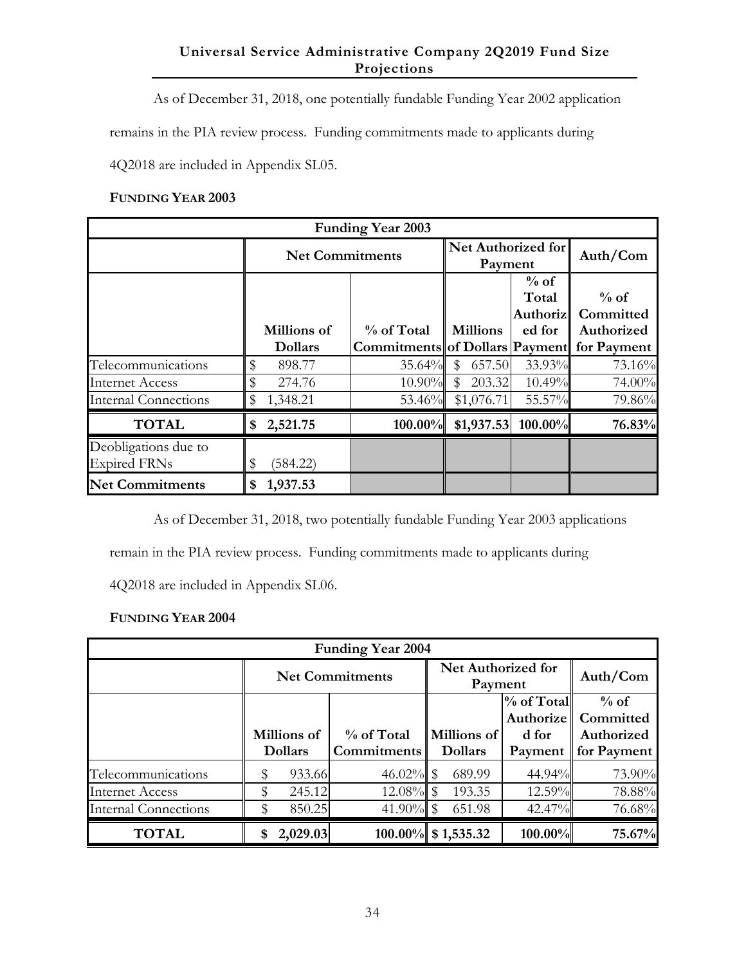As of December 31, 2018, one potentially fundable Funding Year 2002 application

remains in the PIA review process. Funding commitments made to applicants during

4Q2018 are included in Appendix SL05.

#### **FUNDING YEAR 2003**

|                                             |    |                        | <b>Funding Year 2003</b>                   |             |                 |                           |                                              |
|---------------------------------------------|----|------------------------|--------------------------------------------|-------------|-----------------|---------------------------|----------------------------------------------|
|                                             |    | <b>Net Commitments</b> |                                            |             | Payment         | Net Authorized for        | Auth/Com                                     |
|                                             |    | <b>Millions</b> of     | % of Total                                 |             | <b>Millions</b> | $%$ of<br>Total<br>ed for | $%$ of<br>Authoriz   Committed<br>Authorized |
|                                             |    | <b>Dollars</b>         | Commitments of Dollars Payment for Payment |             |                 |                           |                                              |
| Telecommunications                          |    | 898.77                 | $35.64\%$                                  | \$          | 657.50          | 33.93%                    | 73.16%                                       |
| Internet Access                             |    | 274.76                 | $10.90\%$                                  | $\mathbb S$ | 203.32          | 10.49%                    | 74.00%                                       |
| <b>Internal Connections</b>                 |    | 1,348.21               | 53.46%                                     |             | \$1,076.71      | 55.57%                    | 79.86%                                       |
| <b>TOTAL</b>                                |    | \$2,521.75             | $100.00\%$                                 |             | \$1,937.53      | 100.00%                   | 76.83%                                       |
| Deobligations due to<br><b>Expired FRNs</b> | S  | (584.22)               |                                            |             |                 |                           |                                              |
| <b>Net Commitments</b>                      | \$ | 1,937.53               |                                            |             |                 |                           |                                              |

As of December 31, 2018, two potentially fundable Funding Year 2003 applications

remain in the PIA review process. Funding commitments made to applicants during

4Q2018 are included in Appendix SL06.

|                             | <b>Funding Year 2004</b> |                        |                               |                         |                     |  |  |  |  |  |
|-----------------------------|--------------------------|------------------------|-------------------------------|-------------------------|---------------------|--|--|--|--|--|
|                             |                          | <b>Net Commitments</b> | Net Authorized for<br>Payment | Auth/Com                |                     |  |  |  |  |  |
|                             |                          |                        |                               | % of Total<br>Authorize | $%$ of<br>Committed |  |  |  |  |  |
|                             | Millions of              | % of Total             | Millions of                   | d for                   | Authorized          |  |  |  |  |  |
|                             | <b>Dollars</b>           | <b>Commitments</b>     | <b>Dollars</b>                | Payment                 | for Payment         |  |  |  |  |  |
| Telecommunications          | 933.66                   | 46.02% \$              | 689.99                        | $44.94\%$               | 73.90%              |  |  |  |  |  |
| Internet Access             | \$<br>245.12             | $12.08\%$ \$           | 193.35                        | $12.59\%$               | 78.88%              |  |  |  |  |  |
| <b>Internal Connections</b> | 850.25                   | 41.90% \$              | 651.98                        | $42.47\%$               | 76.68%              |  |  |  |  |  |
| <b>TOTAL</b>                | 2,029.03                 |                        | $100.00\%$ \$1,535.32         | $100.00\%$              | 75.67%              |  |  |  |  |  |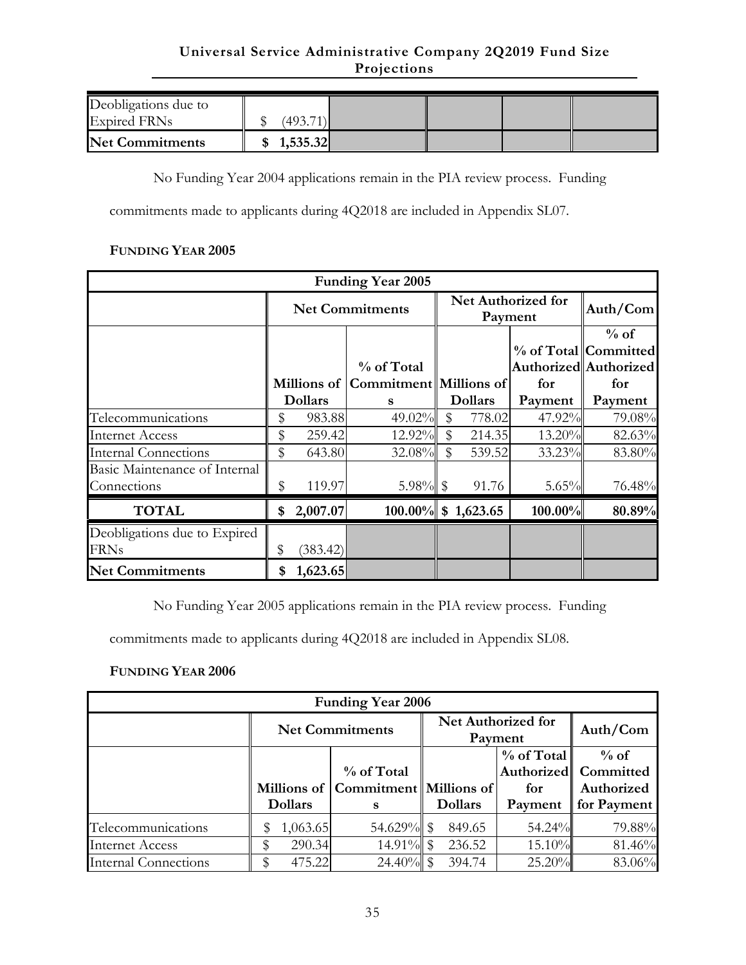| Deobligations due to                          |                        |  |  |
|-----------------------------------------------|------------------------|--|--|
| <b>Expired FRNs</b><br><b>Net Commitments</b> | (493.71)<br>\$1,535.32 |  |  |

No Funding Year 2004 applications remain in the PIA review process. Funding

commitments made to applicants during 4Q2018 are included in Appendix SL07.

# **FUNDING YEAR 2005**

|                                              |    |                | <b>Funding Year 2005</b>                |    |                        |                               |                                                         |
|----------------------------------------------|----|----------------|-----------------------------------------|----|------------------------|-------------------------------|---------------------------------------------------------|
|                                              |    |                | <b>Net Commitments</b>                  |    |                        | Net Authorized for<br>Payment | Auth/Com                                                |
|                                              |    |                | % of Total                              |    |                        |                               | $%$ of<br>% of Total Committed<br>Authorized Authorized |
|                                              |    | <b>Dollars</b> | Millions of Commitment Millions of<br>S |    | <b>Dollars</b>         | for<br>Payment                | for<br>Payment                                          |
| Telecommunications                           | \$ | 983.88         | 49.02%                                  | \$ | 778.02                 | 47.92%                        | 79.08%                                                  |
| <b>Internet Access</b>                       | \$ | 259.42         | 12.92%                                  | \$ | 214.35                 | 13.20%                        | 82.63%                                                  |
| <b>Internal Connections</b>                  | \$ | 643.80         | 32.08%                                  | \$ | 539.52                 | 33.23%                        | 83.80%                                                  |
| Basic Maintenance of Internal<br>Connections | \$ | 119.97         | 5.98% \$                                |    | 91.76                  | $5.65\%$                      | 76.48%                                                  |
| <b>TOTAL</b>                                 | \$ | 2,007.07       |                                         |    | $100.00\%$ \$ 1,623.65 | $100.00\%$                    | 80.89%                                                  |
| Deobligations due to Expired<br><b>FRNs</b>  | \$ | (383.42)       |                                         |    |                        |                               |                                                         |
| <b>Net Commitments</b>                       | \$ | 1,623.65       |                                         |    |                        |                               |                                                         |

No Funding Year 2005 applications remain in the PIA review process. Funding

commitments made to applicants during 4Q2018 are included in Appendix SL08.

|                        | <b>Funding Year 2006</b> |                                        |                |                               |                        |  |  |  |  |  |
|------------------------|--------------------------|----------------------------------------|----------------|-------------------------------|------------------------|--|--|--|--|--|
|                        |                          | <b>Net Commitments</b>                 |                | Net Authorized for<br>Payment | Auth/Com               |  |  |  |  |  |
|                        |                          |                                        |                | $%$ of Total                  | $%$ of                 |  |  |  |  |  |
|                        |                          | % of Total                             |                |                               | Authorized   Committed |  |  |  |  |  |
|                        |                          | Millions of   Commitment   Millions of |                | for                           | Authorized             |  |  |  |  |  |
|                        | <b>Dollars</b>           | S                                      | <b>Dollars</b> | Payment                       | for Payment            |  |  |  |  |  |
| Telecommunications     | 1,063.65                 | 54.629% \$                             | 849.65         | 54.24%                        | 79.88%                 |  |  |  |  |  |
| <b>Internet Access</b> | 290.34<br>\$             | $14.91\%$ \$                           | 236.52         | $15.10\%$                     | 81.46%                 |  |  |  |  |  |
| Internal Connections   | 475.22<br>\$             | $24.40\%$ \$                           | 394.74         | $25.20\%$                     | 83.06%                 |  |  |  |  |  |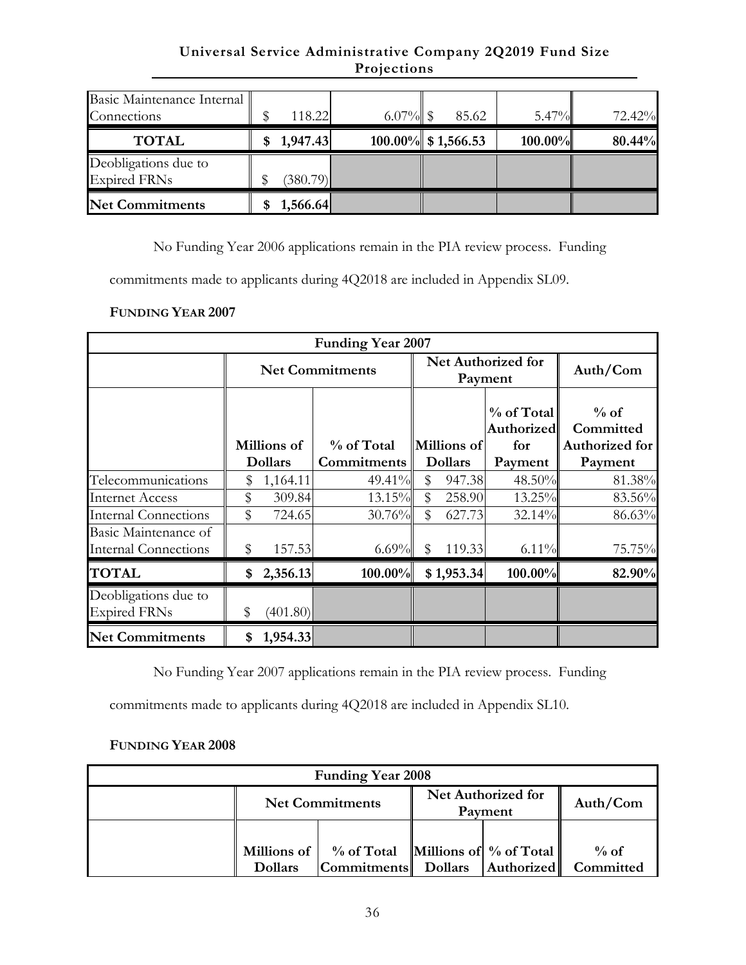| Basic Maintenance Internal<br>Connections   |   | 118.22     | $6.07\%$ \$           | 85.62 | $5.47\%$   | 72.42% |
|---------------------------------------------|---|------------|-----------------------|-------|------------|--------|
| <b>TOTAL</b>                                |   | \$1,947.43 | $100.00\%$ \$1,566.53 |       | $100.00\%$ | 80.44% |
| Deobligations due to<br><b>Expired FRNs</b> |   | (380.79)   |                       |       |            |        |
| Net Commitments                             | S | 1,566.64   |                       |       |            |        |

No Funding Year 2006 applications remain in the PIA review process. Funding

commitments made to applicants during 4Q2018 are included in Appendix SL09.

## **FUNDING YEAR 2007**

|                                                     |                                                            | <b>Funding Year 2007</b> |                               |                                              |                                                  |
|-----------------------------------------------------|------------------------------------------------------------|--------------------------|-------------------------------|----------------------------------------------|--------------------------------------------------|
|                                                     |                                                            | <b>Net Commitments</b>   |                               | Net Authorized for<br>Payment                | Auth/Com                                         |
|                                                     | Millions of<br>% of Total<br><b>Dollars</b><br>Commitments |                          | Millions of<br><b>Dollars</b> | $%$ of Total<br>Authorized<br>for<br>Payment | $%$ of<br>Committed<br>Authorized for<br>Payment |
| Telecommunications                                  | 1,164.11                                                   | 49.41%                   | \$<br>947.38                  | $48.50\%$                                    | 81.38%                                           |
| <b>Internet Access</b>                              | 309.84                                                     | 13.15%                   | \$<br>258.90                  | 13.25%                                       | 83.56%                                           |
| <b>Internal Connections</b>                         | \$<br>724.65                                               | 30.76%                   | \$<br>627.73                  | 32.14%                                       | 86.63%                                           |
| Basic Maintenance of<br><b>Internal Connections</b> | \$<br>157.53                                               | $6.69\%$                 | \$<br>119.33                  | 6.11%                                        | 75.75%                                           |
| <b>TOTAL</b>                                        | \$<br>2,356.13                                             | 100.00%                  | \$1,953.34                    | $100.00\%$                                   | 82.90%                                           |
| Deobligations due to<br><b>Expired FRNs</b>         | \$<br>(401.80)                                             |                          |                               |                                              |                                                  |
| <b>Net Commitments</b>                              | \$<br>1,954.33                                             |                          |                               |                                              |                                                  |

No Funding Year 2007 applications remain in the PIA review process. Funding

commitments made to applicants during 4Q2018 are included in Appendix SL10.

| <b>Funding Year 2008</b> |                |                        |  |                               |           |  |  |  |  |
|--------------------------|----------------|------------------------|--|-------------------------------|-----------|--|--|--|--|
|                          |                | <b>Net Commitments</b> |  | Net Authorized for<br>Payment | Auth/Com  |  |  |  |  |
|                          |                |                        |  |                               |           |  |  |  |  |
|                          | Millions of    | % of Total             |  | Millions of $\%$ of Total     | $\%$ of   |  |  |  |  |
|                          | <b>Dollars</b> | <b>Commitments</b>     |  | Dollars   Authorized          | Committed |  |  |  |  |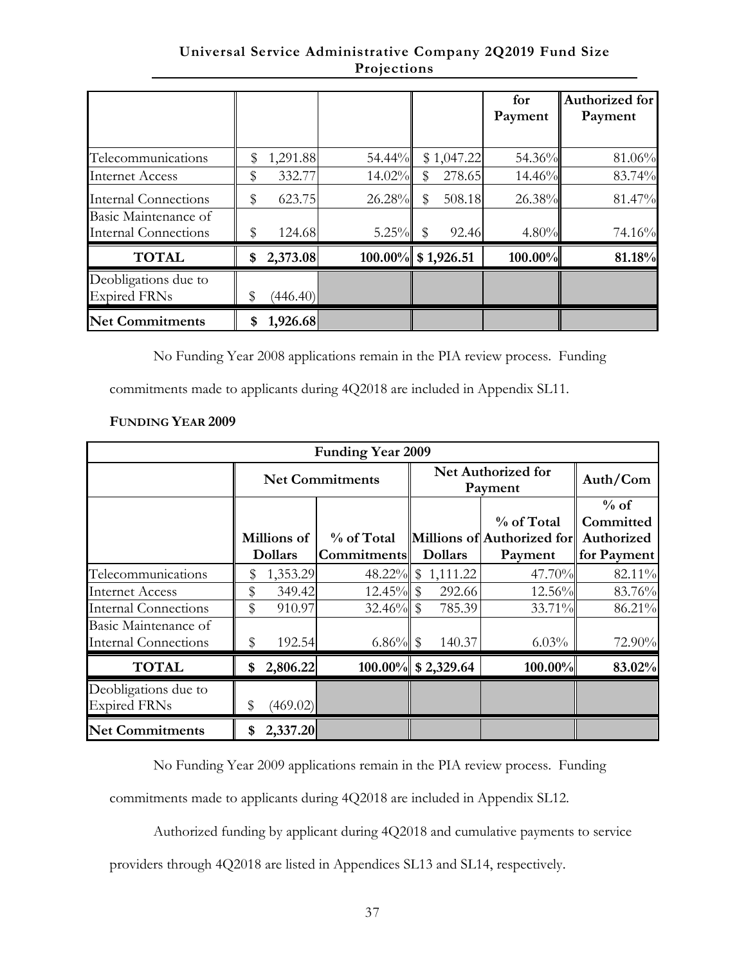|                                                     |    |          |                       |              | for<br>Payment | Authorized for<br>Payment |
|-----------------------------------------------------|----|----------|-----------------------|--------------|----------------|---------------------------|
| Telecommunications                                  | \$ | 1,291.88 | 54.44%                | \$1,047.22   | 54.36%         | 81.06%                    |
| <b>Internet Access</b>                              | \$ | 332.77   | $14.02\%$             | \$<br>278.65 | $14.46\%$      | 83.74%                    |
| <b>Internal Connections</b>                         | \$ | 623.75   | $26.28\%$             | \$<br>508.18 | $26.38\%$      | 81.47%                    |
| Basic Maintenance of<br><b>Internal Connections</b> | S  | 124.68   | 5.25%                 | \$<br>92.46  | 4.80%          | 74.16%                    |
| <b>TOTAL</b>                                        | \$ | 2,373.08 | $100.00\%$ \$1,926.51 |              | $100.00\%$     | 81.18%                    |
| Deobligations due to<br><b>Expired FRNs</b>         | \$ | (446.40) |                       |              |                |                           |
| <b>Net Commitments</b>                              | \$ | 1,926.68 |                       |              |                |                           |

No Funding Year 2008 applications remain in the PIA review process. Funding

commitments made to applicants during 4Q2018 are included in Appendix SL11.

## **FUNDING YEAR 2009**

|                             | <b>Funding Year 2009</b> |                |                        |  |                        |                                       |             |  |  |  |
|-----------------------------|--------------------------|----------------|------------------------|--|------------------------|---------------------------------------|-------------|--|--|--|
|                             |                          |                | <b>Net Commitments</b> |  |                        | Net Authorized for<br>Payment         | Auth/Com    |  |  |  |
|                             |                          |                |                        |  |                        |                                       | $%$ of      |  |  |  |
|                             |                          |                |                        |  |                        | % of Total                            | Committed   |  |  |  |
|                             |                          | Millions of    | % of Total             |  |                        | Millions of Authorized for Authorized |             |  |  |  |
|                             |                          | <b>Dollars</b> | <b>Commitments</b>     |  | <b>Dollars</b>         | Payment                               | for Payment |  |  |  |
| Telecommunications          |                          | 1,353.29       | 48.22%                 |  | \$1,111.22             | 47.70%                                | 82.11%      |  |  |  |
| Internet Access             | \$                       | 349.42         | $12.45\%$ \$           |  | 292.66                 | $12.56\%$                             | 83.76%      |  |  |  |
| <b>Internal Connections</b> | \$                       | 910.97         | 32.46% $\frac{$}{8}$   |  | 785.39                 | 33.71%                                | 86.21%      |  |  |  |
| Basic Maintenance of        |                          |                |                        |  |                        |                                       |             |  |  |  |
| <b>Internal Connections</b> | \$                       | 192.54         | $6.86\%$ \$            |  | 140.37                 | 6.03%                                 | 72.90%      |  |  |  |
| <b>TOTAL</b>                | \$                       | 2,806.22       |                        |  | $100.00\%$ \$ 2,329.64 | $100.00\%$                            | 83.02%      |  |  |  |
| Deobligations due to        |                          |                |                        |  |                        |                                       |             |  |  |  |
| <b>Expired FRNs</b>         | \$                       | (469.02)       |                        |  |                        |                                       |             |  |  |  |
| <b>Net Commitments</b>      | S                        | 2,337.20       |                        |  |                        |                                       |             |  |  |  |

No Funding Year 2009 applications remain in the PIA review process. Funding

commitments made to applicants during 4Q2018 are included in Appendix SL12.

Authorized funding by applicant during 4Q2018 and cumulative payments to service

providers through 4Q2018 are listed in Appendices SL13 and SL14, respectively.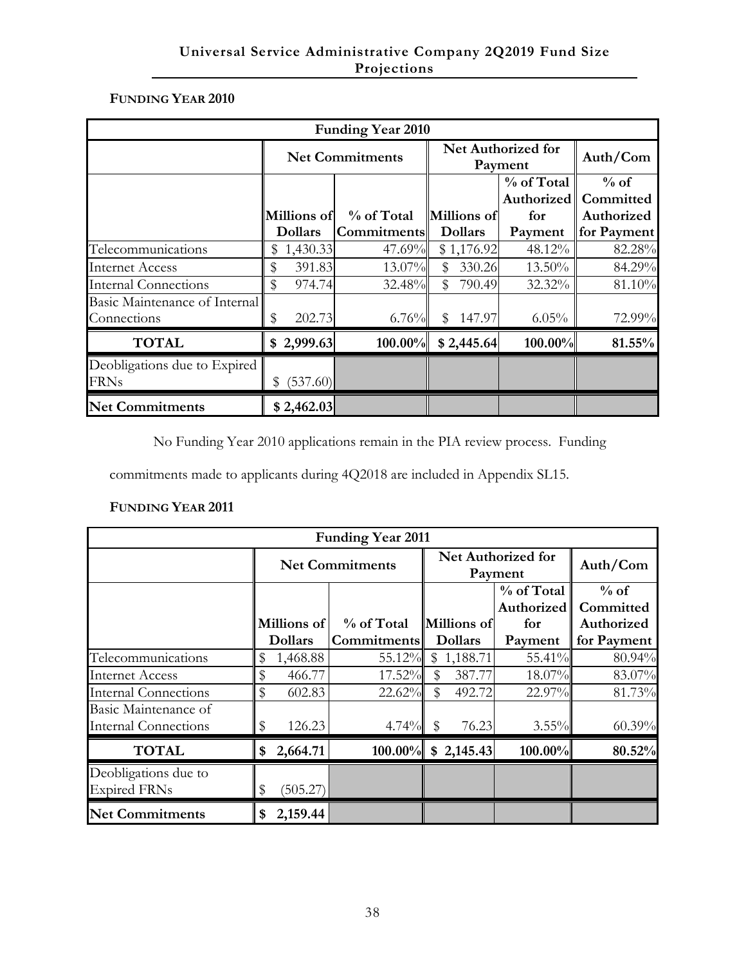# **FUNDING YEAR 2010**

|                               |                | <b>Funding Year 2010</b> |                       |                               |             |
|-------------------------------|----------------|--------------------------|-----------------------|-------------------------------|-------------|
|                               |                | <b>Net Commitments</b>   |                       | Net Authorized for<br>Payment | Auth/Com    |
|                               |                |                          |                       | % of Total                    | $%$ of      |
|                               |                |                          |                       | Authorized                    | Committed   |
|                               | Millions of    | % of Total               | Millions of           | for                           | Authorized  |
|                               | <b>Dollars</b> | <b>Commitments</b>       | <b>Dollars</b>        | Payment                       | for Payment |
| Telecommunications            | 1,430.33<br>\$ | $47.69\%$                | \$1,176.92            | 48.12%                        | 82.28%      |
| <b>Internet Access</b>        | \$<br>391.83   | 13.07%                   | \$<br>330.26          | 13.50%                        | 84.29%      |
| <b>Internal Connections</b>   | \$<br>974.74   | 32.48%                   | 790.49<br>\$          | 32.32%                        | 81.10%      |
| Basic Maintenance of Internal |                |                          |                       |                               |             |
| Connections                   | \$<br>202.73   | 6.76%                    | 147.97<br>$\mathbb S$ | 6.05%                         | 72.99%      |
| <b>TOTAL</b>                  | \$2,999.63     | $100.00\%$               | \$2,445.64            | 100.00%                       | 81.55%      |
| Deobligations due to Expired  |                |                          |                       |                               |             |
| <b>FRNs</b>                   | (537.60)<br>\$ |                          |                       |                               |             |
| <b>Net Commitments</b>        | \$2,462.03     |                          |                       |                               |             |

No Funding Year 2010 applications remain in the PIA review process. Funding

commitments made to applicants during 4Q2018 are included in Appendix SL15.

|                                                     | <b>Funding Year 2011</b> |                |                        |    |                |                               |                     |  |  |  |
|-----------------------------------------------------|--------------------------|----------------|------------------------|----|----------------|-------------------------------|---------------------|--|--|--|
|                                                     |                          |                | <b>Net Commitments</b> |    |                | Net Authorized for<br>Payment | Auth/Com            |  |  |  |
|                                                     |                          |                |                        |    |                | % of Total<br>Authorized      | $%$ of<br>Committed |  |  |  |
|                                                     |                          | Millions of    | % of Total             |    | Millions of    | for                           | Authorized          |  |  |  |
|                                                     |                          | <b>Dollars</b> | <b>Commitments</b>     |    | <b>Dollars</b> | Payment                       | for Payment         |  |  |  |
| Telecommunications                                  |                          | 1,468.88       | 55.12%                 |    | \$1,188.71     | 55.41%                        | 80.94%              |  |  |  |
| <b>Internet Access</b>                              | \$                       | 466.77         | 17.52%                 | \$ | 387.77         | $18.07\%$                     | 83.07%              |  |  |  |
| <b>Internal Connections</b>                         | \$                       | 602.83         | 22.62%                 | \$ | 492.72         | $22.97\%$                     | 81.73%              |  |  |  |
| Basic Maintenance of<br><b>Internal Connections</b> | \$                       | 126.23         | 4.74% $\parallel$ \$   |    | 76.23          | $3.55\%$                      | 60.39%              |  |  |  |
| <b>TOTAL</b>                                        | \$                       | 2,664.71       | $100.00\%$             |    | \$2,145.43     | 100.00%                       | 80.52%              |  |  |  |
| Deobligations due to<br><b>Expired FRNs</b>         | \$                       | (505.27)       |                        |    |                |                               |                     |  |  |  |
| <b>Net Commitments</b>                              | \$                       | 2,159.44       |                        |    |                |                               |                     |  |  |  |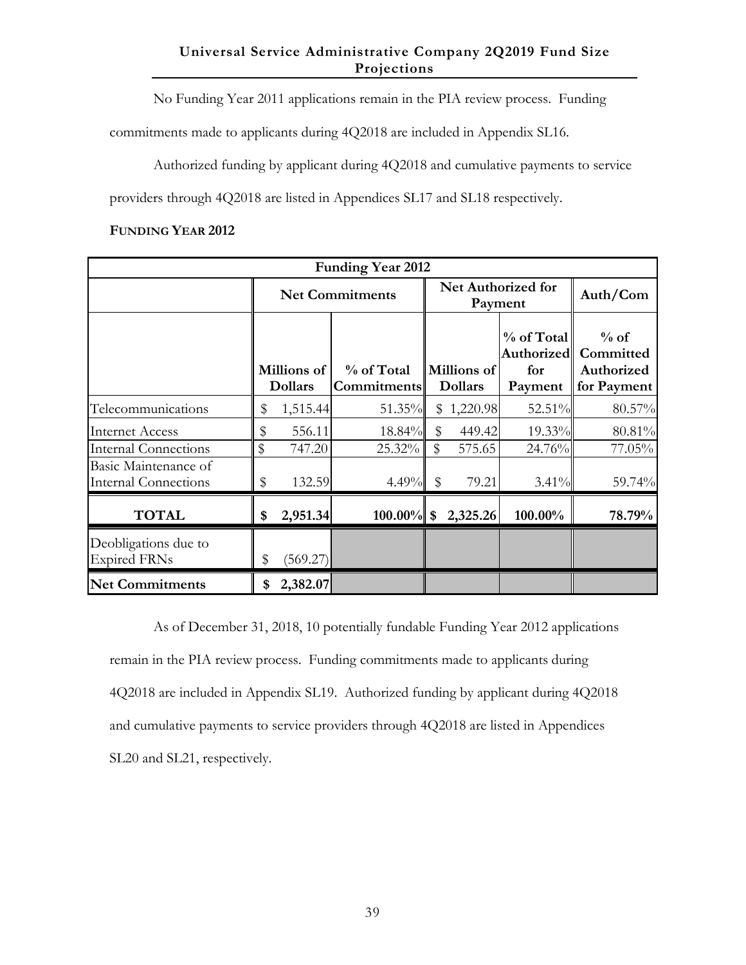No Funding Year 2011 applications remain in the PIA review process. Funding

commitments made to applicants during 4Q2018 are included in Appendix SL16.

Authorized funding by applicant during 4Q2018 and cumulative payments to service

providers through 4Q2018 are listed in Appendices SL17 and SL18 respectively.

#### **FUNDING YEAR 2012**

|                                                     |              |                               | <b>Funding Year 2012</b>         |       |                               |                                      |                                                             |
|-----------------------------------------------------|--------------|-------------------------------|----------------------------------|-------|-------------------------------|--------------------------------------|-------------------------------------------------------------|
|                                                     |              |                               | <b>Net Commitments</b>           |       |                               | <b>Net Authorized for</b><br>Payment | Auth/Com                                                    |
|                                                     |              | Millions of<br><b>Dollars</b> | % of Total<br><b>Commitments</b> |       | Millions of<br><b>Dollars</b> | $%$ of Total<br>for<br>Payment       | $%$ of<br>Authorized Committed<br>Authorized<br>for Payment |
| Telecommunications                                  | \$           | 1,515.44                      | $51.35\%$                        |       | \$1,220.98                    | 52.51%                               | 80.57%                                                      |
| Internet Access                                     | \$           | 556.11                        | 18.84%                           | \$    | 449.42                        | 19.33%                               | 80.81%                                                      |
| <b>Internal Connections</b>                         | $\mathbb{S}$ | 747.20                        | 25.32%                           | $\$\$ | 575.65                        | $24.76\%$                            | 77.05%                                                      |
| Basic Maintenance of<br><b>Internal Connections</b> | \$           | 132.59                        | 4.49%                            | \$    | 79.21                         | $3.41\%$                             | 59.74%                                                      |
| <b>TOTAL</b>                                        | \$           | 2,951.34                      | $100.00\%$ \$                    |       | 2,325.26                      | 100.00%                              | 78.79%                                                      |
| Deobligations due to<br><b>Expired FRNs</b>         | \$           | (569.27)                      |                                  |       |                               |                                      |                                                             |
| <b>Net Commitments</b>                              | \$           | 2,382.07                      |                                  |       |                               |                                      |                                                             |

As of December 31, 2018, 10 potentially fundable Funding Year 2012 applications remain in the PIA review process. Funding commitments made to applicants during 4Q2018 are included in Appendix SL19. Authorized funding by applicant during 4Q2018 and cumulative payments to service providers through 4Q2018 are listed in Appendices SL20 and SL21, respectively.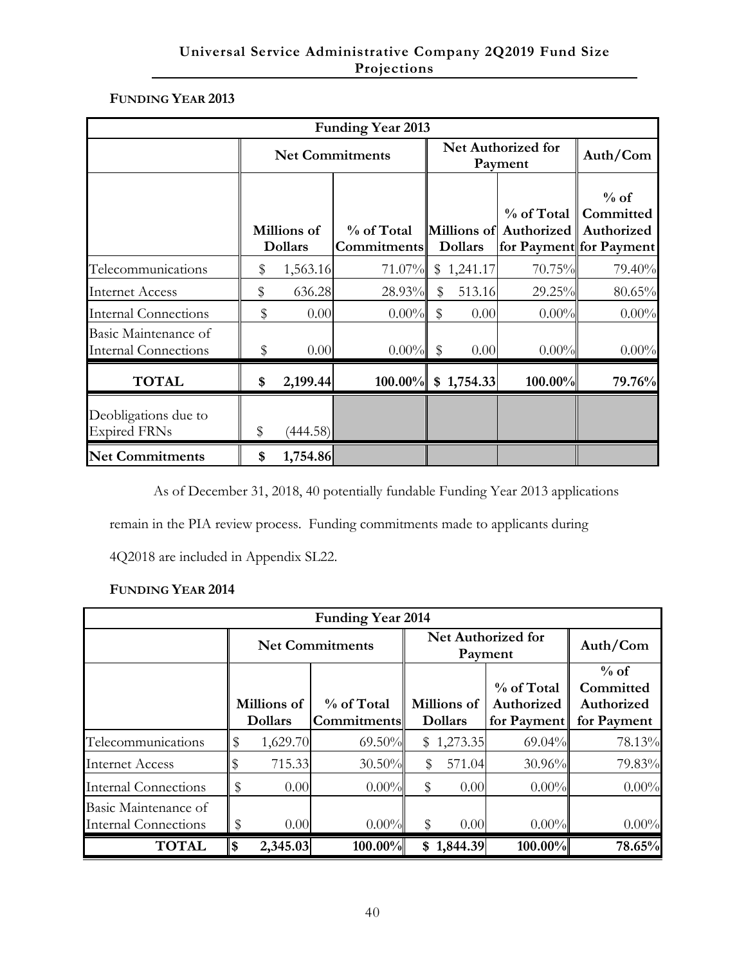## **FUNDING YEAR 2013**

|                                                     |                               | <b>Funding Year 2013</b>         |                         |                        |                                     |                                                             |
|-----------------------------------------------------|-------------------------------|----------------------------------|-------------------------|------------------------|-------------------------------------|-------------------------------------------------------------|
|                                                     |                               | <b>Net Commitments</b>           |                         |                        | Net Authorized for<br>Payment       | Auth/Com                                                    |
|                                                     | Millions of<br><b>Dollars</b> | % of Total<br><b>Commitments</b> |                         | <b>Dollars</b>         | Millions of Authorized   Authorized | $%$ of<br>% of Total   Committed<br>for Payment for Payment |
| Telecommunications                                  | \$<br>1,563.16                | 71.07%                           |                         | \$1,241.17             | $70.75\%$                           | 79.40%                                                      |
| <b>Internet Access</b>                              | \$<br>636.28                  | $28.93\%$                        | \$                      | 513.16                 | 29.25%                              | 80.65%                                                      |
| <b>Internal Connections</b>                         | \$<br>0.00                    | $0.00\%$                         | $\sqrt[6]{\frac{1}{2}}$ | 0.00                   | $0.00\%$                            | $0.00\%$                                                    |
| Basic Maintenance of<br><b>Internal Connections</b> | \$<br>0.00                    | $0.00\%$                         | $\sqrt[6]{\frac{1}{2}}$ | 0.00                   | $0.00\%$                            | $0.00\%$                                                    |
| <b>TOTAL</b>                                        | \$<br>2,199.44                |                                  |                         | $100.00\%$ \$ 1,754.33 | $100.00\%$                          | 79.76%                                                      |
| Deobligations due to<br><b>Expired FRNs</b>         | \$<br>(444.58)                |                                  |                         |                        |                                     |                                                             |
| <b>Net Commitments</b>                              | \$<br>1,754.86                |                                  |                         |                        |                                     |                                                             |

As of December 31, 2018, 40 potentially fundable Funding Year 2013 applications

remain in the PIA review process. Funding commitments made to applicants during

4Q2018 are included in Appendix SL22.

| <b>Funding Year 2014</b>                            |            |                               |                                  |    |                                      |                                         |                                                  |  |  |
|-----------------------------------------------------|------------|-------------------------------|----------------------------------|----|--------------------------------------|-----------------------------------------|--------------------------------------------------|--|--|
|                                                     |            |                               | <b>Net Commitments</b>           |    |                                      | Net Authorized for<br>Payment           | Auth/Com                                         |  |  |
|                                                     |            | Millions of<br><b>Dollars</b> | % of Total<br><b>Commitments</b> |    | <b>Millions</b> of<br><b>Dollars</b> | % of Total<br>Authorized<br>for Payment | $%$ of<br>Committed<br>Authorized<br>for Payment |  |  |
| Telecommunications                                  | \$         | 1,629.70                      | $69.50\%$                        | \$ | 1,273.35                             | $69.04\%$                               | 78.13%                                           |  |  |
| Internet Access                                     |            | 715.33                        | $30.50\%$                        | \$ | 571.04                               | $30.96\%$                               | 79.83%                                           |  |  |
| <b>Internal Connections</b>                         | S          | 0.00                          | $0.00\%$                         | \$ | 0.00                                 | $0.00\%$                                | $0.00\%$                                         |  |  |
| Basic Maintenance of<br><b>Internal Connections</b> | \$         | 0.00                          | $0.00\%$                         | \$ | 0.00                                 | $0.00\%$                                | $0.00\%$                                         |  |  |
| <b>TOTAL</b>                                        | $\sqrt{3}$ | 2,345.03                      | 100.00%                          |    | \$1,844.39                           | $100.00\%$                              | 78.65%                                           |  |  |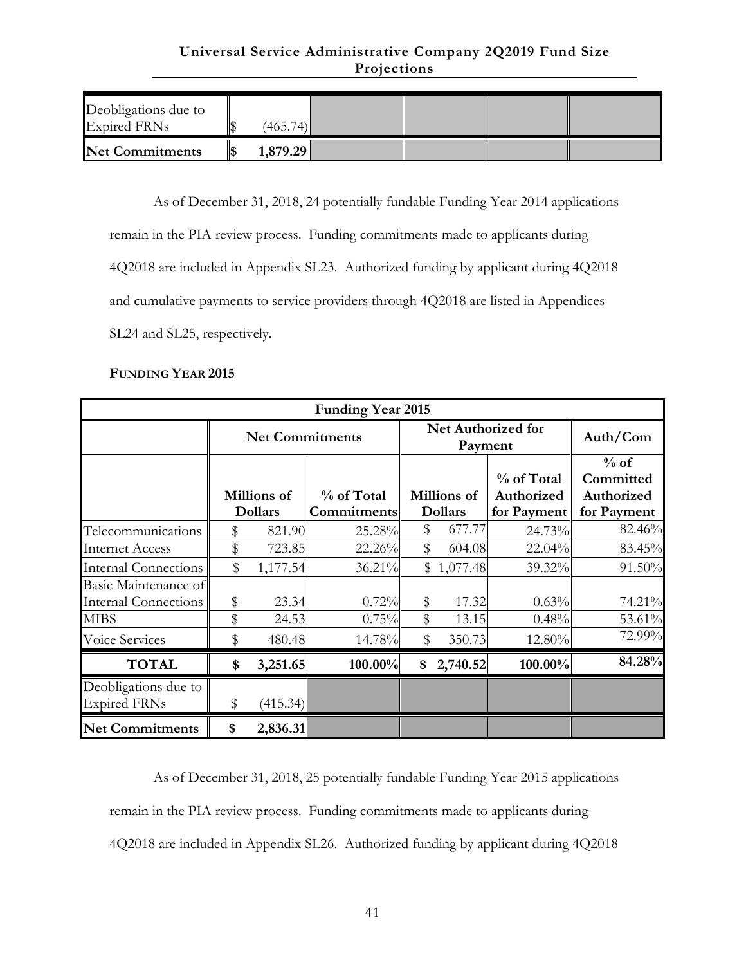| Deobligations due to<br><b>Expired FRNs</b> | (465.74)] |  |  |
|---------------------------------------------|-----------|--|--|
| <b>Net Commitments</b>                      | 1,879.29  |  |  |

As of December 31, 2018, 24 potentially fundable Funding Year 2014 applications

remain in the PIA review process. Funding commitments made to applicants during

4Q2018 are included in Appendix SL23. Authorized funding by applicant during 4Q2018

and cumulative payments to service providers through 4Q2018 are listed in Appendices

SL24 and SL25, respectively.

#### **FUNDING YEAR 2015**

|                                                     | <b>Funding Year 2015</b>      |                        |                                  |                                      |            |                                         |                                                  |  |  |  |  |
|-----------------------------------------------------|-------------------------------|------------------------|----------------------------------|--------------------------------------|------------|-----------------------------------------|--------------------------------------------------|--|--|--|--|
|                                                     |                               | <b>Net Commitments</b> |                                  |                                      | Payment    | <b>Net Authorized for</b>               | Auth/Com                                         |  |  |  |  |
|                                                     | Millions of<br><b>Dollars</b> |                        | % of Total<br><b>Commitments</b> | <b>Millions</b> of<br><b>Dollars</b> |            | % of Total<br>Authorized<br>for Payment | $%$ of<br>Committed<br>Authorized<br>for Payment |  |  |  |  |
| Telecommunications                                  | \$                            | 821.90                 | 25.28%                           | \$                                   | 677.77     | 24.73%                                  | 82.46%                                           |  |  |  |  |
| <b>Internet Access</b>                              | \$                            | 723.85                 | 22.26%                           | \$                                   | 604.08     | 22.04%                                  | 83.45%                                           |  |  |  |  |
| <b>Internal Connections</b>                         | \$                            | 1,177.54               | 36.21%                           |                                      | \$1,077.48 | 39.32%                                  | 91.50%                                           |  |  |  |  |
| Basic Maintenance of<br><b>Internal Connections</b> | \$                            | 23.34                  | 0.72%                            | \$                                   | 17.32      | 0.63%                                   | 74.21%                                           |  |  |  |  |
| <b>MIBS</b>                                         | \$                            | 24.53                  | 0.75%                            | \$                                   | 13.15      | 0.48%                                   | 53.61%                                           |  |  |  |  |
| <b>Voice Services</b>                               | \$                            | 480.48                 | 14.78%                           | \$                                   | 350.73     | 12.80%                                  | 72.99%                                           |  |  |  |  |
| <b>TOTAL</b>                                        | \$                            | 3,251.65               | 100.00%                          | \$                                   | 2,740.52   | $100.00\%$                              | 84.28%                                           |  |  |  |  |
| Deobligations due to<br><b>Expired FRNs</b>         | \$                            | (415.34)               |                                  |                                      |            |                                         |                                                  |  |  |  |  |
| <b>Net Commitments</b>                              | \$                            | 2,836.31               |                                  |                                      |            |                                         |                                                  |  |  |  |  |

As of December 31, 2018, 25 potentially fundable Funding Year 2015 applications remain in the PIA review process. Funding commitments made to applicants during 4Q2018 are included in Appendix SL26. Authorized funding by applicant during 4Q2018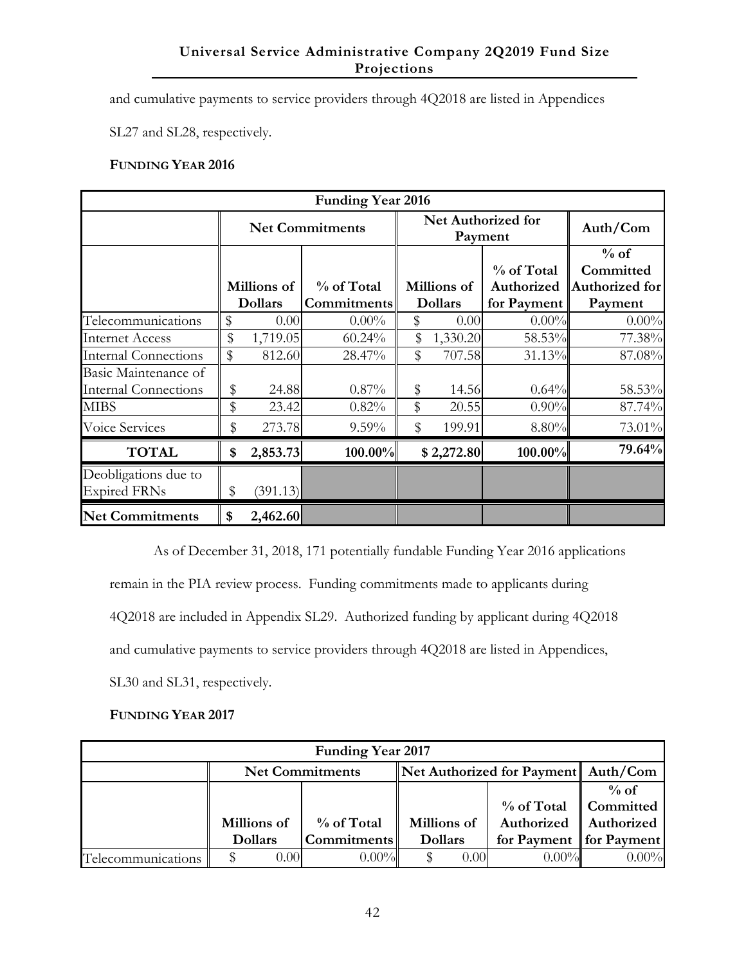and cumulative payments to service providers through 4Q2018 are listed in Appendices

SL27 and SL28, respectively.

## **FUNDING YEAR 2016**

|                                                     | <b>Funding Year 2016</b> |                               |                                  |          |                                      |                                         |                                                  |  |  |  |  |  |
|-----------------------------------------------------|--------------------------|-------------------------------|----------------------------------|----------|--------------------------------------|-----------------------------------------|--------------------------------------------------|--|--|--|--|--|
|                                                     |                          |                               | <b>Net Commitments</b>           |          | Payment                              | Net Authorized for                      | Auth/Com                                         |  |  |  |  |  |
|                                                     |                          | Millions of<br><b>Dollars</b> | % of Total<br><b>Commitments</b> |          | <b>Millions</b> of<br><b>Dollars</b> | % of Total<br>Authorized<br>for Payment | $%$ of<br>Committed<br>Authorized for<br>Payment |  |  |  |  |  |
| Telecommunications                                  | \$                       | 0.00                          | $0.00\%$                         | \$       | 0.00                                 | $0.00\%$                                | $0.00\%$                                         |  |  |  |  |  |
| <b>Internet Access</b>                              | \$                       | 1,719.05                      | 60.24%                           | \$       | 1,330.20                             | 58.53%                                  | 77.38%                                           |  |  |  |  |  |
| <b>Internal Connections</b>                         | \$                       | 812.60                        | 28.47%                           | \$       | 707.58                               | 31.13%                                  | 87.08%                                           |  |  |  |  |  |
| Basic Maintenance of<br><b>Internal Connections</b> | \$                       | 24.88                         | $0.87\%$                         | \$       | 14.56                                | 0.64%                                   | 58.53%                                           |  |  |  |  |  |
| <b>MIBS</b><br>Voice Services                       | \$<br>\$                 | 23.42<br>273.78               | 0.82%<br>$9.59\%$                | \$<br>\$ | 20.55<br>199.91                      | $0.90\%$<br>$8.80\%$                    | 87.74%<br>73.01%                                 |  |  |  |  |  |
| <b>TOTAL</b>                                        | \$                       | 2,853.73                      | $100.00\%$                       |          | \$2,272.80                           | 100.00%                                 | 79.64%                                           |  |  |  |  |  |
| Deobligations due to<br><b>Expired FRNs</b>         | \$                       | (391.13)                      |                                  |          |                                      |                                         |                                                  |  |  |  |  |  |
| <b>Net Commitments</b>                              | \$                       | 2,462.60                      |                                  |          |                                      |                                         |                                                  |  |  |  |  |  |

As of December 31, 2018, 171 potentially fundable Funding Year 2016 applications remain in the PIA review process. Funding commitments made to applicants during 4Q2018 are included in Appendix SL29. Authorized funding by applicant during 4Q2018 and cumulative payments to service providers through 4Q2018 are listed in Appendices, SL30 and SL31, respectively.

| <b>Funding Year 2017</b> |                |                        |                |      |                                       |          |  |  |  |
|--------------------------|----------------|------------------------|----------------|------|---------------------------------------|----------|--|--|--|
|                          |                | <b>Net Commitments</b> |                |      | Net Authorized for Payment   Auth/Com |          |  |  |  |
|                          |                |                        |                |      |                                       | $%$ of   |  |  |  |
|                          |                |                        |                |      | $\%$ of Total   Committed             |          |  |  |  |
|                          | Millions of    | % of Total             | Millions of    |      | Authorized   Authorized               |          |  |  |  |
|                          | <b>Dollars</b> | <b>Commitments</b>     | <b>Dollars</b> |      | for Payment   for Payment             |          |  |  |  |
| Telecommunications       | 0.00           | $0.00\%$               |                | 0.00 | $0.00\%$                              | $0.00\%$ |  |  |  |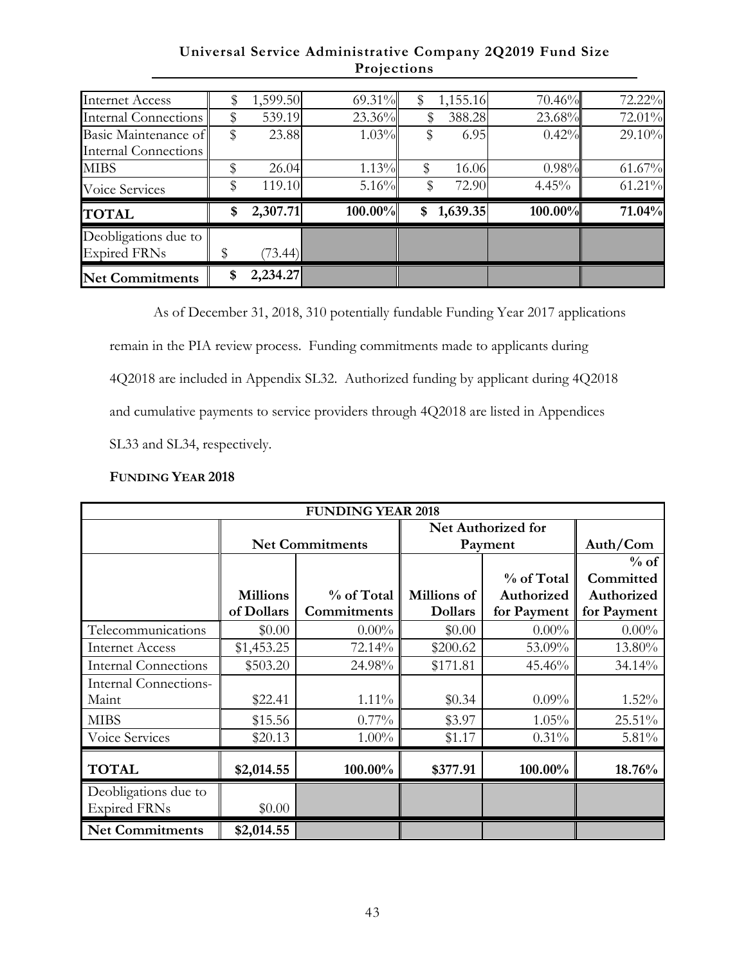| <b>Net Commitments</b>                      | 2,234.27       |           |    |          |            |           |
|---------------------------------------------|----------------|-----------|----|----------|------------|-----------|
| Deobligations due to<br><b>Expired FRNs</b> | \$<br>(73.44)  |           |    |          |            |           |
| <b>TOTAL</b>                                | \$<br>2,307.71 | 100.00%   | \$ | 1,639.35 | $100.00\%$ | 71.04%    |
| Voice Services                              | 119.10         | 5.16%     |    | 72.90    | $4.45\%$   | 61.21%    |
| <b>MIBS</b>                                 | 26.04          | 1.13%     | \$ | 16.06    | 0.98%      | $61.67\%$ |
| Internal Connections                        |                |           |    |          |            |           |
| Basic Maintenance of                        | 23.88          | 1.03%     |    | 6.95     | 0.42%      | 29.10%    |
| Internal Connections                        | 539.19         | $23.36\%$ | S  | 388.28   | $23.68\%$  | 72.01%    |
| <b>Internet Access</b>                      | 1,599.50       | $69.31\%$ |    | 1,155.16 | 70.46%     | 72.22%    |

As of December 31, 2018, 310 potentially fundable Funding Year 2017 applications

remain in the PIA review process. Funding commitments made to applicants during

4Q2018 are included in Appendix SL32. Authorized funding by applicant during 4Q2018

and cumulative payments to service providers through 4Q2018 are listed in Appendices

SL33 and SL34, respectively.

| <b>FUNDING YEAR 2018</b>                    |                 |                        |                           |             |             |
|---------------------------------------------|-----------------|------------------------|---------------------------|-------------|-------------|
|                                             |                 |                        | <b>Net Authorized for</b> |             |             |
|                                             |                 | <b>Net Commitments</b> | Payment                   |             | Auth/Com    |
|                                             |                 |                        |                           |             | $%$ of      |
|                                             |                 |                        |                           | % of Total  | Committed   |
|                                             | <b>Millions</b> | % of Total             | Millions of               | Authorized  | Authorized  |
|                                             | of Dollars      | Commitments            | <b>Dollars</b>            | for Payment | for Payment |
| Telecommunications                          | \$0.00          | $0.00\%$               | \$0.00                    | $0.00\%$    | $0.00\%$    |
| <b>Internet Access</b>                      | \$1,453.25      | 72.14%                 | \$200.62                  | 53.09%      | 13.80%      |
| <b>Internal Connections</b>                 | \$503.20        | 24.98%                 | \$171.81                  | 45.46%      | 34.14%      |
| <b>Internal Connections-</b>                |                 |                        |                           |             |             |
| Maint                                       | \$22.41         | $1.11\%$               | \$0.34                    | $0.09\%$    | $1.52\%$    |
| <b>MIBS</b>                                 | \$15.56         | $0.77\%$               | \$3.97                    | $1.05\%$    | 25.51%      |
| Voice Services                              | \$20.13         | $1.00\%$               | \$1.17                    | $0.31\%$    | 5.81%       |
| <b>TOTAL</b>                                | \$2,014.55      | 100.00%                | \$377.91                  | 100.00%     | 18.76%      |
| Deobligations due to<br><b>Expired FRNs</b> | \$0.00          |                        |                           |             |             |
| <b>Net Commitments</b>                      | \$2,014.55      |                        |                           |             |             |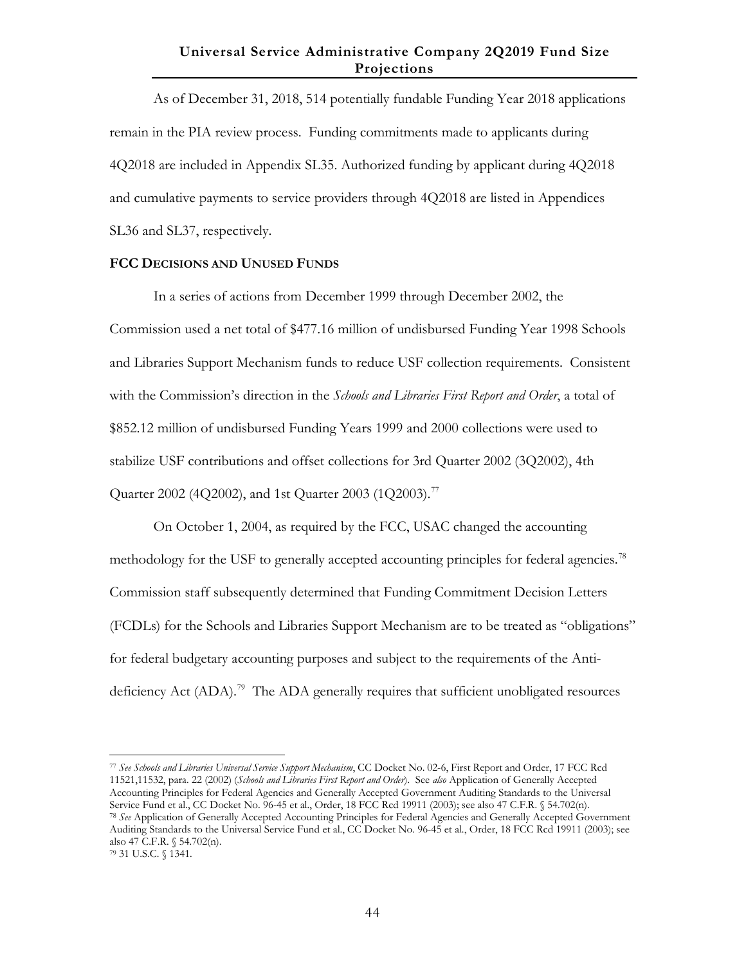As of December 31, 2018, 514 potentially fundable Funding Year 2018 applications remain in the PIA review process. Funding commitments made to applicants during 4Q2018 are included in Appendix SL35. Authorized funding by applicant during 4Q2018 and cumulative payments to service providers through 4Q2018 are listed in Appendices SL36 and SL37, respectively.

#### **FCC DECISIONS AND UNUSED FUNDS**

 $\overline{a}$ 

In a series of actions from December 1999 through December 2002, the Commission used a net total of \$477.16 million of undisbursed Funding Year 1998 Schools and Libraries Support Mechanism funds to reduce USF collection requirements. Consistent with the Commission's direction in the *Schools and Libraries First Report and Order*, a total of \$852.12 million of undisbursed Funding Years 1999 and 2000 collections were used to stabilize USF contributions and offset collections for 3rd Quarter 2002 (3Q2002), 4th Quarter 2002 (4Q2002), and 1st Quarter 2003 (1Q2003).<sup>[77](#page-50-0)</sup>

On October 1, 2004, as required by the FCC, USAC changed the accounting methodology for the USF to generally accepted accounting principles for federal agencies.<sup>[78](#page-50-1)</sup> Commission staff subsequently determined that Funding Commitment Decision Letters (FCDLs) for the Schools and Libraries Support Mechanism are to be treated as "obligations" for federal budgetary accounting purposes and subject to the requirements of the Antideficiency Act  $(ADA)$ .<sup>[79](#page-50-2)</sup> The ADA generally requires that sufficient unobligated resources

<span id="page-50-2"></span><span id="page-50-1"></span><span id="page-50-0"></span><sup>77</sup> *See Schools and Libraries Universal Service Support Mechanism*, CC Docket No. 02-6, First Report and Order, 17 FCC Rcd 11521,11532, para. 22 (2002) (*Schools and Libraries First Report and Order*). See *also* Application of Generally Accepted Accounting Principles for Federal Agencies and Generally Accepted Government Auditing Standards to the Universal Service Fund et al., CC Docket No. 96-45 et al., Order, 18 FCC Rcd 19911 (2003); see also 47 C.F.R. § 54.702(n). <sup>78</sup> *See* Application of Generally Accepted Accounting Principles for Federal Agencies and Generally Accepted Government Auditing Standards to the Universal Service Fund et al., CC Docket No. 96-45 et al., Order, 18 FCC Rcd 19911 (2003); see also 47 C.F.R. § 54.702(n). <sup>79</sup> 31 U.S.C. § 1341.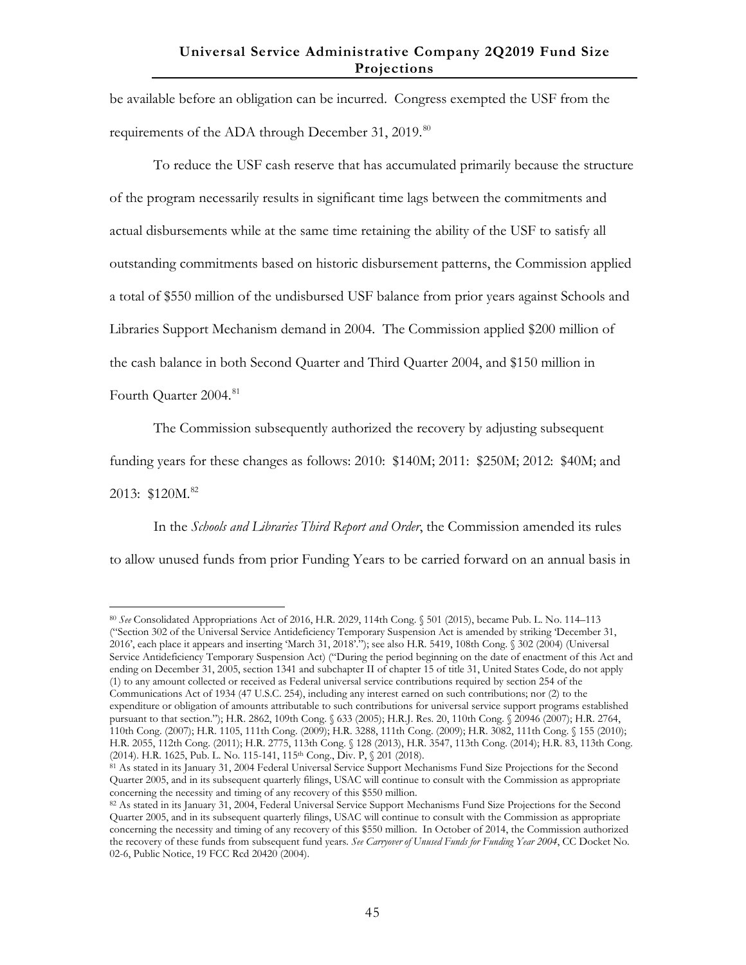be available before an obligation can be incurred. Congress exempted the USF from the requirements of the ADA through December 31, 2019.<sup>[80](#page-51-0)</sup>

To reduce the USF cash reserve that has accumulated primarily because the structure of the program necessarily results in significant time lags between the commitments and actual disbursements while at the same time retaining the ability of the USF to satisfy all outstanding commitments based on historic disbursement patterns, the Commission applied a total of \$550 million of the undisbursed USF balance from prior years against Schools and Libraries Support Mechanism demand in 2004. The Commission applied \$200 million of the cash balance in both Second Quarter and Third Quarter 2004, and \$150 million in Fourth Ouarter 2004.<sup>[81](#page-51-1)</sup>

The Commission subsequently authorized the recovery by adjusting subsequent

funding years for these changes as follows: 2010: \$140M; 2011: \$250M; 2012: \$40M; and

2013: \$120M.<sup>82</sup>

 $\overline{a}$ 

In the *Schools and Libraries Third Report and Order*, the Commission amended its rules to allow unused funds from prior Funding Years to be carried forward on an annual basis in

<span id="page-51-0"></span><sup>80</sup> *See* Consolidated Appropriations Act of 2016, H.R. 2029, 114th Cong. § 501 (2015), became Pub. L. No. 114–113 ("Section 302 of the Universal Service Antideficiency Temporary Suspension Act is amended by striking 'December 31, 2016', each place it appears and inserting 'March 31, 2018'."); see also H.R. 5419, 108th Cong. § 302 (2004) (Universal Service Antideficiency Temporary Suspension Act) ("During the period beginning on the date of enactment of this Act and ending on December 31, 2005, section 1341 and subchapter II of chapter 15 of title 31, United States Code, do not apply (1) to any amount collected or received as Federal universal service contributions required by section 254 of the Communications Act of 1934 (47 U.S.C. 254), including any interest earned on such contributions; nor (2) to the expenditure or obligation of amounts attributable to such contributions for universal service support programs established pursuant to that section."); H.R. 2862, 109th Cong. § 633 (2005); H.R.J. Res. 20, 110th Cong. § 20946 (2007); H.R. 2764, 110th Cong. (2007); H.R. 1105, 111th Cong. (2009); H.R. 3288, 111th Cong. (2009); H.R. 3082, 111th Cong. § 155 (2010); H.R. 2055, 112th Cong. (2011); H.R. 2775, 113th Cong. § 128 (2013), H.R. 3547, 113th Cong. (2014); H.R. 83, 113th Cong. (2014). H.R. 1625, Pub. L. No. 115-141, 115th Cong., Div. P, § 201 (2018).

<span id="page-51-1"></span><sup>81</sup> As stated in its January 31, 2004 Federal Universal Service Support Mechanisms Fund Size Projections for the Second Quarter 2005, and in its subsequent quarterly filings, USAC will continue to consult with the Commission as appropriate concerning the necessity and timing of any recovery of this \$550 million.

<span id="page-51-2"></span><sup>82</sup> As stated in its January 31, 2004, Federal Universal Service Support Mechanisms Fund Size Projections for the Second Quarter 2005, and in its subsequent quarterly filings, USAC will continue to consult with the Commission as appropriate concerning the necessity and timing of any recovery of this \$550 million. In October of 2014, the Commission authorized the recovery of these funds from subsequent fund years. *See Carryover of Unused Funds for Funding Year 2004*, CC Docket No. 02-6, Public Notice, 19 FCC Rcd 20420 (2004).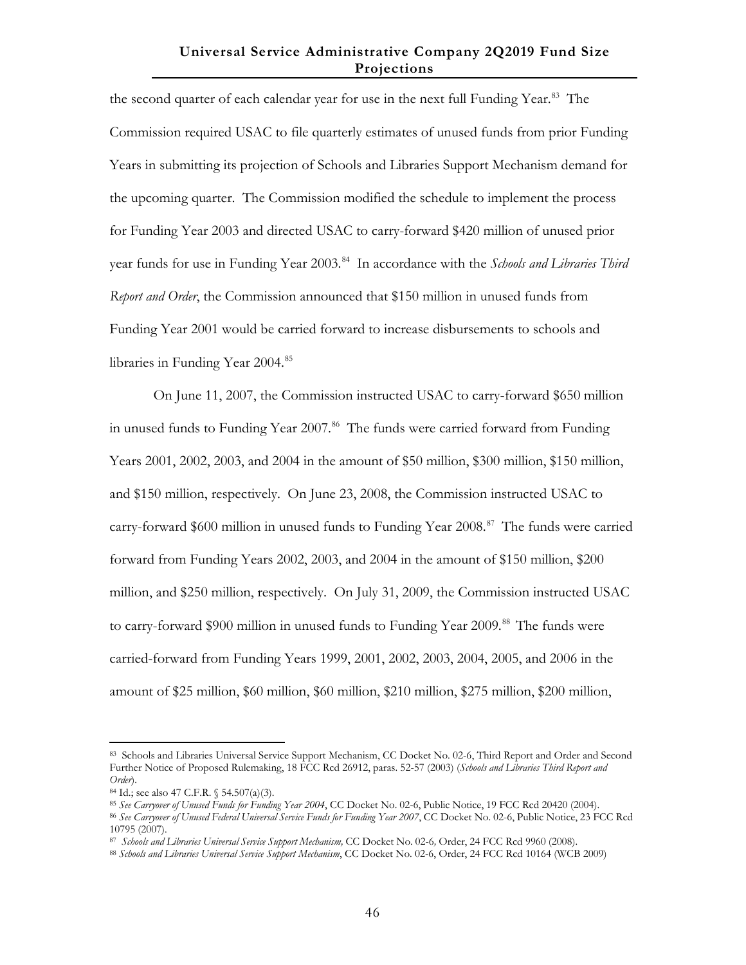the second quarter of each calendar year for use in the next full Funding Year. [83](#page-52-0) The Commission required USAC to file quarterly estimates of unused funds from prior Funding Years in submitting its projection of Schools and Libraries Support Mechanism demand for the upcoming quarter. The Commission modified the schedule to implement the process for Funding Year 2003 and directed USAC to carry-forward \$420 million of unused prior year funds for use in Funding Year 2003.<sup>[84](#page-52-1)</sup> In accordance with the *Schools and Libraries Third Report and Order*, the Commission announced that \$150 million in unused funds from Funding Year 2001 would be carried forward to increase disbursements to schools and libraries in Funding Year 2004.<sup>[85](#page-52-2)</sup>

On June 11, 2007, the Commission instructed USAC to carry-forward \$650 million in unused funds to Funding Year 2007.<sup>86</sup> The funds were carried forward from Funding Years 2001, 2002, 2003, and 2004 in the amount of \$50 million, \$300 million, \$150 million, and \$150 million, respectively. On June 23, 2008, the Commission instructed USAC to carry-forward \$600 million in unused funds to Funding Year 2008.<sup>[87](#page-52-4)</sup> The funds were carried forward from Funding Years 2002, 2003, and 2004 in the amount of \$150 million, \$200 million, and \$250 million, respectively. On July 31, 2009, the Commission instructed USAC to carry-forward \$900 million in unused funds to Funding Year 2009.<sup>[88](#page-52-5)</sup> The funds were carried-forward from Funding Years 1999, 2001, 2002, 2003, 2004, 2005, and 2006 in the amount of \$25 million, \$60 million, \$60 million, \$210 million, \$275 million, \$200 million,

 $\overline{a}$ 

<span id="page-52-0"></span><sup>83</sup> Schools and Libraries Universal Service Support Mechanism, CC Docket No. 02-6, Third Report and Order and Second Further Notice of Proposed Rulemaking, 18 FCC Rcd 26912, paras. 52-57 (2003) (*Schools and Libraries Third Report and Order*).<br><sup>84</sup> Id.; see also 47 C.F.R. § 54.507(a)(3).

<span id="page-52-2"></span><span id="page-52-1"></span>

<sup>&</sup>lt;sup>85</sup> See Carryover of Unused Funds for Funding Year 2004, CC Docket No. 02-6, Public Notice, 19 FCC Rcd 20420 (2004).<br><sup>86</sup> See Carryover of Unused Federal Universal Service Funds for Funding Year 2007, CC Docket No. 02-6,

<span id="page-52-3"></span><sup>10795</sup> (2007).

<span id="page-52-4"></span><sup>87</sup> *Schools and Libraries Universal Service Support Mechanism,* CC Docket No. 02-6*,* Order, 24 FCC Rcd 9960 (2008).

<span id="page-52-5"></span><sup>88</sup> *Schools and Libraries Universal Service Support Mechanism*, CC Docket No. 02-6, Order, 24 FCC Rcd 10164 (WCB 2009)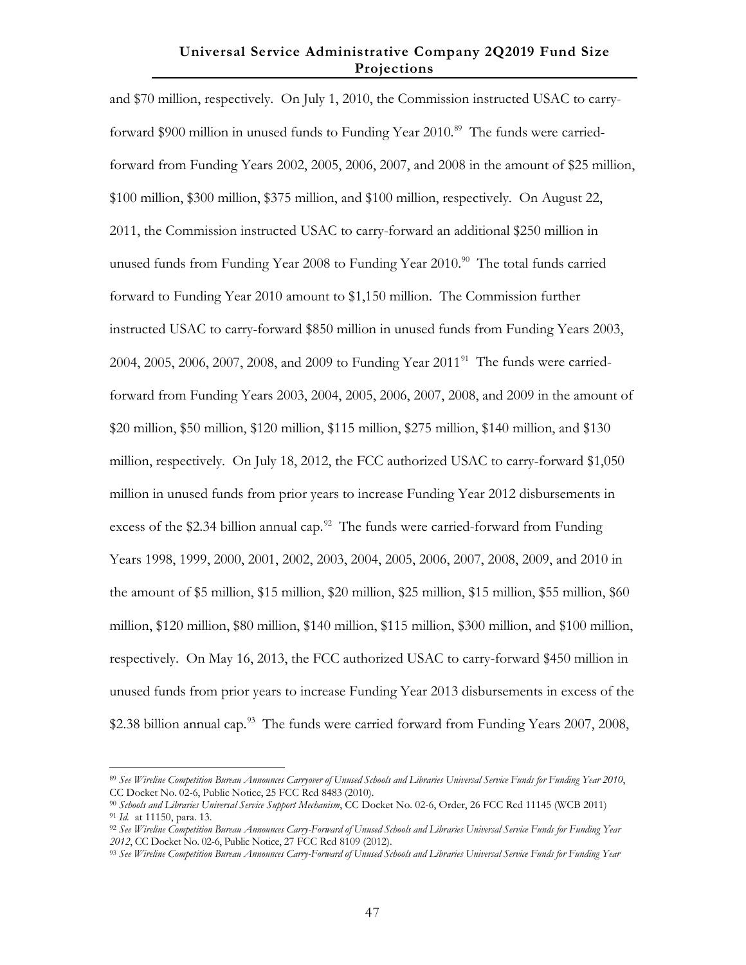and \$70 million, respectively. On July 1, 2010, the Commission instructed USAC to carry-forward \$900 million in unused funds to Funding Year 2010.<sup>[89](#page-53-0)</sup> The funds were carriedforward from Funding Years 2002, 2005, 2006, 2007, and 2008 in the amount of \$25 million, \$100 million, \$300 million, \$375 million, and \$100 million, respectively. On August 22, 2011, the Commission instructed USAC to carry-forward an additional \$250 million in unused funds from Funding Year 2008 to Funding Year  $2010$ .<sup>[90](#page-53-1)</sup> The total funds carried forward to Funding Year 2010 amount to \$1,150 million. The Commission further instructed USAC to carry-forward \$850 million in unused funds from Funding Years 2003, 2004, 2005, 2006, 2007, 2008, and 2009 to Funding Year 2011<sup>91</sup> The funds were carriedforward from Funding Years 2003, 2004, 2005, 2006, 2007, 2008, and 2009 in the amount of \$20 million, \$50 million, \$120 million, \$115 million, \$275 million, \$140 million, and \$130 million, respectively. On July 18, 2012, the FCC authorized USAC to carry-forward \$1,050 million in unused funds from prior years to increase Funding Year 2012 disbursements in excess of the \$2.34 billion annual cap.<sup>[92](#page-53-3)</sup> The funds were carried-forward from Funding Years 1998, 1999, 2000, 2001, 2002, 2003, 2004, 2005, 2006, 2007, 2008, 2009, and 2010 in the amount of \$5 million, \$15 million, \$20 million, \$25 million, \$15 million, \$55 million, \$60 million, \$120 million, \$80 million, \$140 million, \$115 million, \$300 million, and \$100 million, respectively. On May 16, 2013, the FCC authorized USAC to carry-forward \$450 million in unused funds from prior years to increase Funding Year 2013 disbursements in excess of the \$2.38 billion annual cap.<sup>[93](#page-53-4)</sup> The funds were carried forward from Funding Years 2007, 2008,

 $\overline{a}$ 

<span id="page-53-0"></span><sup>&</sup>lt;sup>89</sup> See Wireline Competition Bureau Announces Carryover of Unused Schools and Libraries Universal Service Funds for Funding Year 2010, CC Docket No. 02-6, Public Notice, 25 FCC Rcd 8483 (2010).

<span id="page-53-1"></span><sup>90</sup> *Schools and Libraries Universal Service Support Mechanism*, CC Docket No. 02-6, Order, 26 FCC Rcd 11145 (WCB 2011) <sup>91</sup> *Id.* at 11150, para. 13.

<span id="page-53-3"></span><span id="page-53-2"></span><sup>92</sup> *See Wireline Competition Bureau Announces Carry-Forward of Unused Schools and Libraries Universal Service Funds for Funding Year 2012*, CC Docket No. 02-6, Public Notice, 27 FCC Rcd 8109 (2012).

<span id="page-53-4"></span><sup>93</sup> See Wireline Competition Bureau Announces Carry-Forward of Unused Schools and Libraries Universal Service Funds for Funding Year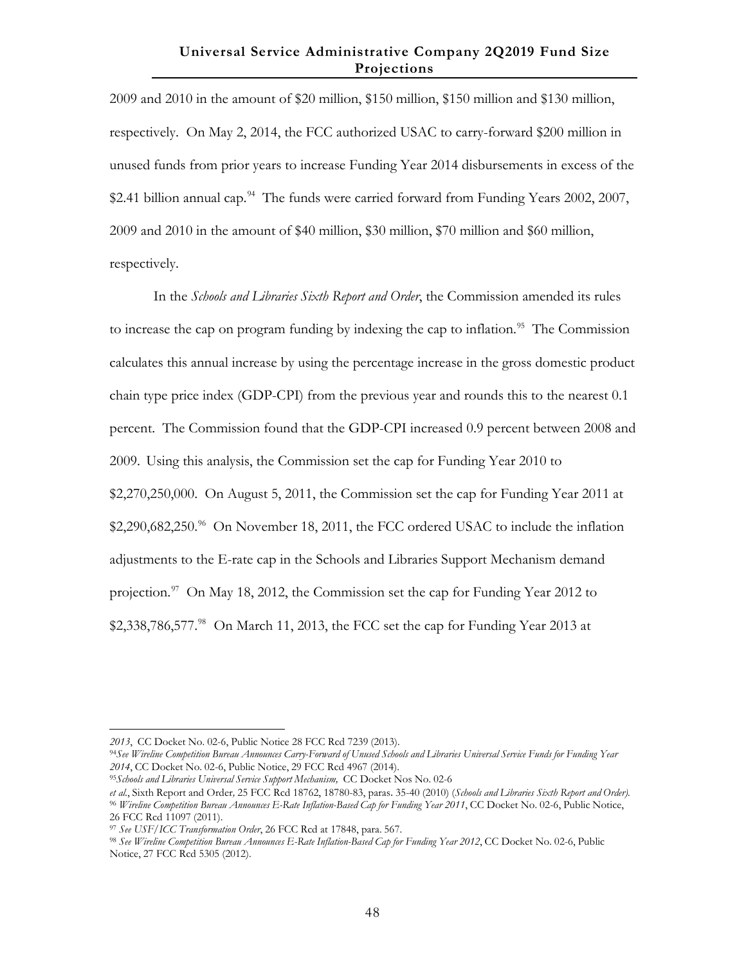2009 and 2010 in the amount of \$20 million, \$150 million, \$150 million and \$130 million, respectively. On May 2, 2014, the FCC authorized USAC to carry-forward \$200 million in unused funds from prior years to increase Funding Year 2014 disbursements in excess of the \$2.41 billion annual cap.<sup>94</sup> The funds were carried forward from Funding Years 2002, 2007, 2009 and 2010 in the amount of \$40 million, \$30 million, \$70 million and \$60 million, respectively.

In the *Schools and Libraries Sixth Report and Order*, the Commission amended its rules to increase the cap on program funding by indexing the cap to inflation.<sup>95</sup> The Commission calculates this annual increase by using the percentage increase in the gross domestic product chain type price index (GDP-CPI) from the previous year and rounds this to the nearest 0.1 percent. The Commission found that the GDP-CPI increased 0.9 percent between 2008 and 2009. Using this analysis, the Commission set the cap for Funding Year 2010 to \$2,270,250,000. On August 5, 2011, the Commission set the cap for Funding Year 2011 at  $$2,290,682,250.96$  $$2,290,682,250.96$  On November 18, 2011, the FCC ordered USAC to include the inflation adjustments to the E-rate cap in the Schools and Libraries Support Mechanism demand projection.<sup>[97](#page-54-3)</sup> On May 18, 2012, the Commission set the cap for Funding Year 2012 to \$2,338,786,577. $98$  On March 11, 2013, the FCC set the cap for Funding Year 2013 at

 $\overline{a}$ 

<sup>95</sup>*Schools and Libraries Universal Service Support Mechanism,* CC Docket Nos No. 02-6

*<sup>2013</sup>*, CC Docket No. 02-6, Public Notice 28 FCC Rcd 7239 (2013).

<span id="page-54-0"></span><sup>94</sup> See Wireline Competition Bureau Announces Carry-Forward of Unused Schools and Libraries Universal Service Funds for Funding Year *2014*, CC Docket No. 02-6, Public Notice, 29 FCC Rcd 4967 (2014).

<span id="page-54-2"></span><span id="page-54-1"></span>*et al.*, Sixth Report and Order*,* 25 FCC Rcd 18762, 18780-83, paras. 35-40 (2010) (*Schools and Libraries Sixth Report and Order).* <sup>96</sup> *Wireline Competition Bureau Announces E-Rate Inflation-Based Cap for Funding Year 2011*, CC Docket No. 02-6, Public Notice, 26 FCC Rcd 11097 (2011).

<span id="page-54-3"></span><sup>97</sup> *See USF/ICC Transformation Order*, 26 FCC Rcd at 17848, para. 567.

<span id="page-54-4"></span><sup>98</sup> *See Wireline Competition Bureau Announces E-Rate Inflation-Based Cap for Funding Year 2012*, CC Docket No. 02-6, Public Notice, 27 FCC Rcd 5305 (2012).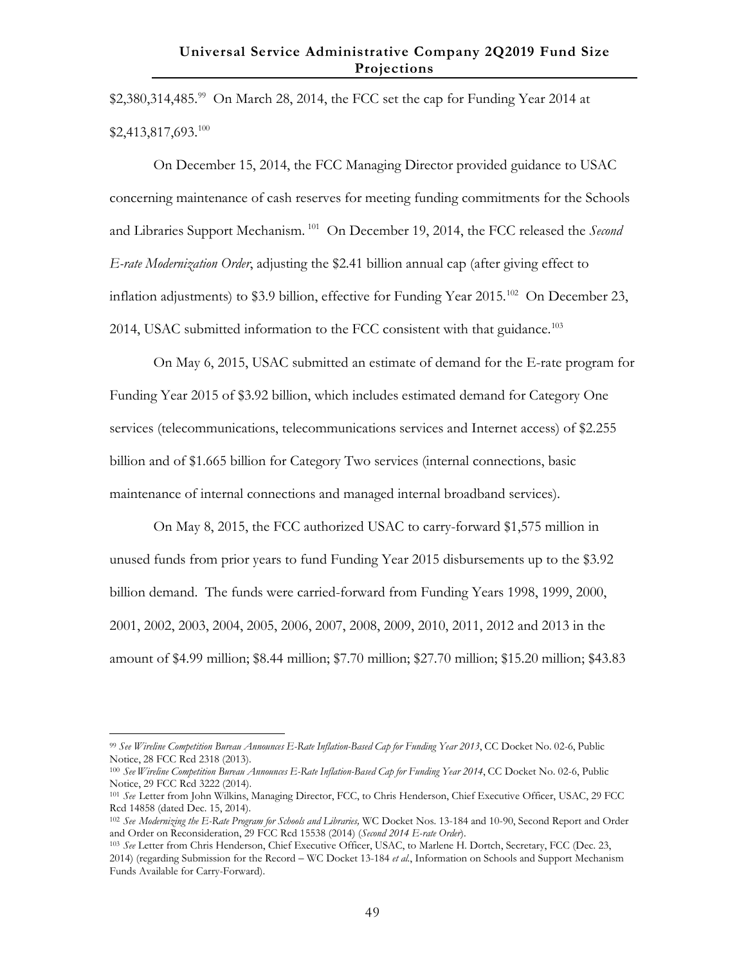$$2,380,314,485.99$  $$2,380,314,485.99$  On March 28, 2014, the FCC set the cap for Funding Year 2014 at  $$2,413,817,693.<sup>100</sup>$  $$2,413,817,693.<sup>100</sup>$  $$2,413,817,693.<sup>100</sup>$ 

On December 15, 2014, the FCC Managing Director provided guidance to USAC concerning maintenance of cash reserves for meeting funding commitments for the Schools and Libraries Support Mechanism. [101](#page-55-2) On December 19, 2014, the FCC released the *Second E-rate Modernization Order*, adjusting the \$2.41 billion annual cap (after giving effect to inflation adjustments) to \$3.9 billion, effective for Funding Year 2015.<sup>[102](#page-55-3)</sup> On December 23, 2014, USAC submitted information to the FCC consistent with that guidance.<sup>[103](#page-55-4)</sup>

On May 6, 2015, USAC submitted an estimate of demand for the E-rate program for Funding Year 2015 of \$3.92 billion, which includes estimated demand for Category One services (telecommunications, telecommunications services and Internet access) of \$2.255 billion and of \$1.665 billion for Category Two services (internal connections, basic maintenance of internal connections and managed internal broadband services).

On May 8, 2015, the FCC authorized USAC to carry-forward \$1,575 million in unused funds from prior years to fund Funding Year 2015 disbursements up to the \$3.92 billion demand. The funds were carried-forward from Funding Years 1998, 1999, 2000, 2001, 2002, 2003, 2004, 2005, 2006, 2007, 2008, 2009, 2010, 2011, 2012 and 2013 in the amount of \$4.99 million; \$8.44 million; \$7.70 million; \$27.70 million; \$15.20 million; \$43.83

 $\overline{a}$ 

<span id="page-55-0"></span><sup>99</sup> *See Wireline Competition Bureau Announces E-Rate Inflation-Based Cap for Funding Year 2013*, CC Docket No. 02-6, Public Notice, 28 FCC Rcd 2318 (2013).

<span id="page-55-1"></span><sup>100</sup> *See Wireline Competition Bureau Announces E-Rate Inflation-Based Cap for Funding Year 2014*, CC Docket No. 02-6, Public Notice, 29 FCC Rcd 3222 (2014).

<span id="page-55-2"></span><sup>101</sup> *See* Letter from John Wilkins, Managing Director, FCC, to Chris Henderson, Chief Executive Officer, USAC, 29 FCC Rcd 14858 (dated Dec. 15, 2014).

<span id="page-55-3"></span><sup>102</sup> *See Modernizing the E-Rate Program for Schools and Libraries,* WC Docket Nos. 13-184 and 10-90, Second Report and Order and Order on Reconsideration, 29 FCC Rcd 15538 (2014) (*Second 2014 E-rate Order*).

<span id="page-55-4"></span><sup>103</sup> *See* Letter from Chris Henderson, Chief Executive Officer, USAC, to Marlene H. Dortch, Secretary, FCC (Dec. 23, 2014) (regarding Submission for the Record – WC Docket 13-184 *et al.*, Information on Schools and Support Mechanism Funds Available for Carry-Forward).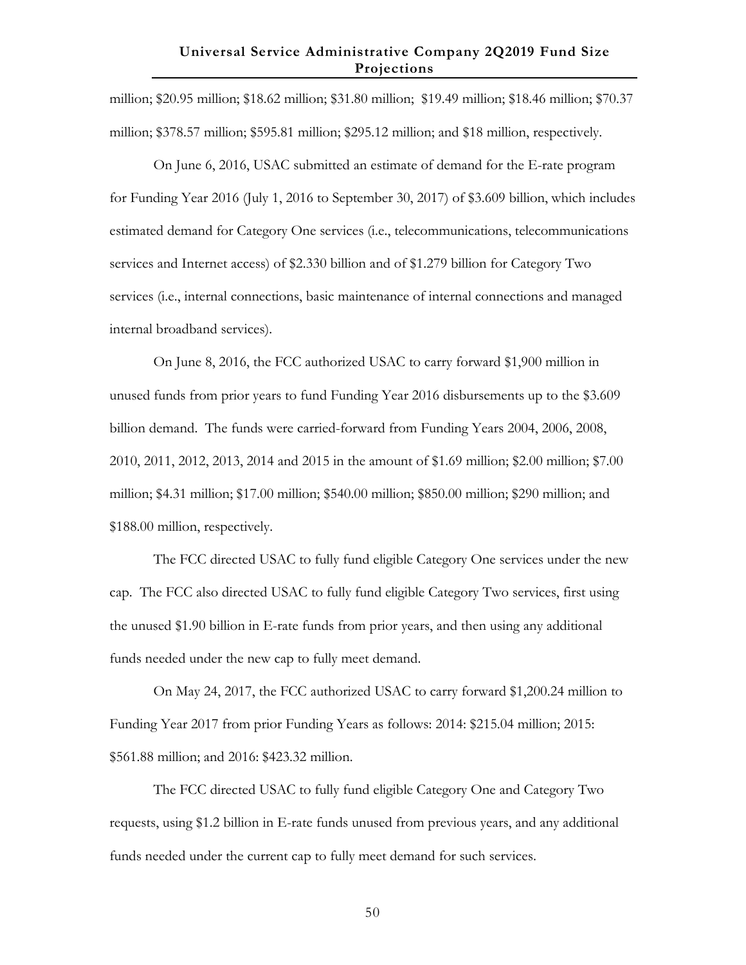million; \$20.95 million; \$18.62 million; \$31.80 million; \$19.49 million; \$18.46 million; \$70.37 million; \$378.57 million; \$595.81 million; \$295.12 million; and \$18 million, respectively.

On June 6, 2016, USAC submitted an estimate of demand for the E-rate program for Funding Year 2016 (July 1, 2016 to September 30, 2017) of \$3.609 billion, which includes estimated demand for Category One services (i.e., telecommunications, telecommunications services and Internet access) of \$2.330 billion and of \$1.279 billion for Category Two services (i.e., internal connections, basic maintenance of internal connections and managed internal broadband services).

On June 8, 2016, the FCC authorized USAC to carry forward \$1,900 million in unused funds from prior years to fund Funding Year 2016 disbursements up to the \$3.609 billion demand. The funds were carried-forward from Funding Years 2004, 2006, 2008, 2010, 2011, 2012, 2013, 2014 and 2015 in the amount of \$1.69 million; \$2.00 million; \$7.00 million; \$4.31 million; \$17.00 million; \$540.00 million; \$850.00 million; \$290 million; and \$188.00 million, respectively.

The FCC directed USAC to fully fund eligible Category One services under the new cap. The FCC also directed USAC to fully fund eligible Category Two services, first using the unused \$1.90 billion in E-rate funds from prior years, and then using any additional funds needed under the new cap to fully meet demand.

On May 24, 2017, the FCC authorized USAC to carry forward \$1,200.24 million to Funding Year 2017 from prior Funding Years as follows: 2014: \$215.04 million; 2015: \$561.88 million; and 2016: \$423.32 million.

The FCC directed USAC to fully fund eligible Category One and Category Two requests, using \$1.2 billion in E-rate funds unused from previous years, and any additional funds needed under the current cap to fully meet demand for such services.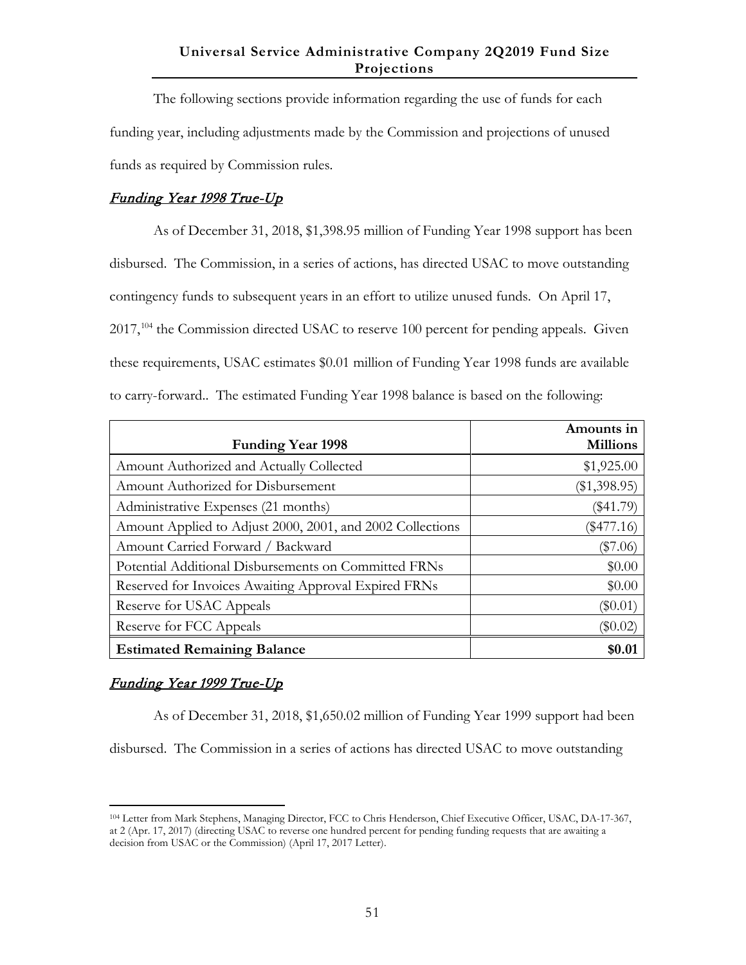The following sections provide information regarding the use of funds for each funding year, including adjustments made by the Commission and projections of unused funds as required by Commission rules.

#### Funding Year 1998 True-Up

As of December 31, 2018, \$1,398.95 million of Funding Year 1998 support has been disbursed. The Commission, in a series of actions, has directed USAC to move outstanding contingency funds to subsequent years in an effort to utilize unused funds. On April 17, 2017,<sup>[104](#page-57-0)</sup> the Commission directed USAC to reserve 100 percent for pending appeals. Given these requirements, USAC estimates \$0.01 million of Funding Year 1998 funds are available to carry-forward.. The estimated Funding Year 1998 balance is based on the following:

|                                                           | Amounts in      |
|-----------------------------------------------------------|-----------------|
| <b>Funding Year 1998</b>                                  | <b>Millions</b> |
| Amount Authorized and Actually Collected                  | \$1,925.00      |
| Amount Authorized for Disbursement                        | $(\$1,398.95)$  |
| Administrative Expenses (21 months)                       | $(\$41.79)$     |
| Amount Applied to Adjust 2000, 2001, and 2002 Collections | $(\$477.16)$    |
| Amount Carried Forward / Backward                         | $(\$7.06)$      |
| Potential Additional Disbursements on Committed FRNs      | \$0.00          |
| Reserved for Invoices Awaiting Approval Expired FRNs      | \$0.00          |
| Reserve for USAC Appeals                                  | $(\$0.01)$      |
| Reserve for FCC Appeals                                   | $(\$0.02)$      |
| <b>Estimated Remaining Balance</b>                        | \$0.01          |

#### Funding Year 1999 True-Up

 $\overline{a}$ 

As of December 31, 2018, \$1,650.02 million of Funding Year 1999 support had been disbursed. The Commission in a series of actions has directed USAC to move outstanding

<span id="page-57-0"></span><sup>104</sup> Letter from Mark Stephens, Managing Director, FCC to Chris Henderson, Chief Executive Officer, USAC, DA-17-367, at 2 (Apr. 17, 2017) (directing USAC to reverse one hundred percent for pending funding requests that are awaiting a decision from USAC or the Commission) (April 17, 2017 Letter).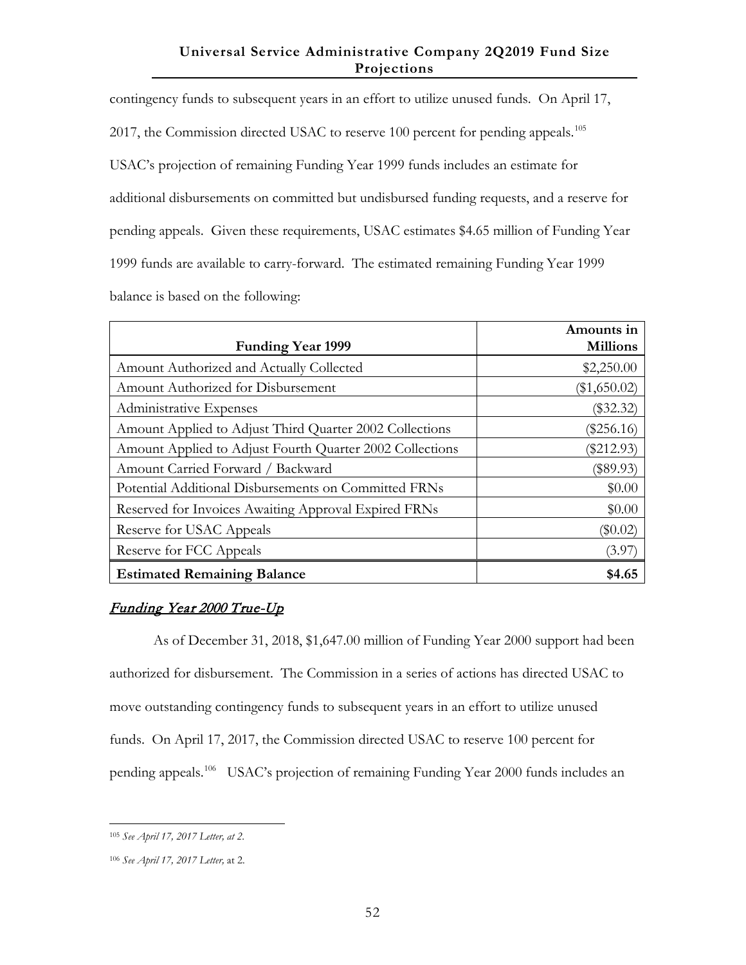contingency funds to subsequent years in an effort to utilize unused funds. On April 17, 2017, the Commission directed USAC to reserve 100 percent for pending appeals.<sup>[105](#page-58-0)</sup> USAC's projection of remaining Funding Year 1999 funds includes an estimate for additional disbursements on committed but undisbursed funding requests, and a reserve for pending appeals. Given these requirements, USAC estimates \$4.65 million of Funding Year 1999 funds are available to carry-forward. The estimated remaining Funding Year 1999 balance is based on the following:

| <b>Funding Year 1999</b>                                 | Amounts in<br><b>Millions</b> |
|----------------------------------------------------------|-------------------------------|
| Amount Authorized and Actually Collected                 | \$2,250.00                    |
| Amount Authorized for Disbursement                       | $(\$1,650.02)$                |
| Administrative Expenses                                  | $(\$32.32)$                   |
| Amount Applied to Adjust Third Quarter 2002 Collections  | $(\$256.16)$                  |
| Amount Applied to Adjust Fourth Quarter 2002 Collections | $(\$212.93)$                  |
| Amount Carried Forward / Backward                        | $(\$89.93)$                   |
| Potential Additional Disbursements on Committed FRNs     | \$0.00                        |
| Reserved for Invoices Awaiting Approval Expired FRNs     | \$0.00                        |
| Reserve for USAC Appeals                                 | $(\$0.02)$                    |
| Reserve for FCC Appeals                                  | (3.97)                        |
| <b>Estimated Remaining Balance</b>                       | \$4.65                        |

## Funding Year 2000 True-Up

As of December 31, 2018, \$1,647.00 million of Funding Year 2000 support had been authorized for disbursement. The Commission in a series of actions has directed USAC to move outstanding contingency funds to subsequent years in an effort to utilize unused funds. On April 17, 2017, the Commission directed USAC to reserve 100 percent for pending appeals.[106](#page-58-1) USAC's projection of remaining Funding Year 2000 funds includes an

<span id="page-58-0"></span> $\overline{a}$ <sup>105</sup> *See April 17, 2017 Letter, at 2*.

<span id="page-58-1"></span><sup>106</sup> *See April 17, 2017 Letter,* at 2.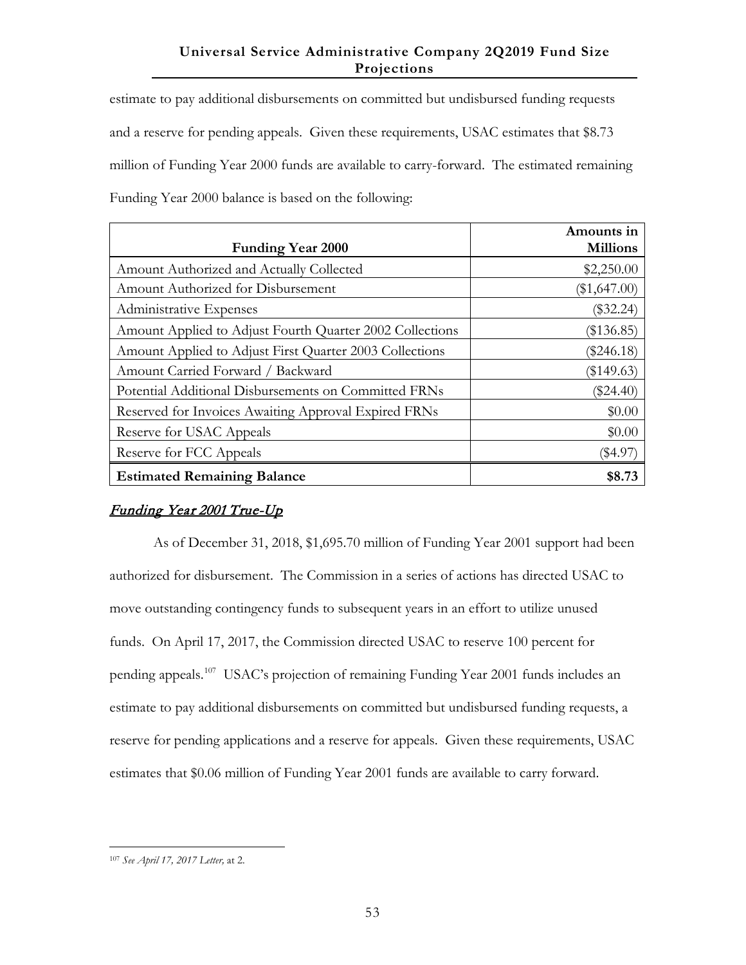estimate to pay additional disbursements on committed but undisbursed funding requests and a reserve for pending appeals. Given these requirements, USAC estimates that \$8.73 million of Funding Year 2000 funds are available to carry-forward. The estimated remaining Funding Year 2000 balance is based on the following:

|                                                          | Amounts in      |
|----------------------------------------------------------|-----------------|
| <b>Funding Year 2000</b>                                 | <b>Millions</b> |
| Amount Authorized and Actually Collected                 | \$2,250.00      |
| Amount Authorized for Disbursement                       | $(\$1,647.00)$  |
| Administrative Expenses                                  | $(\$32.24)$     |
| Amount Applied to Adjust Fourth Quarter 2002 Collections | $(\$136.85)$    |
| Amount Applied to Adjust First Quarter 2003 Collections  | $(\$246.18)$    |
| Amount Carried Forward / Backward                        | (\$149.63)      |
| Potential Additional Disbursements on Committed FRNs     | $(\$24.40)$     |
| Reserved for Invoices Awaiting Approval Expired FRNs     | \$0.00          |
| Reserve for USAC Appeals                                 | \$0.00          |
| Reserve for FCC Appeals                                  | (\$4.97)        |
| <b>Estimated Remaining Balance</b>                       | \$8.73          |

## Funding Year 2001 True-Up

As of December 31, 2018, \$1,695.70 million of Funding Year 2001 support had been authorized for disbursement. The Commission in a series of actions has directed USAC to move outstanding contingency funds to subsequent years in an effort to utilize unused funds. On April 17, 2017, the Commission directed USAC to reserve 100 percent for pending appeals.[107](#page-59-0) USAC's projection of remaining Funding Year 2001 funds includes an estimate to pay additional disbursements on committed but undisbursed funding requests, a reserve for pending applications and a reserve for appeals. Given these requirements, USAC estimates that \$0.06 million of Funding Year 2001 funds are available to carry forward.

<span id="page-59-0"></span> $\overline{a}$ <sup>107</sup> *See April 17, 2017 Letter,* at 2.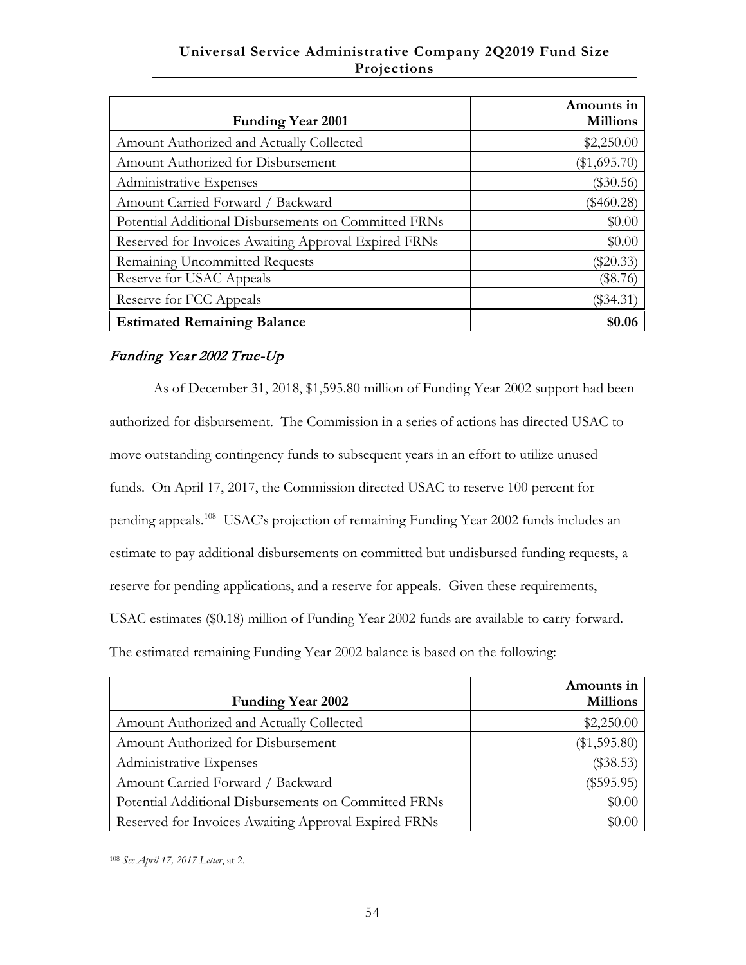| <b>Funding Year 2001</b>                             | Amounts in<br><b>Millions</b> |
|------------------------------------------------------|-------------------------------|
| Amount Authorized and Actually Collected             | \$2,250.00                    |
| Amount Authorized for Disbursement                   | $(\$1,695.70)$                |
| Administrative Expenses                              | $(\$30.56)$                   |
| Amount Carried Forward / Backward                    | $(\$460.28)$                  |
| Potential Additional Disbursements on Committed FRNs | \$0.00                        |
| Reserved for Invoices Awaiting Approval Expired FRNs | \$0.00                        |
| Remaining Uncommitted Requests                       | \$20.33                       |
| Reserve for USAC Appeals                             | $(\$8.76)$                    |
| Reserve for FCC Appeals                              | $(\$34.31)$                   |
| <b>Estimated Remaining Balance</b>                   | \$0.06                        |

## Funding Year 2002 True-Up

As of December 31, 2018, \$1,595.80 million of Funding Year 2002 support had been authorized for disbursement. The Commission in a series of actions has directed USAC to move outstanding contingency funds to subsequent years in an effort to utilize unused funds. On April 17, 2017, the Commission directed USAC to reserve 100 percent for pending appeals.[108](#page-60-0) USAC's projection of remaining Funding Year 2002 funds includes an estimate to pay additional disbursements on committed but undisbursed funding requests, a reserve for pending applications, and a reserve for appeals. Given these requirements, USAC estimates (\$0.18) million of Funding Year 2002 funds are available to carry-forward. The estimated remaining Funding Year 2002 balance is based on the following:

|                                                      | Amounts in      |
|------------------------------------------------------|-----------------|
| <b>Funding Year 2002</b>                             | <b>Millions</b> |
| Amount Authorized and Actually Collected             | \$2,250.00      |
| Amount Authorized for Disbursement                   | $(\$1,595.80)$  |
| Administrative Expenses                              | $(\$38.53)$     |
| Amount Carried Forward / Backward                    | $(\$595.95)$    |
| Potential Additional Disbursements on Committed FRNs | \$0.00          |
| Reserved for Invoices Awaiting Approval Expired FRNs | \$0.00          |

<span id="page-60-0"></span> $\overline{a}$ <sup>108</sup> *See April 17, 2017 Letter*, at 2.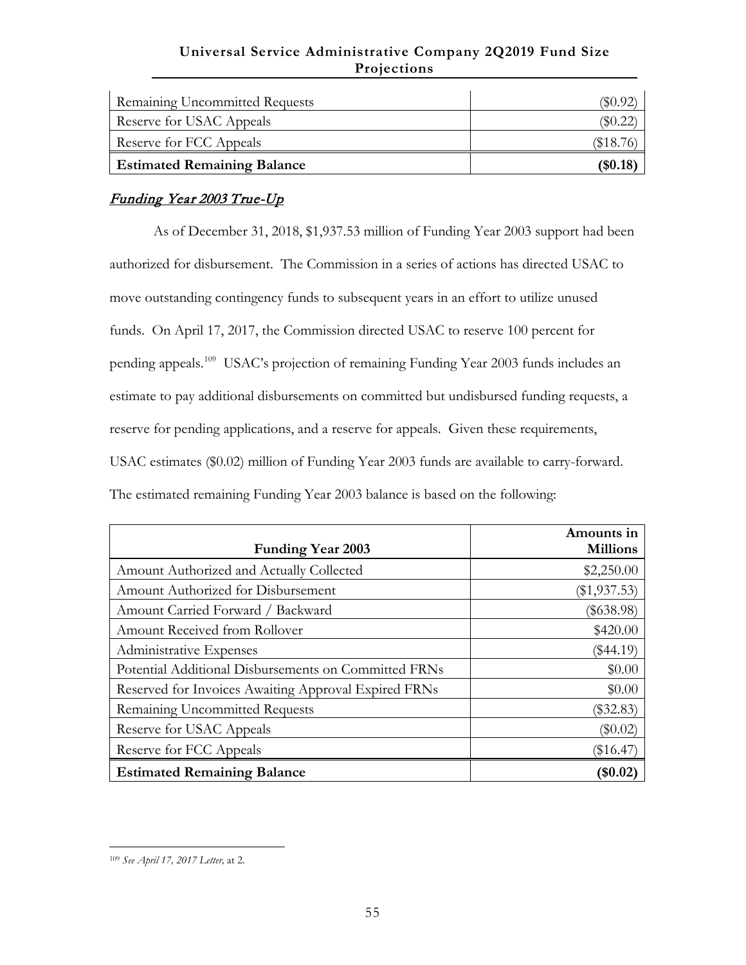| Remaining Uncommitted Requests     | SO.92       |
|------------------------------------|-------------|
| Reserve for USAC Appeals           | \$0.22      |
| Reserve for FCC Appeals            | $(\$18.76)$ |
| <b>Estimated Remaining Balance</b> | (\$0.18     |

## Funding Year 2003 True-Up

As of December 31, 2018, \$1,937.53 million of Funding Year 2003 support had been authorized for disbursement. The Commission in a series of actions has directed USAC to move outstanding contingency funds to subsequent years in an effort to utilize unused funds. On April 17, 2017, the Commission directed USAC to reserve 100 percent for pending appeals.[109](#page-61-0) USAC's projection of remaining Funding Year 2003 funds includes an estimate to pay additional disbursements on committed but undisbursed funding requests, a reserve for pending applications, and a reserve for appeals. Given these requirements, USAC estimates (\$0.02) million of Funding Year 2003 funds are available to carry-forward. The estimated remaining Funding Year 2003 balance is based on the following:

|                                                      | Amounts in      |
|------------------------------------------------------|-----------------|
| <b>Funding Year 2003</b>                             | <b>Millions</b> |
| Amount Authorized and Actually Collected             | \$2,250.00      |
| Amount Authorized for Disbursement                   | $(\$1,937.53)$  |
| Amount Carried Forward / Backward                    | $(\$638.98)$    |
| Amount Received from Rollover                        | \$420.00        |
| Administrative Expenses                              | (\$44.19)       |
| Potential Additional Disbursements on Committed FRNs | \$0.00          |
| Reserved for Invoices Awaiting Approval Expired FRNs | \$0.00          |
| Remaining Uncommitted Requests                       | $(\$32.83)$     |
| Reserve for USAC Appeals                             | $(\$0.02)$      |
| Reserve for FCC Appeals                              | (\$16.47)       |
| <b>Estimated Remaining Balance</b>                   | $(\$0.02)$      |

<span id="page-61-0"></span> $\overline{a}$ <sup>109</sup> *See April 17, 2017 Letter,* at 2.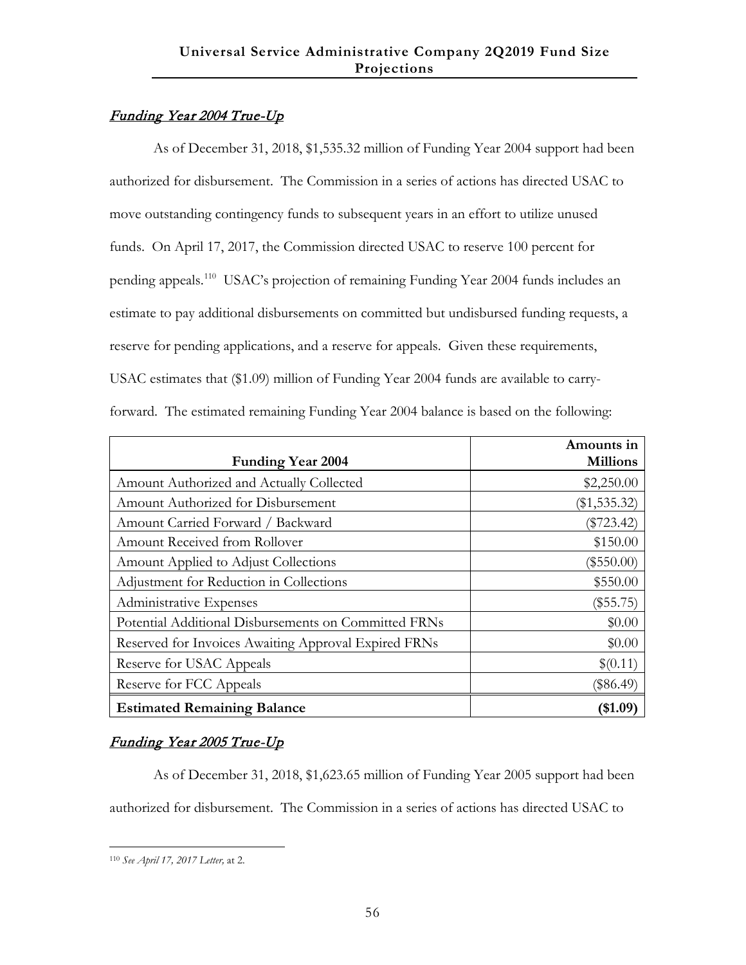# Funding Year 2004 True-Up

As of December 31, 2018, \$1,535.32 million of Funding Year 2004 support had been authorized for disbursement. The Commission in a series of actions has directed USAC to move outstanding contingency funds to subsequent years in an effort to utilize unused funds. On April 17, 2017, the Commission directed USAC to reserve 100 percent for pending appeals.[110](#page-62-0) USAC's projection of remaining Funding Year 2004 funds includes an estimate to pay additional disbursements on committed but undisbursed funding requests, a reserve for pending applications, and a reserve for appeals. Given these requirements, USAC estimates that (\$1.09) million of Funding Year 2004 funds are available to carryforward. The estimated remaining Funding Year 2004 balance is based on the following:

| <b>Funding Year 2004</b>                             | Amounts in<br><b>Millions</b> |
|------------------------------------------------------|-------------------------------|
| Amount Authorized and Actually Collected             | \$2,250.00                    |
| Amount Authorized for Disbursement                   | $(\$1,535.32)$                |
| Amount Carried Forward / Backward                    | $(\$723.42)$                  |
| Amount Received from Rollover                        | \$150.00                      |
| Amount Applied to Adjust Collections                 | $(\$550.00)$                  |
| Adjustment for Reduction in Collections              | \$550.00                      |
| Administrative Expenses                              | $(\$55.75)$                   |
| Potential Additional Disbursements on Committed FRNs | \$0.00                        |
| Reserved for Invoices Awaiting Approval Expired FRNs | \$0.00                        |
| Reserve for USAC Appeals                             | \$(0.11)                      |
| Reserve for FCC Appeals                              | (\$86.49)                     |
| <b>Estimated Remaining Balance</b>                   | (\$1.09)                      |

# Funding Year 2005 True-Up

As of December 31, 2018, \$1,623.65 million of Funding Year 2005 support had been authorized for disbursement. The Commission in a series of actions has directed USAC to

<span id="page-62-0"></span> $\overline{a}$ <sup>110</sup> *See April 17, 2017 Letter,* at 2.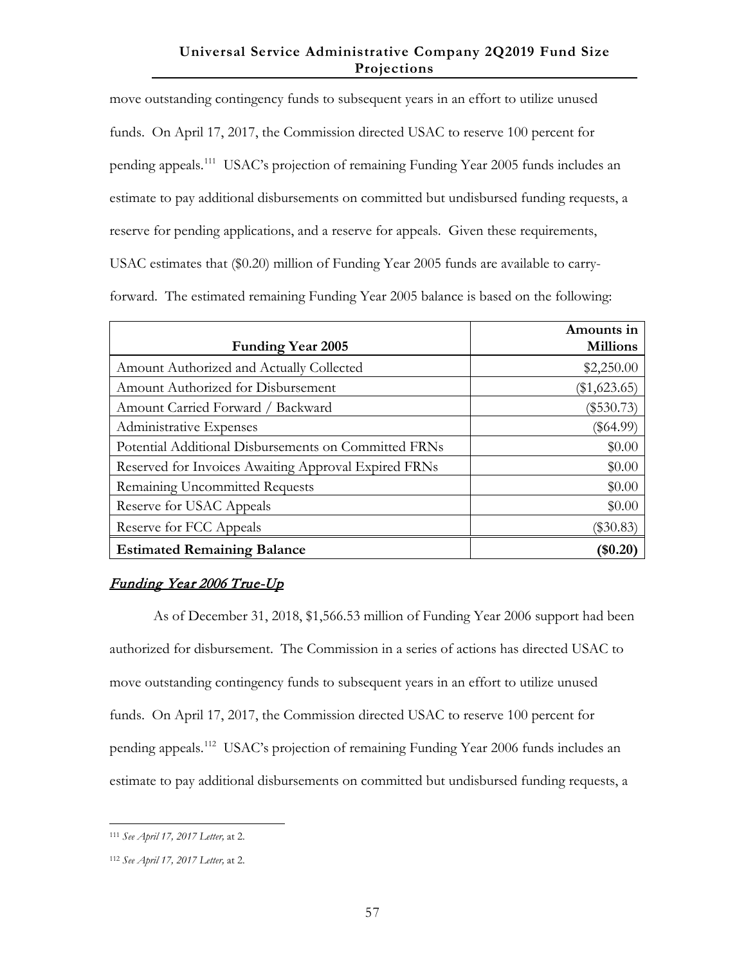move outstanding contingency funds to subsequent years in an effort to utilize unused funds. On April 17, 2017, the Commission directed USAC to reserve 100 percent for pending appeals.[111](#page-63-0) USAC's projection of remaining Funding Year 2005 funds includes an estimate to pay additional disbursements on committed but undisbursed funding requests, a reserve for pending applications, and a reserve for appeals. Given these requirements, USAC estimates that (\$0.20) million of Funding Year 2005 funds are available to carryforward. The estimated remaining Funding Year 2005 balance is based on the following:

| <b>Funding Year 2005</b>                             | Amounts in<br><b>Millions</b> |
|------------------------------------------------------|-------------------------------|
| Amount Authorized and Actually Collected             | \$2,250.00                    |
| Amount Authorized for Disbursement                   | $(\$1,623.65)$                |
| Amount Carried Forward / Backward                    | $(\$530.73)$                  |
| Administrative Expenses                              | (\$64.99)                     |
| Potential Additional Disbursements on Committed FRNs | \$0.00                        |
| Reserved for Invoices Awaiting Approval Expired FRNs | \$0.00                        |
| Remaining Uncommitted Requests                       | \$0.00                        |
| Reserve for USAC Appeals                             | \$0.00                        |
| Reserve for FCC Appeals                              | $(\$30.83)$                   |
| <b>Estimated Remaining Balance</b>                   | $\$0.20$                      |

#### Funding Year 2006 True-Up

As of December 31, 2018, \$1,566.53 million of Funding Year 2006 support had been authorized for disbursement. The Commission in a series of actions has directed USAC to move outstanding contingency funds to subsequent years in an effort to utilize unused funds. On April 17, 2017, the Commission directed USAC to reserve 100 percent for pending appeals.[112](#page-63-1) USAC's projection of remaining Funding Year 2006 funds includes an estimate to pay additional disbursements on committed but undisbursed funding requests, a

 $\overline{a}$ 

<span id="page-63-0"></span><sup>111</sup> *See April 17, 2017 Letter,* at 2.

<span id="page-63-1"></span><sup>112</sup> *See April 17, 2017 Letter,* at 2.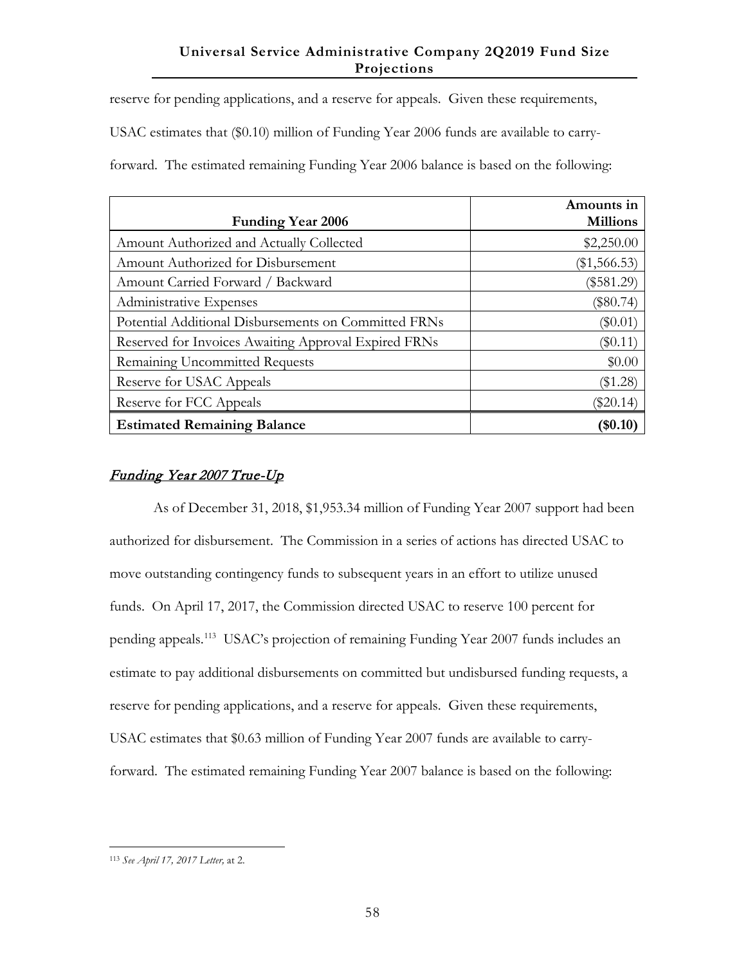reserve for pending applications, and a reserve for appeals. Given these requirements,

USAC estimates that (\$0.10) million of Funding Year 2006 funds are available to carry-

forward. The estimated remaining Funding Year 2006 balance is based on the following:

|                                                      | Amounts in      |
|------------------------------------------------------|-----------------|
| <b>Funding Year 2006</b>                             | <b>Millions</b> |
| Amount Authorized and Actually Collected             | \$2,250.00      |
| Amount Authorized for Disbursement                   | $(\$1,566.53)$  |
| Amount Carried Forward / Backward                    | $(\$581.29)$    |
| Administrative Expenses                              | $(\$80.74)$     |
| Potential Additional Disbursements on Committed FRNs | $(\$0.01)$      |
| Reserved for Invoices Awaiting Approval Expired FRNs | $(\$0.11)$      |
| Remaining Uncommitted Requests                       | \$0.00          |
| Reserve for USAC Appeals                             | $(\$1.28)$      |
| Reserve for FCC Appeals                              | $(\$20.14)$     |
| <b>Estimated Remaining Balance</b>                   | (\$0.10         |

## Funding Year 2007 True-Up

As of December 31, 2018, \$1,953.34 million of Funding Year 2007 support had been authorized for disbursement. The Commission in a series of actions has directed USAC to move outstanding contingency funds to subsequent years in an effort to utilize unused funds. On April 17, 2017, the Commission directed USAC to reserve 100 percent for pending appeals.[113](#page-64-0) USAC's projection of remaining Funding Year 2007 funds includes an estimate to pay additional disbursements on committed but undisbursed funding requests, a reserve for pending applications, and a reserve for appeals. Given these requirements, USAC estimates that \$0.63 million of Funding Year 2007 funds are available to carryforward. The estimated remaining Funding Year 2007 balance is based on the following:

<span id="page-64-0"></span> $\overline{a}$ <sup>113</sup> *See April 17, 2017 Letter,* at 2.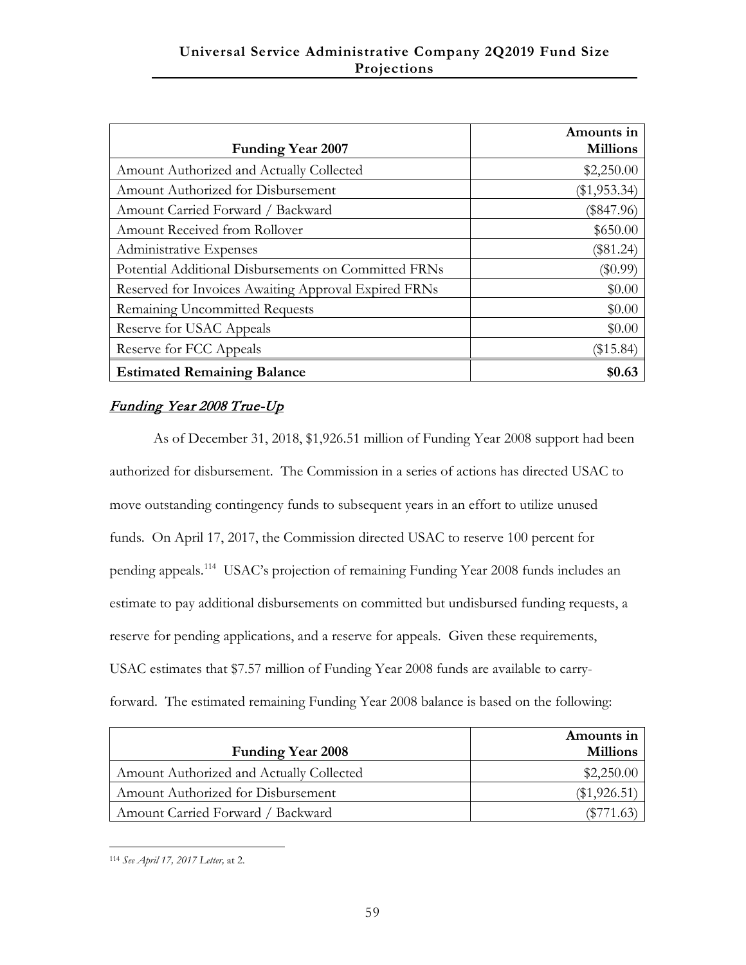| <b>Funding Year 2007</b>                             | Amounts in<br><b>Millions</b> |
|------------------------------------------------------|-------------------------------|
| Amount Authorized and Actually Collected             | \$2,250.00                    |
| Amount Authorized for Disbursement                   | $(\$1,953.34)$                |
| Amount Carried Forward / Backward                    | $(\$847.96)$                  |
| Amount Received from Rollover                        | \$650.00                      |
| Administrative Expenses                              | $(\$81.24)$                   |
| Potential Additional Disbursements on Committed FRNs | (\$0.99)                      |
| Reserved for Invoices Awaiting Approval Expired FRNs | \$0.00                        |
| Remaining Uncommitted Requests                       | \$0.00                        |
| Reserve for USAC Appeals                             | \$0.00                        |
| Reserve for FCC Appeals                              | (\$15.84)                     |
| <b>Estimated Remaining Balance</b>                   | \$0.63                        |

## Funding Year 2008 True-Up

As of December 31, 2018, \$1,926.51 million of Funding Year 2008 support had been authorized for disbursement. The Commission in a series of actions has directed USAC to move outstanding contingency funds to subsequent years in an effort to utilize unused funds. On April 17, 2017, the Commission directed USAC to reserve 100 percent for pending appeals.[114](#page-65-0) USAC's projection of remaining Funding Year 2008 funds includes an estimate to pay additional disbursements on committed but undisbursed funding requests, a reserve for pending applications, and a reserve for appeals. Given these requirements, USAC estimates that \$7.57 million of Funding Year 2008 funds are available to carryforward. The estimated remaining Funding Year 2008 balance is based on the following:

|                                          | Amounts in      |
|------------------------------------------|-----------------|
| <b>Funding Year 2008</b>                 | <b>Millions</b> |
| Amount Authorized and Actually Collected | \$2,250.00      |
| Amount Authorized for Disbursement       | $(\$1,926.51)$  |
| Amount Carried Forward / Backward        |                 |

<span id="page-65-0"></span> $\overline{a}$ <sup>114</sup> *See April 17, 2017 Letter,* at 2.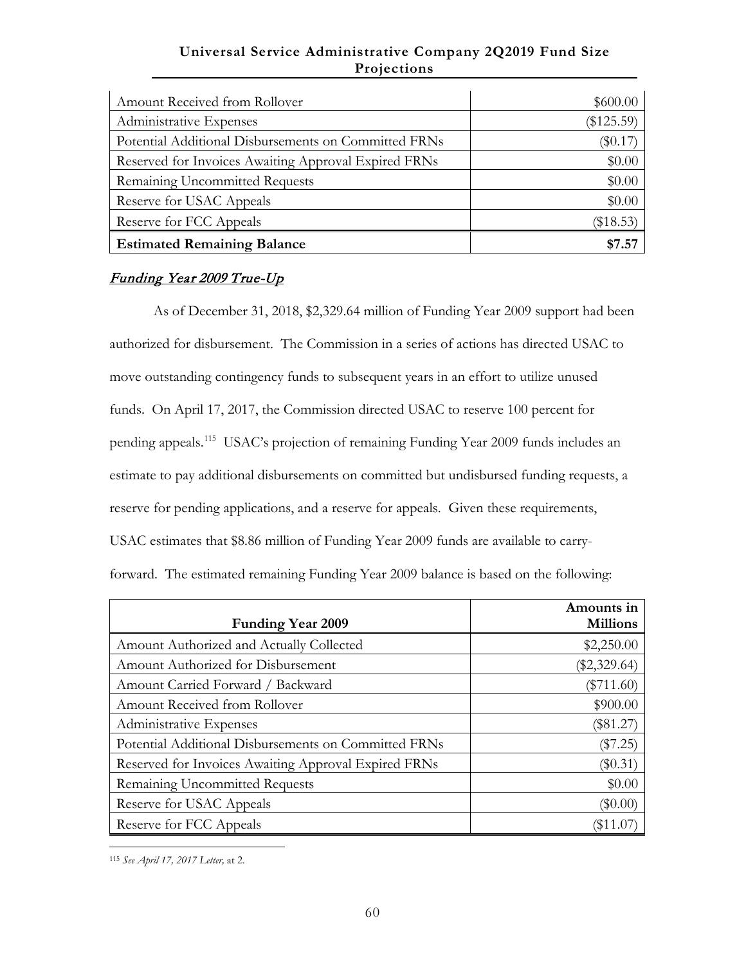| Amount Received from Rollover                        | \$600.00     |
|------------------------------------------------------|--------------|
| Administrative Expenses                              | $(\$125.59)$ |
| Potential Additional Disbursements on Committed FRNs | $(\$0.17$    |
| Reserved for Invoices Awaiting Approval Expired FRNs | \$0.00       |
| Remaining Uncommitted Requests                       | \$0.00       |
| Reserve for USAC Appeals                             | \$0.00       |
| Reserve for FCC Appeals                              | (\$18.53)    |
| <b>Estimated Remaining Balance</b>                   | \$7.57       |

## Funding Year 2009 True-Up

As of December 31, 2018, \$2,329.64 million of Funding Year 2009 support had been authorized for disbursement. The Commission in a series of actions has directed USAC to move outstanding contingency funds to subsequent years in an effort to utilize unused funds. On April 17, 2017, the Commission directed USAC to reserve 100 percent for pending appeals.[115](#page-66-0) USAC's projection of remaining Funding Year 2009 funds includes an estimate to pay additional disbursements on committed but undisbursed funding requests, a reserve for pending applications, and a reserve for appeals. Given these requirements, USAC estimates that \$8.86 million of Funding Year 2009 funds are available to carryforward. The estimated remaining Funding Year 2009 balance is based on the following:

| <b>Funding Year 2009</b>                             | Amounts in<br><b>Millions</b> |
|------------------------------------------------------|-------------------------------|
|                                                      |                               |
| Amount Authorized and Actually Collected             | \$2,250.00                    |
| Amount Authorized for Disbursement                   | $(\$2,329.64)$                |
| Amount Carried Forward / Backward                    | $(\$711.60)$                  |
| Amount Received from Rollover                        | \$900.00                      |
| Administrative Expenses                              | (\$81.27)                     |
| Potential Additional Disbursements on Committed FRNs | $(\$7.25)$                    |
| Reserved for Invoices Awaiting Approval Expired FRNs | $(\$0.31)$                    |
| Remaining Uncommitted Requests                       | \$0.00                        |
| Reserve for USAC Appeals                             | $(\$0.00)$                    |
| Reserve for FCC Appeals                              | \$11.07                       |

<span id="page-66-0"></span> $\overline{a}$ <sup>115</sup> *See April 17, 2017 Letter,* at 2.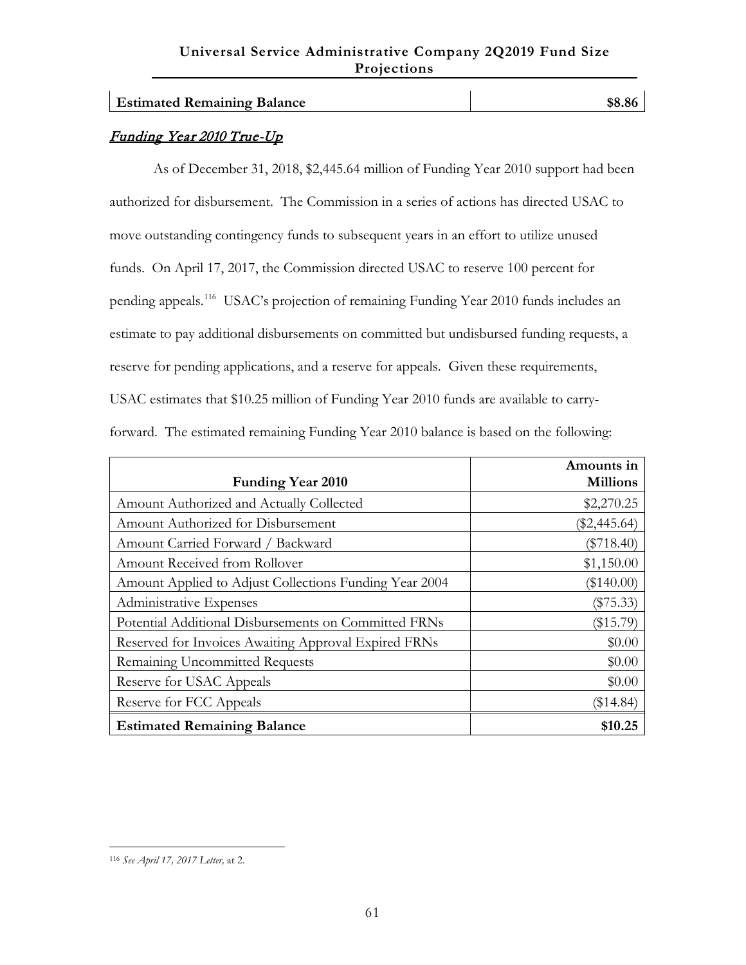## Funding Year 2010 True-Up

As of December 31, 2018, \$2,445.64 million of Funding Year 2010 support had been authorized for disbursement. The Commission in a series of actions has directed USAC to move outstanding contingency funds to subsequent years in an effort to utilize unused funds. On April 17, 2017, the Commission directed USAC to reserve 100 percent for pending appeals.[116](#page-67-0) USAC's projection of remaining Funding Year 2010 funds includes an estimate to pay additional disbursements on committed but undisbursed funding requests, a reserve for pending applications, and a reserve for appeals. Given these requirements, USAC estimates that \$10.25 million of Funding Year 2010 funds are available to carryforward. The estimated remaining Funding Year 2010 balance is based on the following:

|                                                        | Amounts in      |
|--------------------------------------------------------|-----------------|
| <b>Funding Year 2010</b>                               | <b>Millions</b> |
| Amount Authorized and Actually Collected               | \$2,270.25      |
| Amount Authorized for Disbursement                     | $(\$2,445.64)$  |
| Amount Carried Forward / Backward                      | $(\$718.40)$    |
| Amount Received from Rollover                          | \$1,150.00      |
| Amount Applied to Adjust Collections Funding Year 2004 | $(\$140.00)$    |
| Administrative Expenses                                | $(\$75.33)$     |
| Potential Additional Disbursements on Committed FRNs   | $(\$15.79)$     |
| Reserved for Invoices Awaiting Approval Expired FRNs   | \$0.00          |
| Remaining Uncommitted Requests                         | \$0.00          |
| Reserve for USAC Appeals                               | \$0.00          |
| Reserve for FCC Appeals                                | (\$14.84)       |
| <b>Estimated Remaining Balance</b>                     | \$10.25         |

<span id="page-67-0"></span> $\overline{a}$ <sup>116</sup> *See April 17, 2017 Letter,* at 2.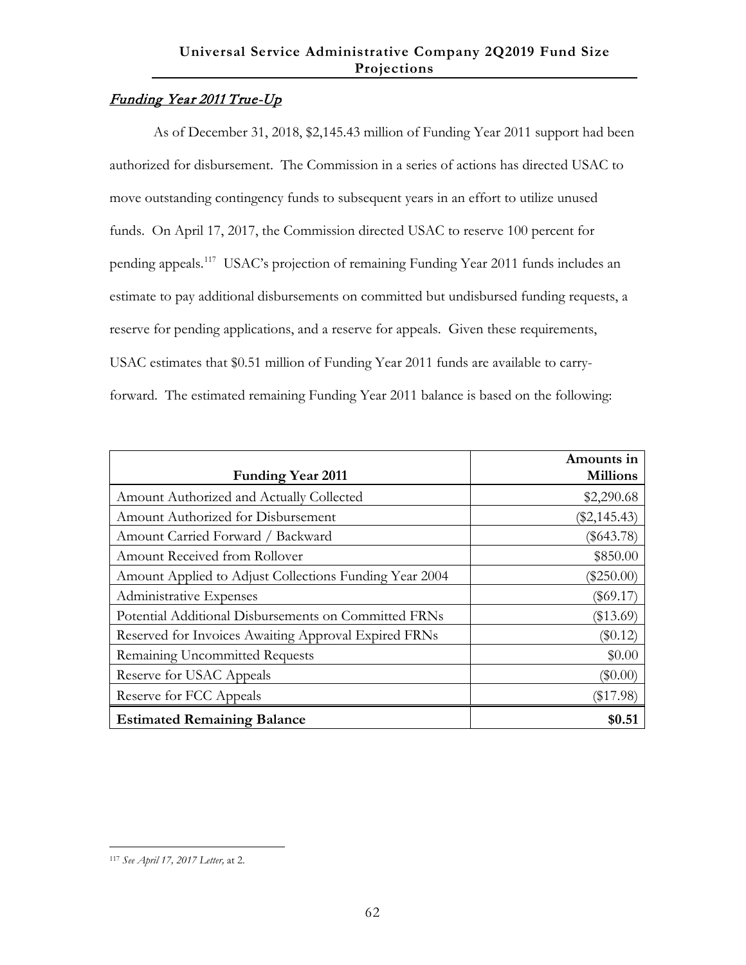# Funding Year 2011 True-Up

As of December 31, 2018, \$2,145.43 million of Funding Year 2011 support had been authorized for disbursement. The Commission in a series of actions has directed USAC to move outstanding contingency funds to subsequent years in an effort to utilize unused funds. On April 17, 2017, the Commission directed USAC to reserve 100 percent for pending appeals.[117](#page-68-0) USAC's projection of remaining Funding Year 2011 funds includes an estimate to pay additional disbursements on committed but undisbursed funding requests, a reserve for pending applications, and a reserve for appeals. Given these requirements, USAC estimates that \$0.51 million of Funding Year 2011 funds are available to carryforward. The estimated remaining Funding Year 2011 balance is based on the following:

| <b>Funding Year 2011</b>                               | Amounts in<br><b>Millions</b> |
|--------------------------------------------------------|-------------------------------|
|                                                        |                               |
| Amount Authorized and Actually Collected               | \$2,290.68                    |
| Amount Authorized for Disbursement                     | $(\$2,145.43)$                |
| Amount Carried Forward / Backward                      | $(\$643.78)$                  |
| Amount Received from Rollover                          | \$850.00                      |
| Amount Applied to Adjust Collections Funding Year 2004 | $(\$250.00)$                  |
| Administrative Expenses                                | $(\$69.17)$                   |
| Potential Additional Disbursements on Committed FRNs   | (\$13.69)                     |
| Reserved for Invoices Awaiting Approval Expired FRNs   | $(\$0.12)$                    |
| Remaining Uncommitted Requests                         | \$0.00                        |
| Reserve for USAC Appeals                               | $(\$0.00)$                    |
| Reserve for FCC Appeals                                | (\$17.98)                     |
| <b>Estimated Remaining Balance</b>                     | \$0.51                        |

<span id="page-68-0"></span> $\overline{a}$ <sup>117</sup> *See April 17, 2017 Letter,* at 2.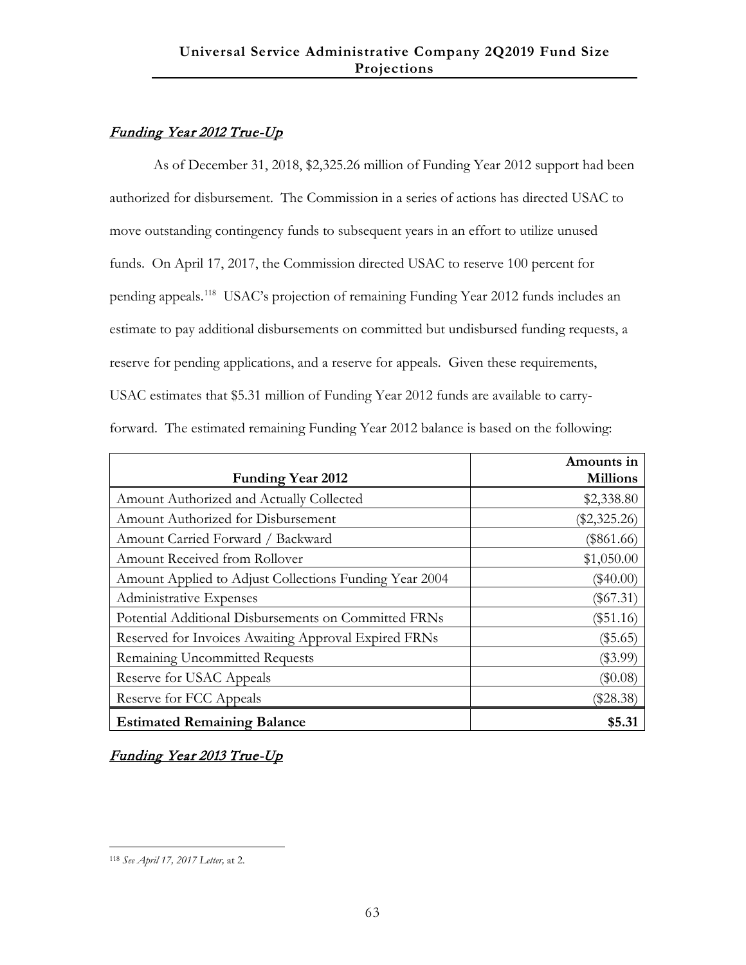# Funding Year 2012 True-Up

As of December 31, 2018, \$2,325.26 million of Funding Year 2012 support had been authorized for disbursement. The Commission in a series of actions has directed USAC to move outstanding contingency funds to subsequent years in an effort to utilize unused funds. On April 17, 2017, the Commission directed USAC to reserve 100 percent for pending appeals.[118](#page-69-0) USAC's projection of remaining Funding Year 2012 funds includes an estimate to pay additional disbursements on committed but undisbursed funding requests, a reserve for pending applications, and a reserve for appeals. Given these requirements, USAC estimates that \$5.31 million of Funding Year 2012 funds are available to carryforward. The estimated remaining Funding Year 2012 balance is based on the following:

|                                                        | Amounts in      |
|--------------------------------------------------------|-----------------|
| <b>Funding Year 2012</b>                               | <b>Millions</b> |
| Amount Authorized and Actually Collected               | \$2,338.80      |
| Amount Authorized for Disbursement                     | $(\$2,325.26)$  |
| Amount Carried Forward / Backward                      | $(\$861.66)$    |
| Amount Received from Rollover                          | \$1,050.00      |
| Amount Applied to Adjust Collections Funding Year 2004 | $(\$40.00)$     |
| Administrative Expenses                                | $(\$67.31)$     |
| Potential Additional Disbursements on Committed FRNs   | $(\$51.16)$     |
| Reserved for Invoices Awaiting Approval Expired FRNs   | $(\$5.65)$      |
| Remaining Uncommitted Requests                         | $(\$3.99)$      |
| Reserve for USAC Appeals                               | $(\$0.08)$      |
| Reserve for FCC Appeals                                | $(\$28.38)$     |
| <b>Estimated Remaining Balance</b>                     | \$5.31          |

Funding Year 2013 True-Up

<span id="page-69-0"></span> $\overline{a}$ <sup>118</sup> *See April 17, 2017 Letter,* at 2.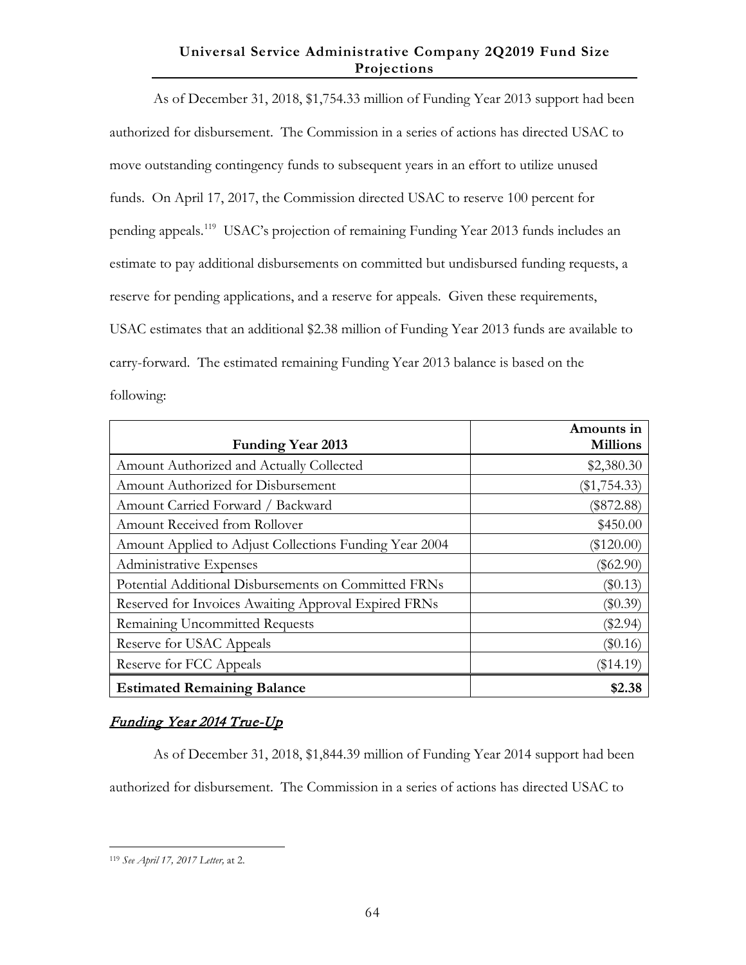As of December 31, 2018, \$1,754.33 million of Funding Year 2013 support had been authorized for disbursement. The Commission in a series of actions has directed USAC to move outstanding contingency funds to subsequent years in an effort to utilize unused funds. On April 17, 2017, the Commission directed USAC to reserve 100 percent for pending appeals.[119](#page-70-0) USAC's projection of remaining Funding Year 2013 funds includes an estimate to pay additional disbursements on committed but undisbursed funding requests, a reserve for pending applications, and a reserve for appeals. Given these requirements, USAC estimates that an additional \$2.38 million of Funding Year 2013 funds are available to carry-forward. The estimated remaining Funding Year 2013 balance is based on the following:

|                                                        | Amounts in      |
|--------------------------------------------------------|-----------------|
| <b>Funding Year 2013</b>                               | <b>Millions</b> |
| Amount Authorized and Actually Collected               | \$2,380.30      |
| Amount Authorized for Disbursement                     | $(\$1,754.33)$  |
| Amount Carried Forward / Backward                      | $(\$872.88)$    |
| Amount Received from Rollover                          | \$450.00        |
| Amount Applied to Adjust Collections Funding Year 2004 | $(\$120.00)$    |
| Administrative Expenses                                | $(\$62.90)$     |
| Potential Additional Disbursements on Committed FRNs   | $(\$0.13)$      |
| Reserved for Invoices Awaiting Approval Expired FRNs   | $(\$0.39)$      |
| Remaining Uncommitted Requests                         | (\$2.94)        |
| Reserve for USAC Appeals                               | $(\$0.16)$      |
| Reserve for FCC Appeals                                | (\$14.19)       |
| <b>Estimated Remaining Balance</b>                     | \$2.38          |

## Funding Year 2014 True-Up

As of December 31, 2018, \$1,844.39 million of Funding Year 2014 support had been authorized for disbursement. The Commission in a series of actions has directed USAC to

<span id="page-70-0"></span> $\overline{a}$ <sup>119</sup> *See April 17, 2017 Letter,* at 2.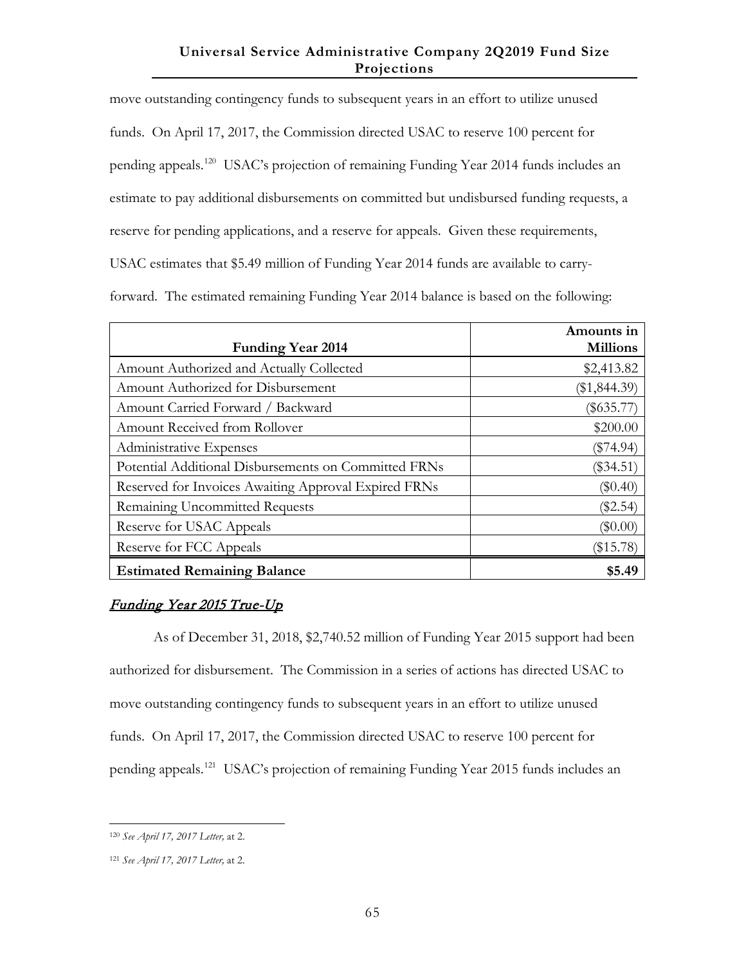move outstanding contingency funds to subsequent years in an effort to utilize unused funds. On April 17, 2017, the Commission directed USAC to reserve 100 percent for pending appeals.[120](#page-71-0) USAC's projection of remaining Funding Year 2014 funds includes an estimate to pay additional disbursements on committed but undisbursed funding requests, a reserve for pending applications, and a reserve for appeals. Given these requirements, USAC estimates that \$5.49 million of Funding Year 2014 funds are available to carry-

| <b>Funding Year 2014</b>                             | Amounts in<br><b>Millions</b> |
|------------------------------------------------------|-------------------------------|
| Amount Authorized and Actually Collected             | \$2,413.82                    |
| Amount Authorized for Disbursement                   | $(\$1,844.39)$                |
| Amount Carried Forward / Backward                    | $(\$635.77)$                  |
| Amount Received from Rollover                        | \$200.00                      |
| Administrative Expenses                              | (\$74.94)                     |
| Potential Additional Disbursements on Committed FRNs | $(\$34.51)$                   |
| Reserved for Invoices Awaiting Approval Expired FRNs | $(\$0.40)$                    |
| Remaining Uncommitted Requests                       | (\$2.54)                      |
| Reserve for USAC Appeals                             | $(\$0.00)$                    |
| Reserve for FCC Appeals                              | $(\$15.78)$                   |
| <b>Estimated Remaining Balance</b>                   | \$5.49                        |

# forward. The estimated remaining Funding Year 2014 balance is based on the following:

#### Funding Year 2015 True-Up

As of December 31, 2018, \$2,740.52 million of Funding Year 2015 support had been authorized for disbursement. The Commission in a series of actions has directed USAC to move outstanding contingency funds to subsequent years in an effort to utilize unused funds. On April 17, 2017, the Commission directed USAC to reserve 100 percent for pending appeals.[121](#page-71-1) USAC's projection of remaining Funding Year 2015 funds includes an

 $\overline{a}$ 

<span id="page-71-0"></span><sup>120</sup> *See April 17, 2017 Letter,* at 2.

<span id="page-71-1"></span><sup>121</sup> *See April 17, 2017 Letter,* at 2.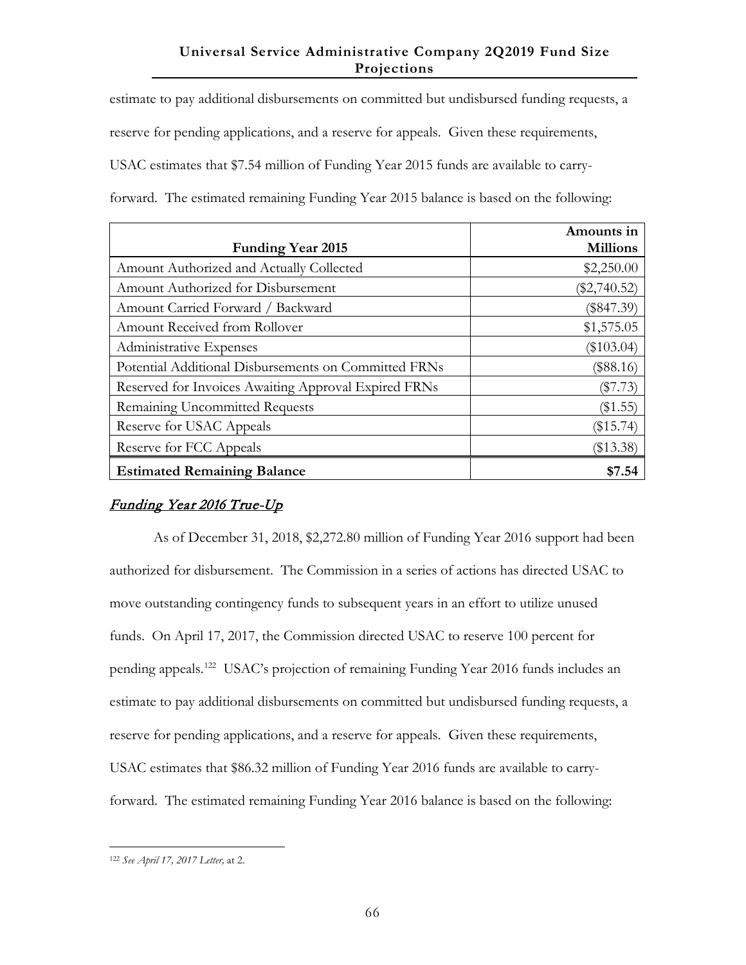## **Universal Service Administrative Company 2Q2019 Fund Size Projections**

estimate to pay additional disbursements on committed but undisbursed funding requests, a reserve for pending applications, and a reserve for appeals. Given these requirements, USAC estimates that \$7.54 million of Funding Year 2015 funds are available to carryforward. The estimated remaining Funding Year 2015 balance is based on the following:

|                                                      | Amounts in      |
|------------------------------------------------------|-----------------|
| <b>Funding Year 2015</b>                             | <b>Millions</b> |
| Amount Authorized and Actually Collected             | \$2,250.00      |
| Amount Authorized for Disbursement                   | $(\$2,740.52)$  |
| Amount Carried Forward / Backward                    | $(\$847.39)$    |
| Amount Received from Rollover                        | \$1,575.05      |
| Administrative Expenses                              | $(\$103.04)$    |
| Potential Additional Disbursements on Committed FRNs | $(\$88.16)$     |
| Reserved for Invoices Awaiting Approval Expired FRNs | (\$7.73)        |
| Remaining Uncommitted Requests                       | $(\$1.55)$      |
| Reserve for USAC Appeals                             | (\$15.74)       |
| Reserve for FCC Appeals                              | $(\$13.38)$     |
| <b>Estimated Remaining Balance</b>                   | \$7.54          |

# Funding Year 2016 True-Up

As of December 31, 2018, \$2,272.80 million of Funding Year 2016 support had been authorized for disbursement. The Commission in a series of actions has directed USAC to move outstanding contingency funds to subsequent years in an effort to utilize unused funds. On April 17, 2017, the Commission directed USAC to reserve 100 percent for pending appeals.[122](#page-72-0) USAC's projection of remaining Funding Year 2016 funds includes an estimate to pay additional disbursements on committed but undisbursed funding requests, a reserve for pending applications, and a reserve for appeals. Given these requirements, USAC estimates that \$86.32 million of Funding Year 2016 funds are available to carryforward. The estimated remaining Funding Year 2016 balance is based on the following:

<span id="page-72-0"></span> $\overline{a}$ <sup>122</sup> *See April 17, 2017 Letter,* at 2.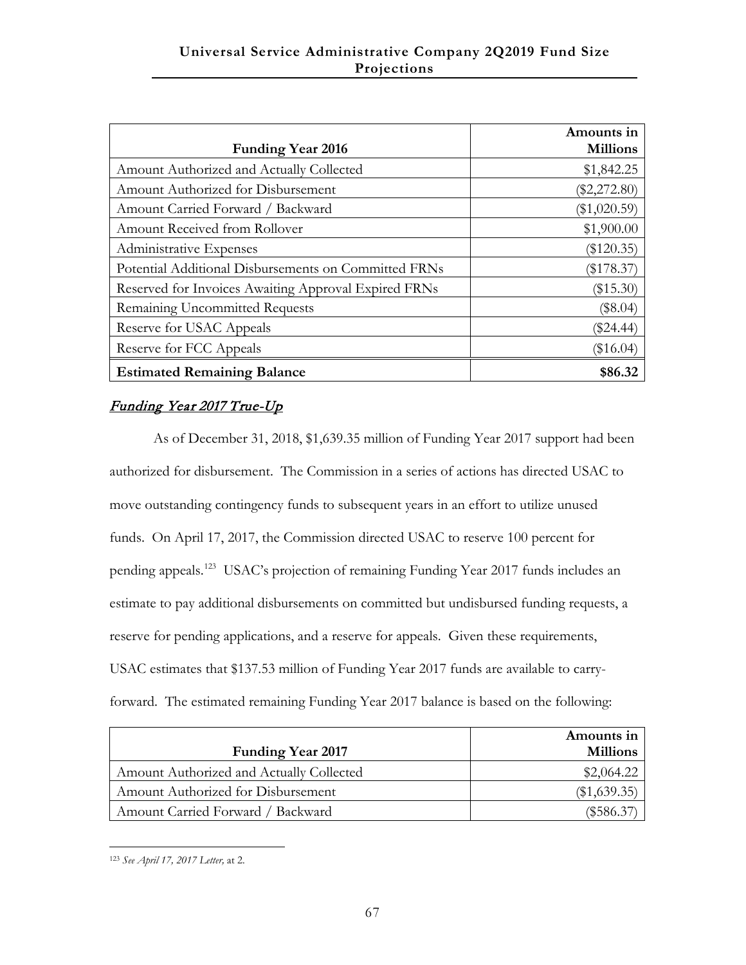| <b>Funding Year 2016</b>                             | Amounts in<br><b>Millions</b> |
|------------------------------------------------------|-------------------------------|
| Amount Authorized and Actually Collected             | \$1,842.25                    |
| Amount Authorized for Disbursement                   | $(\$2,272.80)$                |
| Amount Carried Forward / Backward                    | $(\$1,020.59)$                |
| Amount Received from Rollover                        | \$1,900.00                    |
| Administrative Expenses                              | $(\$120.35)$                  |
| Potential Additional Disbursements on Committed FRNs | $(\$178.37)$                  |
| Reserved for Invoices Awaiting Approval Expired FRNs | $(\$15.30)$                   |
| Remaining Uncommitted Requests                       | $(\$8.04)$                    |
| Reserve for USAC Appeals                             | (\$24.44)                     |
| Reserve for FCC Appeals                              | $(\$16.04)$                   |
| <b>Estimated Remaining Balance</b>                   | \$86.32                       |

# Funding Year 2017 True-Up

As of December 31, 2018, \$1,639.35 million of Funding Year 2017 support had been authorized for disbursement. The Commission in a series of actions has directed USAC to move outstanding contingency funds to subsequent years in an effort to utilize unused funds. On April 17, 2017, the Commission directed USAC to reserve 100 percent for pending appeals.[123](#page-73-0) USAC's projection of remaining Funding Year 2017 funds includes an estimate to pay additional disbursements on committed but undisbursed funding requests, a reserve for pending applications, and a reserve for appeals. Given these requirements, USAC estimates that \$137.53 million of Funding Year 2017 funds are available to carryforward. The estimated remaining Funding Year 2017 balance is based on the following:

|                                          | Amounts in      |
|------------------------------------------|-----------------|
| <b>Funding Year 2017</b>                 | <b>Millions</b> |
| Amount Authorized and Actually Collected | \$2,064.22      |
| Amount Authorized for Disbursement       | $(\$1,639.35)$  |
| Amount Carried Forward / Backward        | (\$586.37       |

<span id="page-73-0"></span> $\overline{a}$ <sup>123</sup> *See April 17, 2017 Letter,* at 2.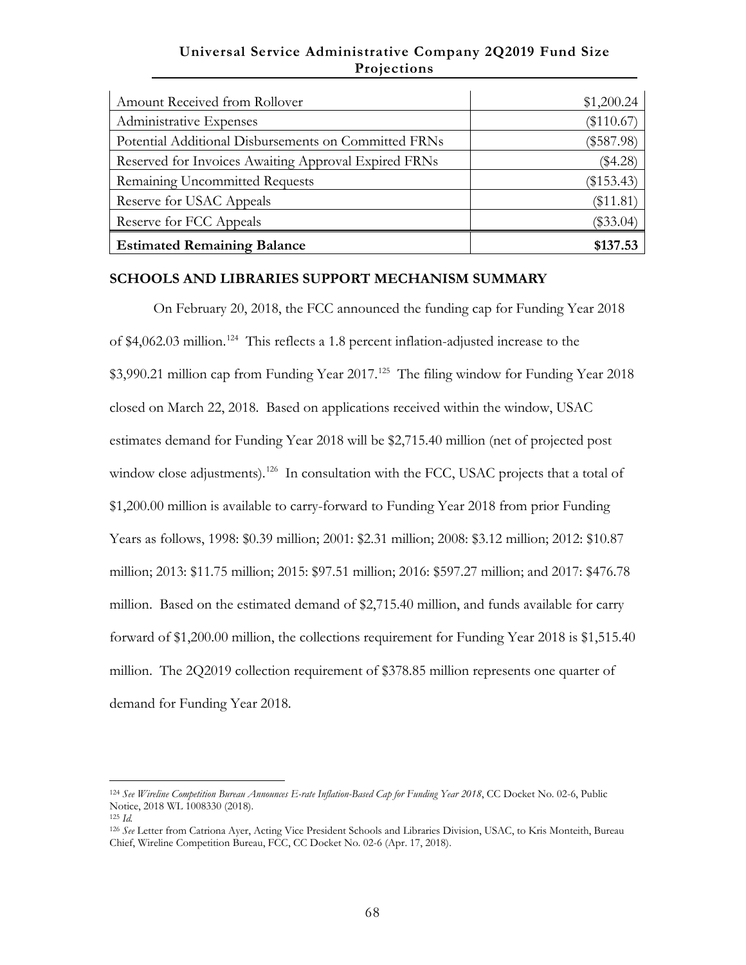## **Universal Service Administrative Company 2Q2019 Fund Size Projections**

| Amount Received from Rollover                        | \$1,200.24   |
|------------------------------------------------------|--------------|
| Administrative Expenses                              | $(\$110.67)$ |
| Potential Additional Disbursements on Committed FRNs | $(\$587.98)$ |
| Reserved for Invoices Awaiting Approval Expired FRNs | $(\$4.28)$   |
| Remaining Uncommitted Requests                       | $(\$153.43)$ |
| Reserve for USAC Appeals                             | $(\$11.81$   |
| Reserve for FCC Appeals                              | $(\$33.04)$  |
| <b>Estimated Remaining Balance</b>                   | \$137.53     |

#### **SCHOOLS AND LIBRARIES SUPPORT MECHANISM SUMMARY**

On February 20, 2018, the FCC announced the funding cap for Funding Year 2018 of \$4,062.03 million. [124](#page-74-0) This reflects a 1.8 percent inflation-adjusted increase to the \$3,990.21 million cap from Funding Year 2017.<sup>[125](#page-74-1)</sup> The filing window for Funding Year 2018 closed on March 22, 2018. Based on applications received within the window, USAC estimates demand for Funding Year 2018 will be \$2,715.40 million (net of projected post window close adjustments).<sup>[126](#page-74-2)</sup> In consultation with the FCC, USAC projects that a total of \$1,200.00 million is available to carry-forward to Funding Year 2018 from prior Funding Years as follows, 1998: \$0.39 million; 2001: \$2.31 million; 2008: \$3.12 million; 2012: \$10.87 million; 2013: \$11.75 million; 2015: \$97.51 million; 2016: \$597.27 million; and 2017: \$476.78 million. Based on the estimated demand of \$2,715.40 million, and funds available for carry forward of \$1,200.00 million, the collections requirement for Funding Year 2018 is \$1,515.40 million. The 2Q2019 collection requirement of \$378.85 million represents one quarter of demand for Funding Year 2018.

<span id="page-74-0"></span> $\overline{a}$ <sup>124</sup> *See Wireline Competition Bureau Announces E-rate Inflation-Based Cap for Funding Year 2018*, CC Docket No. 02-6, Public Notice, 2018 WL 1008330 (2018).

<span id="page-74-1"></span><sup>125</sup> *Id.*

<span id="page-74-2"></span><sup>126</sup> *See* Letter from Catriona Ayer, Acting Vice President Schools and Libraries Division, USAC, to Kris Monteith, Bureau Chief, Wireline Competition Bureau, FCC, CC Docket No. 02-6 (Apr. 17, 2018).